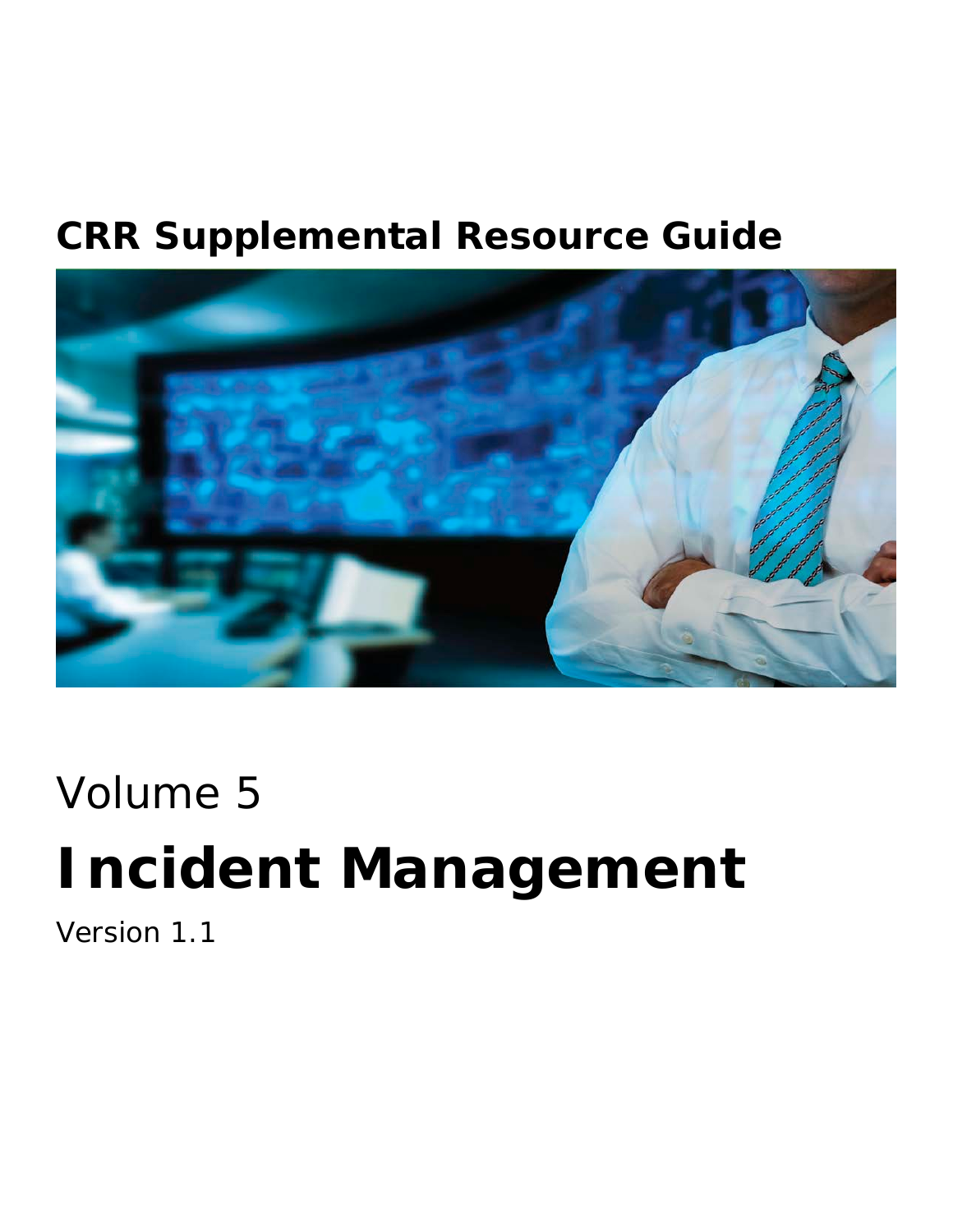## **CRR Supplemental Resource Guide**



# Volume 5

# **Incident Management**

Version 1.1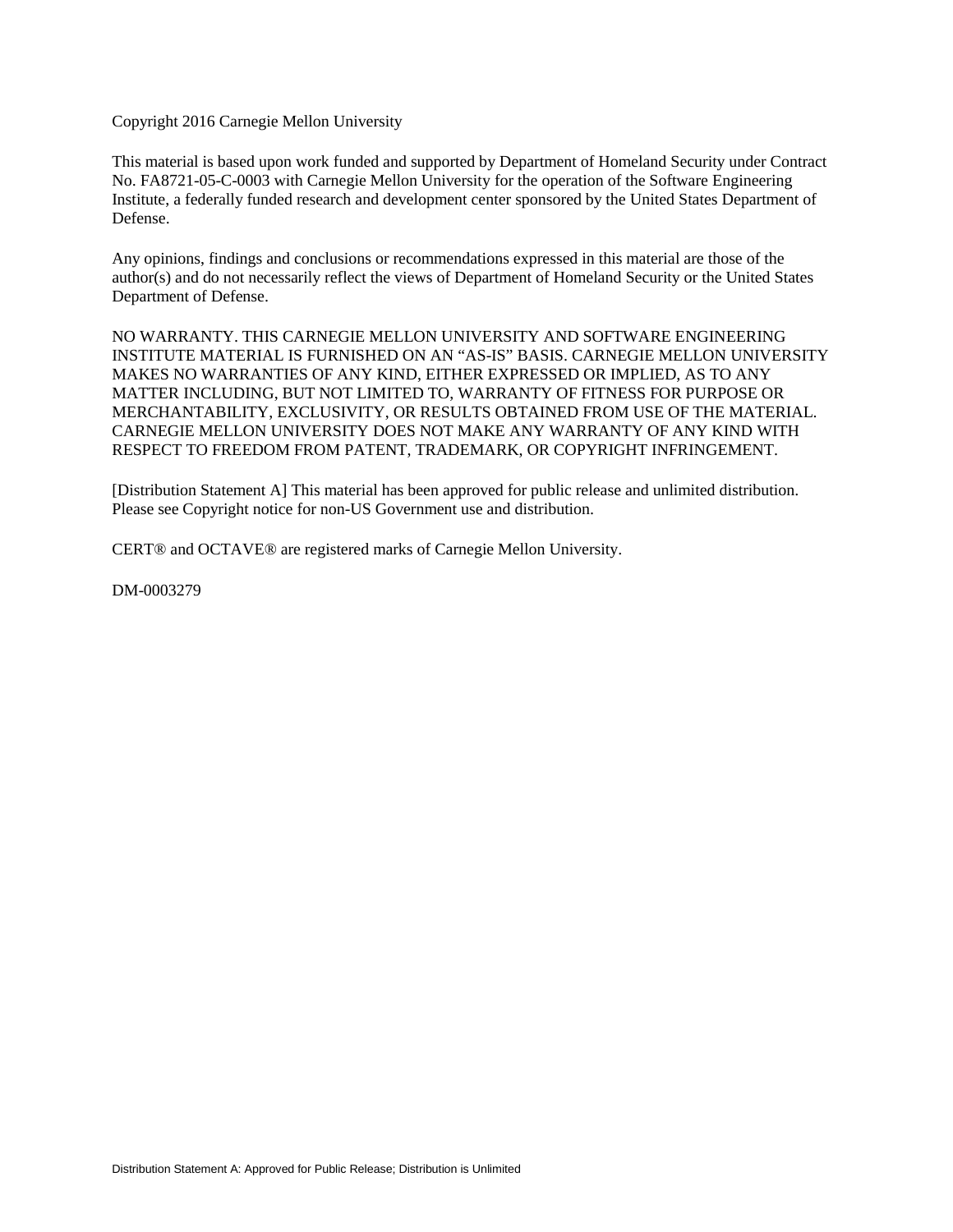Copyright 2016 Carnegie Mellon University

This material is based upon work funded and supported by Department of Homeland Security under Contract No. FA8721-05-C-0003 with Carnegie Mellon University for the operation of the Software Engineering Institute, a federally funded research and development center sponsored by the United States Department of Defense.

Any opinions, findings and conclusions or recommendations expressed in this material are those of the author(s) and do not necessarily reflect the views of Department of Homeland Security or the United States Department of Defense.

NO WARRANTY. THIS CARNEGIE MELLON UNIVERSITY AND SOFTWARE ENGINEERING INSTITUTE MATERIAL IS FURNISHED ON AN "AS-IS" BASIS. CARNEGIE MELLON UNIVERSITY MAKES NO WARRANTIES OF ANY KIND, EITHER EXPRESSED OR IMPLIED, AS TO ANY MATTER INCLUDING, BUT NOT LIMITED TO, WARRANTY OF FITNESS FOR PURPOSE OR MERCHANTABILITY, EXCLUSIVITY, OR RESULTS OBTAINED FROM USE OF THE MATERIAL. CARNEGIE MELLON UNIVERSITY DOES NOT MAKE ANY WARRANTY OF ANY KIND WITH RESPECT TO FREEDOM FROM PATENT, TRADEMARK, OR COPYRIGHT INFRINGEMENT.

[Distribution Statement A] This material has been approved for public release and unlimited distribution. Please see Copyright notice for non-US Government use and distribution.

CERT® and OCTAVE® are registered marks of Carnegie Mellon University.

DM-0003279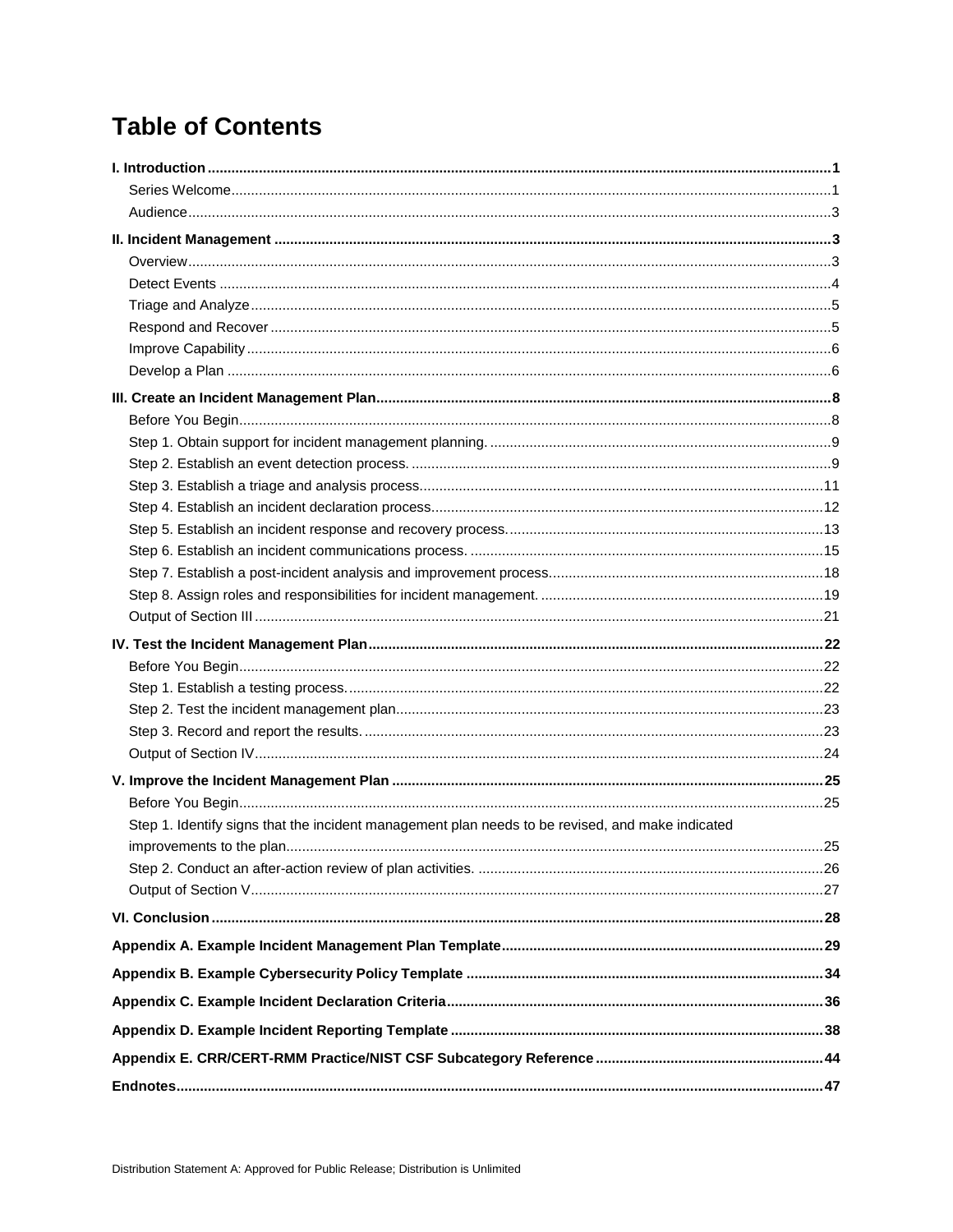## **Table of Contents**

| Step 1. Identify signs that the incident management plan needs to be revised, and make indicated |
|--------------------------------------------------------------------------------------------------|
|                                                                                                  |
|                                                                                                  |
|                                                                                                  |
|                                                                                                  |
|                                                                                                  |
|                                                                                                  |
|                                                                                                  |
|                                                                                                  |
|                                                                                                  |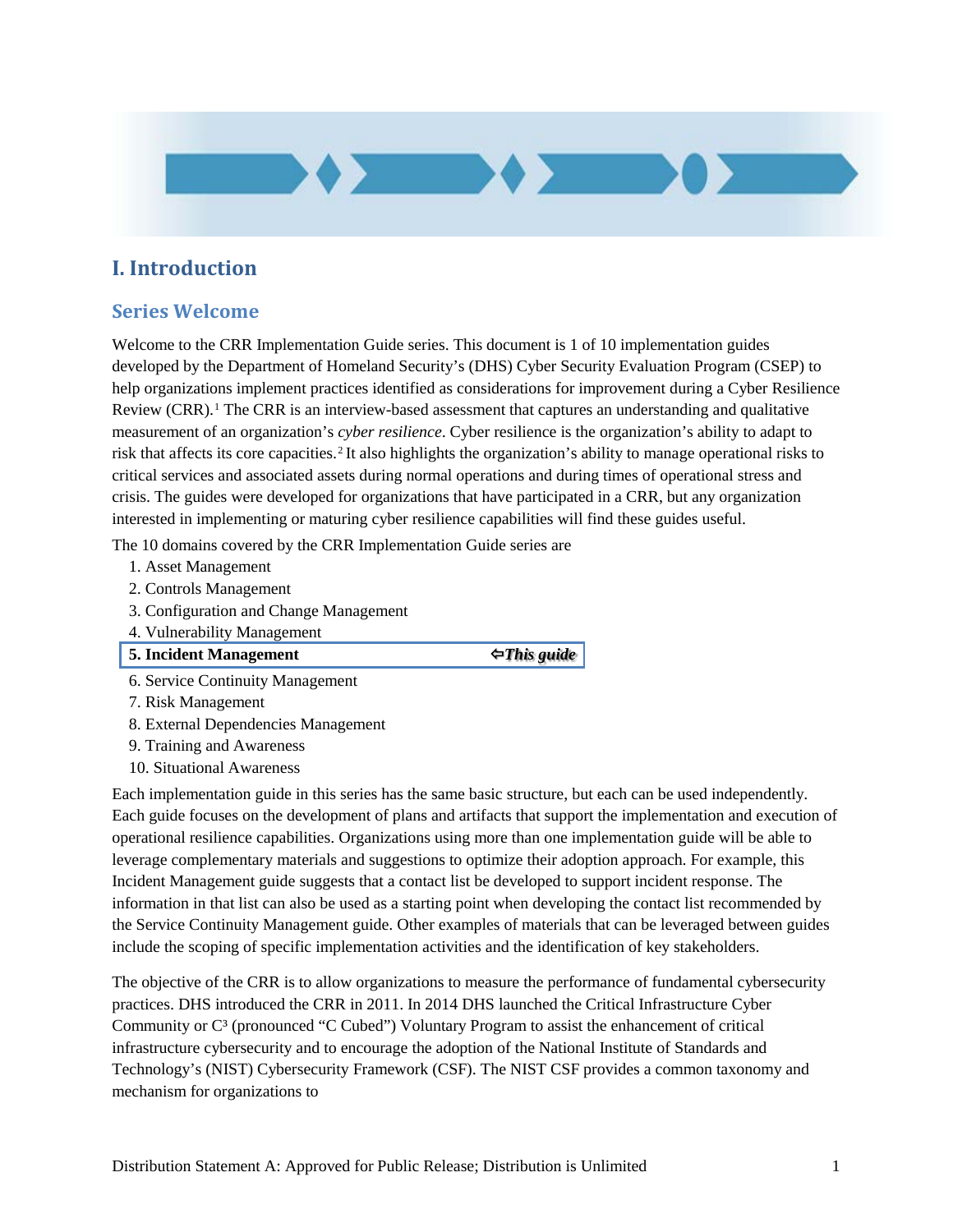

## <span id="page-4-0"></span>**I. Introduction**

## <span id="page-4-1"></span>**Series Welcome**

Welcome to the CRR Implementation Guide series. This document is 1 of 10 implementation guides developed by the Department of Homeland Security's (DHS) Cyber Security Evaluation Program (CSEP) to help organizations implement practices identified as considerations for improvement during a Cyber Resilience Review (CRR).<sup>[1](#page-50-1)</sup> The CRR is an interview-based assessment that captures an understanding and qualitative measurement of an organization's *cyber resilience*. Cyber resilience is the organization's ability to adapt to risk that affects its core capacities.<sup>[2](#page-50-2)</sup> It also highlights the organization's ability to manage operational risks to critical services and associated assets during normal operations and during times of operational stress and crisis. The guides were developed for organizations that have participated in a CRR, but any organization interested in implementing or maturing cyber resilience capabilities will find these guides useful.

The 10 domains covered by the CRR Implementation Guide series are

- 1. Asset Management
- 2. Controls Management
- 3. Configuration and Change Management
- 4. Vulnerability Management
- **5. Incident Management** *This guide*

6. Service Continuity Management

- 7. Risk Management
- 8. External Dependencies Management
- 9. Training and Awareness
- 10. Situational Awareness

Each implementation guide in this series has the same basic structure, but each can be used independently. Each guide focuses on the development of plans and artifacts that support the implementation and execution of operational resilience capabilities. Organizations using more than one implementation guide will be able to leverage complementary materials and suggestions to optimize their adoption approach. For example, this Incident Management guide suggests that a contact list be developed to support incident response. The information in that list can also be used as a starting point when developing the contact list recommended by the Service Continuity Management guide. Other examples of materials that can be leveraged between guides include the scoping of specific implementation activities and the identification of key stakeholders.

The objective of the CRR is to allow organizations to measure the performance of fundamental cybersecurity practices. DHS introduced the CRR in 2011. In 2014 DHS launched the Critical Infrastructure Cyber Community or C<sup>3</sup> (pronounced "C Cubed") Voluntary Program to assist the enhancement of critical infrastructure cybersecurity and to encourage the adoption of the National Institute of Standards and Technology's (NIST) Cybersecurity Framework (CSF). The NIST CSF provides a common taxonomy and mechanism for organizations to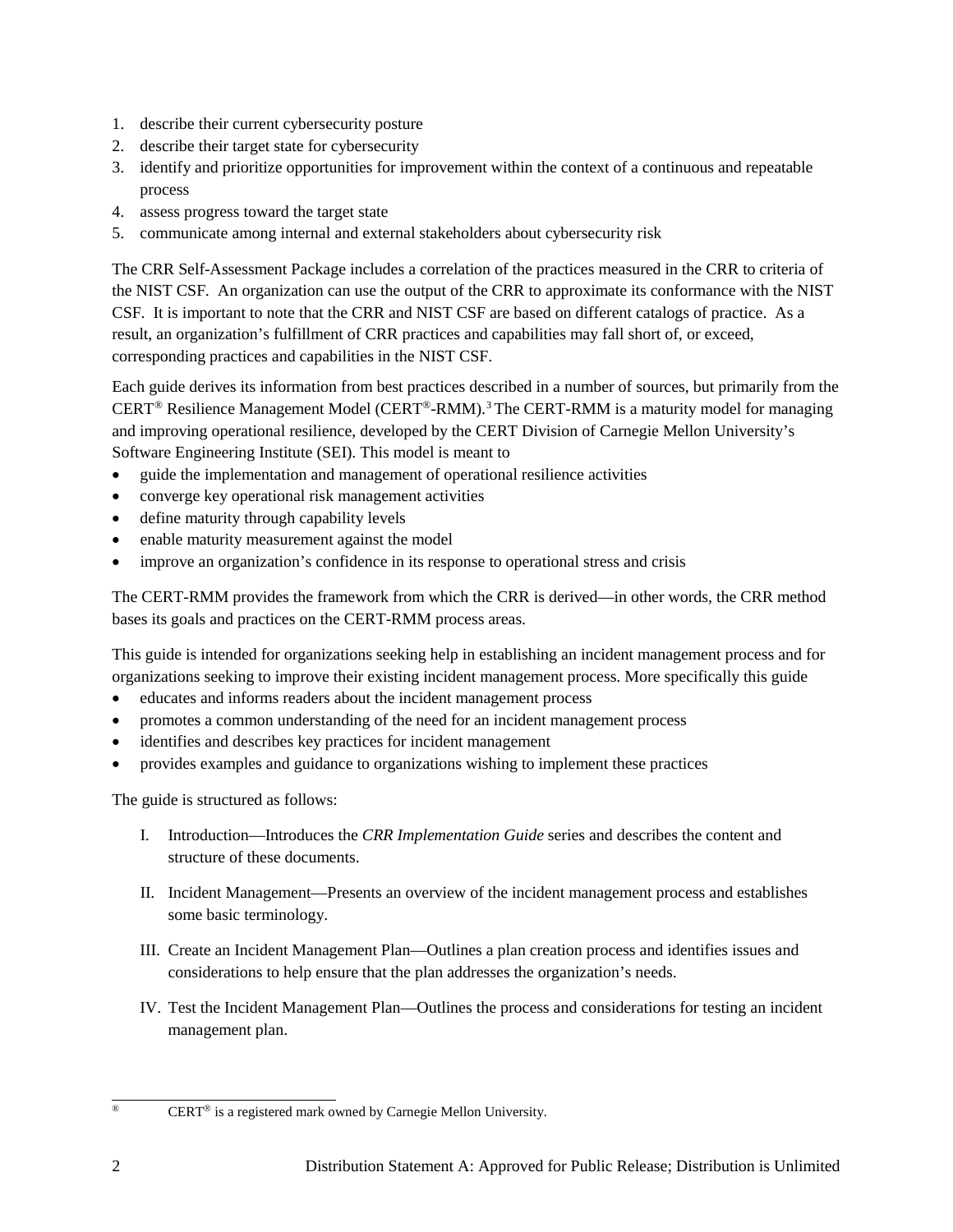- 1. describe their current cybersecurity posture
- 2. describe their target state for cybersecurity
- 3. identify and prioritize opportunities for improvement within the context of a continuous and repeatable process
- 4. assess progress toward the target state
- 5. communicate among internal and external stakeholders about cybersecurity risk

The CRR Self-Assessment Package includes a correlation of the practices measured in the CRR to criteria of the NIST CSF. An organization can use the output of the CRR to approximate its conformance with the NIST CSF. It is important to note that the CRR and NIST CSF are based on different catalogs of practice. As a result, an organization's fulfillment of CRR practices and capabilities may fall short of, or exceed, corresponding practices and capabilities in the NIST CSF.

Each guide derives its information from best practices described in a number of sources, but primarily from the CERT[®](#page-5-0) Resilience Management Model (CERT®-RMM). [3](#page-51-0) The CERT-RMM is a maturity model for managing and improving operational resilience, developed by the CERT Division of Carnegie Mellon University's Software Engineering Institute (SEI). This model is meant to

- guide the implementation and management of operational resilience activities
- converge key operational risk management activities
- define maturity through capability levels
- enable maturity measurement against the model
- improve an organization's confidence in its response to operational stress and crisis

The CERT-RMM provides the framework from which the CRR is derived—in other words, the CRR method bases its goals and practices on the CERT-RMM process areas.

This guide is intended for organizations seeking help in establishing an incident management process and for organizations seeking to improve their existing incident management process. More specifically this guide

- educates and informs readers about the incident management process
- promotes a common understanding of the need for an incident management process
- identifies and describes key practices for incident management
- provides examples and guidance to organizations wishing to implement these practices

The guide is structured as follows:

- I. Introduction—Introduces the *CRR Implementation Guide* series and describes the content and structure of these documents.
- II. Incident Management—Presents an overview of the incident management process and establishes some basic terminology.
- III. Create an Incident Management Plan—Outlines a plan creation process and identifies issues and considerations to help ensure that the plan addresses the organization's needs.
- IV. Test the Incident Management Plan—Outlines the process and considerations for testing an incident management plan.

<span id="page-5-0"></span><sup>1</sup> 

CERT<sup>®</sup> is a registered mark owned by Carnegie Mellon University.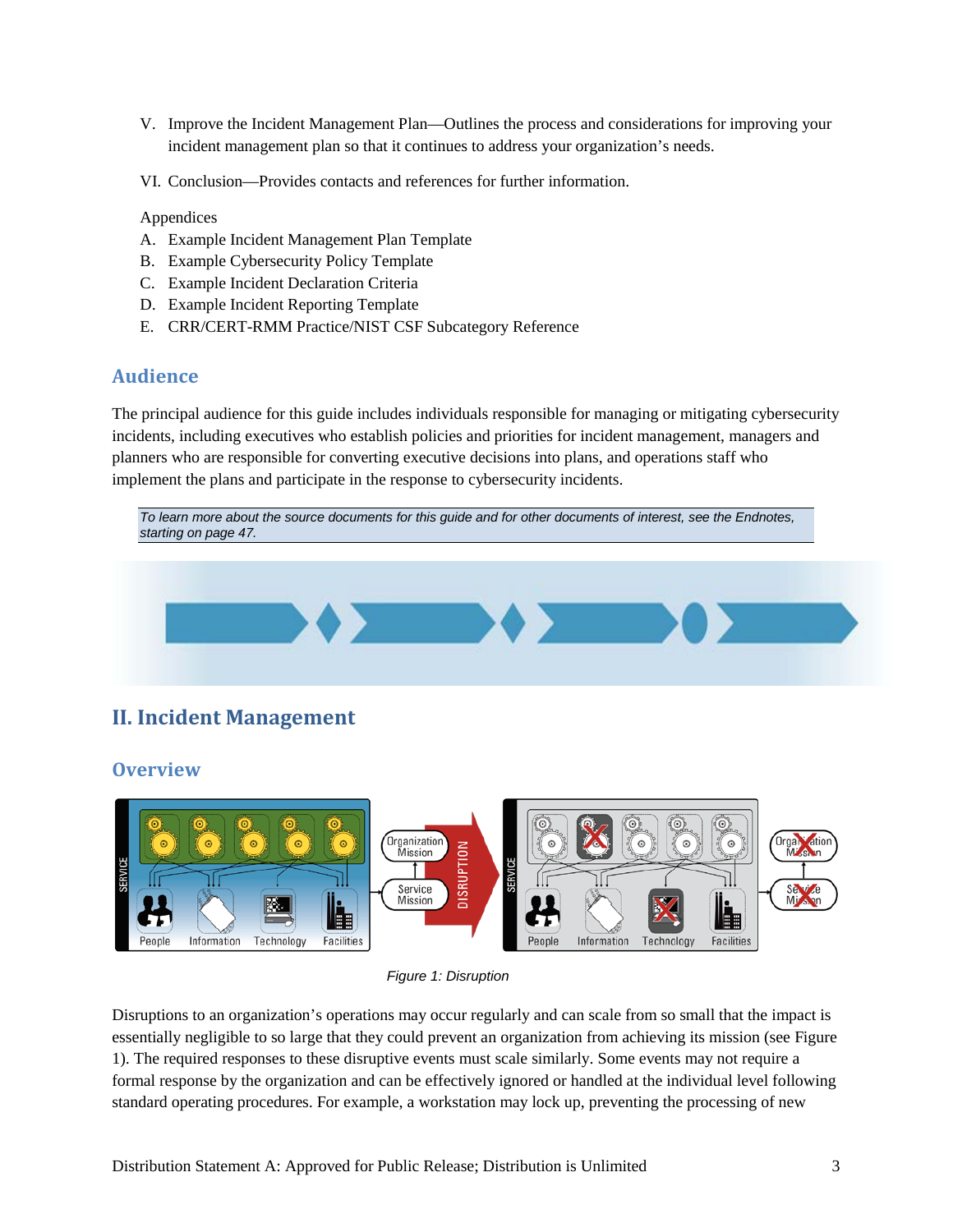- V. Improve the Incident Management Plan—Outlines the process and considerations for improving your incident management plan so that it continues to address your organization's needs.
- VI. Conclusion—Provides contacts and references for further information.

#### Appendices

- A. Example Incident Management Plan Template
- B. Example Cybersecurity Policy Template
- C. Example Incident Declaration Criteria
- D. Example Incident Reporting Template
- E. CRR/CERT-RMM Practice/NIST CSF Subcategory Reference

#### <span id="page-6-0"></span>**Audience**

The principal audience for this guide includes individuals responsible for managing or mitigating cybersecurity incidents, including executives who establish policies and priorities for incident management, managers and planners who are responsible for converting executive decisions into plans, and operations staff who implement the plans and participate in the response to cybersecurity incidents.



## <span id="page-6-2"></span><span id="page-6-1"></span>**II. Incident Management**

#### **Overview**



*Figure 1: Disruption*

<span id="page-6-3"></span>Disruptions to an organization's operations may occur regularly and can scale from so small that the impact is essentially negligible to so large that they could prevent an organization from achieving its mission (see [Figure](#page-6-3)  [1\)](#page-6-3). The required responses to these disruptive events must scale similarly. Some events may not require a formal response by the organization and can be effectively ignored or handled at the individual level following standard operating procedures. For example, a workstation may lock up, preventing the processing of new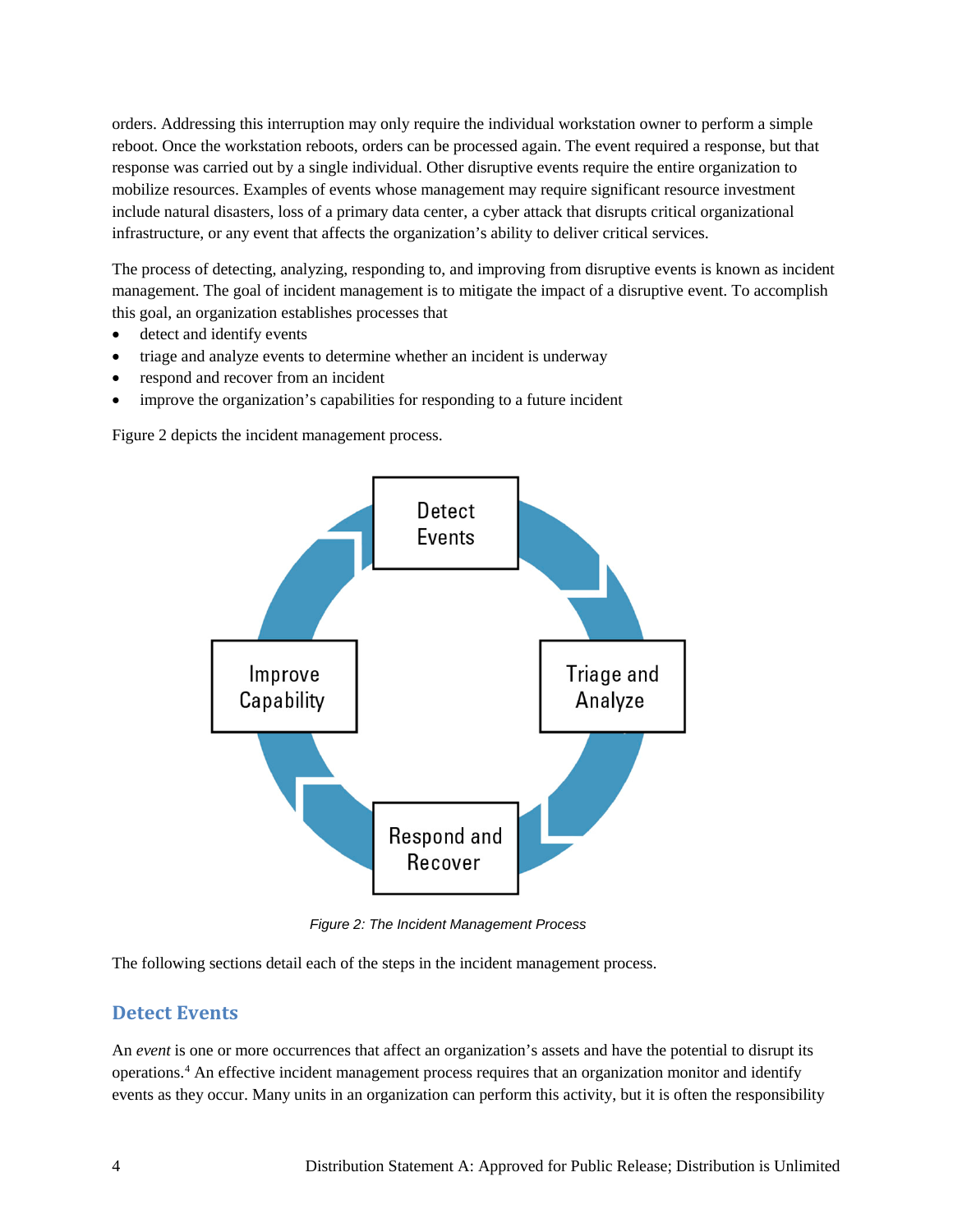orders. Addressing this interruption may only require the individual workstation owner to perform a simple reboot. Once the workstation reboots, orders can be processed again. The event required a response, but that response was carried out by a single individual. Other disruptive events require the entire organization to mobilize resources. Examples of events whose management may require significant resource investment include natural disasters, loss of a primary data center, a cyber attack that disrupts critical organizational infrastructure, or any event that affects the organization's ability to deliver critical services.

The process of detecting, analyzing, responding to, and improving from disruptive events is known as incident management. The goal of incident management is to mitigate the impact of a disruptive event. To accomplish this goal, an organization establishes processes that

- detect and identify events
- triage and analyze events to determine whether an incident is underway
- respond and recover from an incident
- improve the organization's capabilities for responding to a future incident

[Figure 2](#page-7-1) depicts the incident management process.



*Figure 2: The Incident Management Process*

<span id="page-7-1"></span>The following sections detail each of the steps in the incident management process.

#### <span id="page-7-0"></span>**Detect Events**

An *event* is one or more occurrences that affect an organization's assets and have the potential to disrupt its operations.[4](#page-51-1) An effective incident management process requires that an organization monitor and identify events as they occur. Many units in an organization can perform this activity, but it is often the responsibility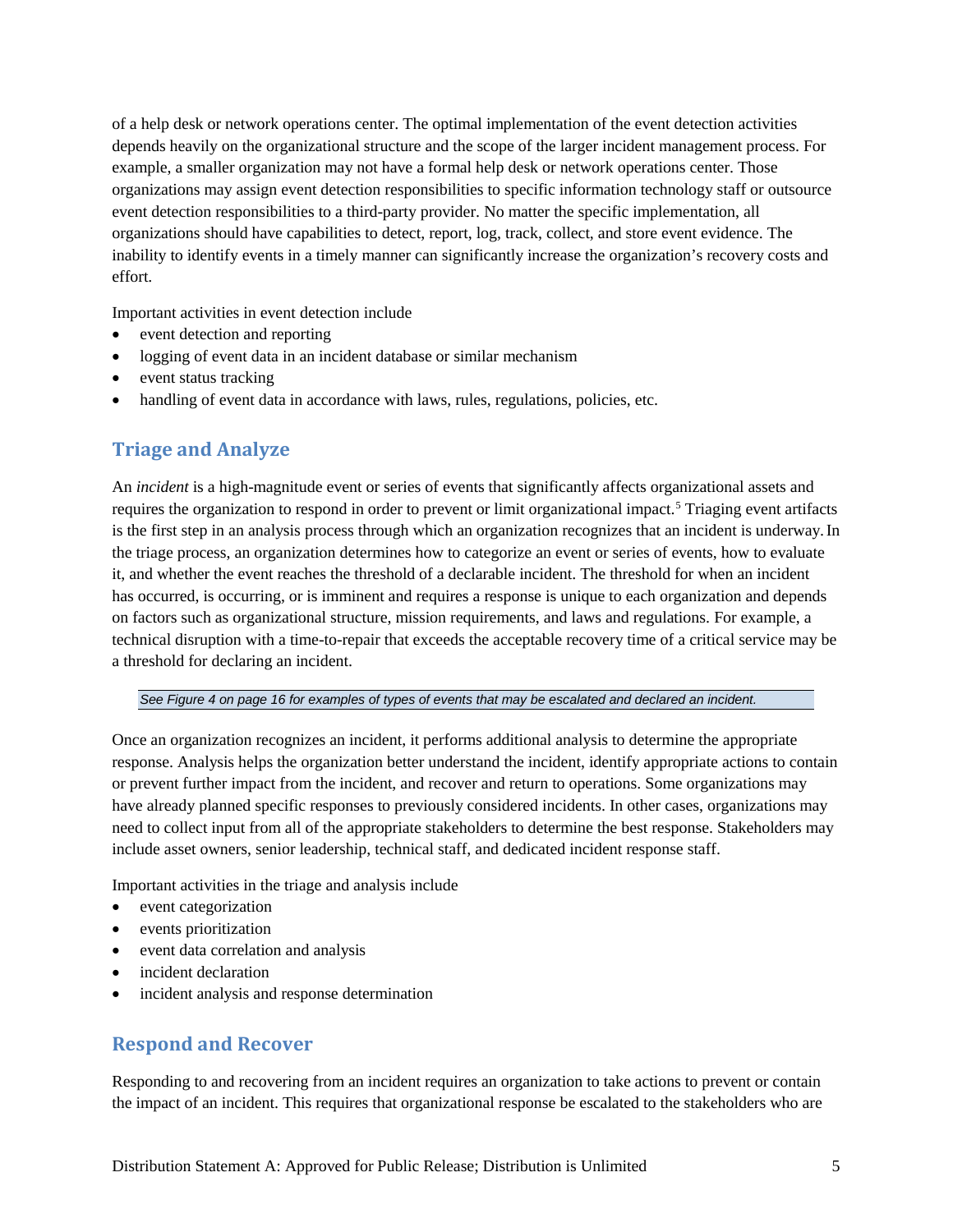of a help desk or network operations center. The optimal implementation of the event detection activities depends heavily on the organizational structure and the scope of the larger incident management process. For example, a smaller organization may not have a formal help desk or network operations center. Those organizations may assign event detection responsibilities to specific information technology staff or outsource event detection responsibilities to a third-party provider. No matter the specific implementation, all organizations should have capabilities to detect, report, log, track, collect, and store event evidence. The inability to identify events in a timely manner can significantly increase the organization's recovery costs and effort.

Important activities in event detection include

- event detection and reporting
- logging of event data in an incident database or similar mechanism
- event status tracking
- handling of event data in accordance with laws, rules, regulations, policies, etc.

#### <span id="page-8-0"></span>**Triage and Analyze**

An *incident* is a high-magnitude event or series of events that significantly affects organizational assets and requires the organization to respond in order to prevent or limit organizational impact.<sup>[5](#page-52-0)</sup> Triaging event artifacts is the first step in an analysis process through which an organization recognizes that an incident is underway.In the triage process, an organization determines how to categorize an event or series of events, how to evaluate it, and whether the event reaches the threshold of a declarable incident. The threshold for when an incident has occurred, is occurring, or is imminent and requires a response is unique to each organization and depends on factors such as organizational structure, mission requirements, and laws and regulations. For example, a technical disruption with a time-to-repair that exceeds the acceptable recovery time of a critical service may be a threshold for declaring an incident.

*Se[e Figure 4](#page-19-0) on page [16](#page-19-0) for examples of types of events that may be escalated and declared an incident.*

Once an organization recognizes an incident, it performs additional analysis to determine the appropriate response. Analysis helps the organization better understand the incident, identify appropriate actions to contain or prevent further impact from the incident, and recover and return to operations. Some organizations may have already planned specific responses to previously considered incidents. In other cases, organizations may need to collect input from all of the appropriate stakeholders to determine the best response. Stakeholders may include asset owners, senior leadership, technical staff, and dedicated incident response staff.

Important activities in the triage and analysis include

- event categorization
- events prioritization
- event data correlation and analysis
- incident declaration
- incident analysis and response determination

#### <span id="page-8-1"></span>**Respond and Recover**

Responding to and recovering from an incident requires an organization to take actions to prevent or contain the impact of an incident. This requires that organizational response be escalated to the stakeholders who are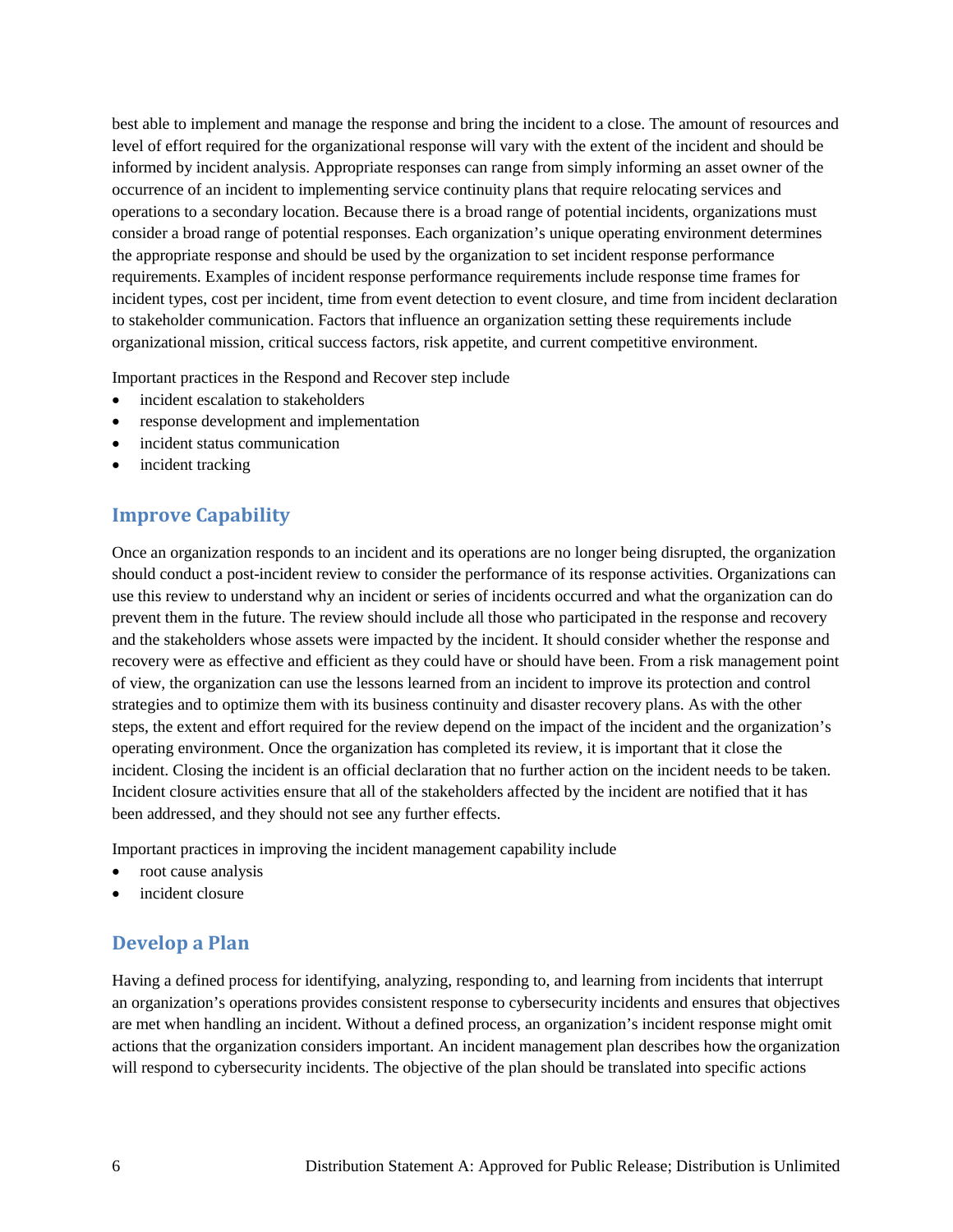best able to implement and manage the response and bring the incident to a close. The amount of resources and level of effort required for the organizational response will vary with the extent of the incident and should be informed by incident analysis. Appropriate responses can range from simply informing an asset owner of the occurrence of an incident to implementing service continuity plans that require relocating services and operations to a secondary location. Because there is a broad range of potential incidents, organizations must consider a broad range of potential responses. Each organization's unique operating environment determines the appropriate response and should be used by the organization to set incident response performance requirements. Examples of incident response performance requirements include response time frames for incident types, cost per incident, time from event detection to event closure, and time from incident declaration to stakeholder communication. Factors that influence an organization setting these requirements include organizational mission, critical success factors, risk appetite, and current competitive environment.

Important practices in the Respond and Recover step include

- incident escalation to stakeholders
- response development and implementation
- incident status communication
- incident tracking

#### <span id="page-9-0"></span>**Improve Capability**

Once an organization responds to an incident and its operations are no longer being disrupted, the organization should conduct a post-incident review to consider the performance of its response activities. Organizations can use this review to understand why an incident or series of incidents occurred and what the organization can do prevent them in the future. The review should include all those who participated in the response and recovery and the stakeholders whose assets were impacted by the incident. It should consider whether the response and recovery were as effective and efficient as they could have or should have been. From a risk management point of view, the organization can use the lessons learned from an incident to improve its protection and control strategies and to optimize them with its business continuity and disaster recovery plans. As with the other steps, the extent and effort required for the review depend on the impact of the incident and the organization's operating environment. Once the organization has completed its review, it is important that it close the incident. Closing the incident is an official declaration that no further action on the incident needs to be taken. Incident closure activities ensure that all of the stakeholders affected by the incident are notified that it has been addressed, and they should not see any further effects.

Important practices in improving the incident management capability include

- root cause analysis
- incident closure

## <span id="page-9-1"></span>**Develop a Plan**

Having a defined process for identifying, analyzing, responding to, and learning from incidents that interrupt an organization's operations provides consistent response to cybersecurity incidents and ensures that objectives are met when handling an incident. Without a defined process, an organization's incident response might omit actions that the organization considers important. An incident management plan describes how the organization will respond to cybersecurity incidents. The objective of the plan should be translated into specific actions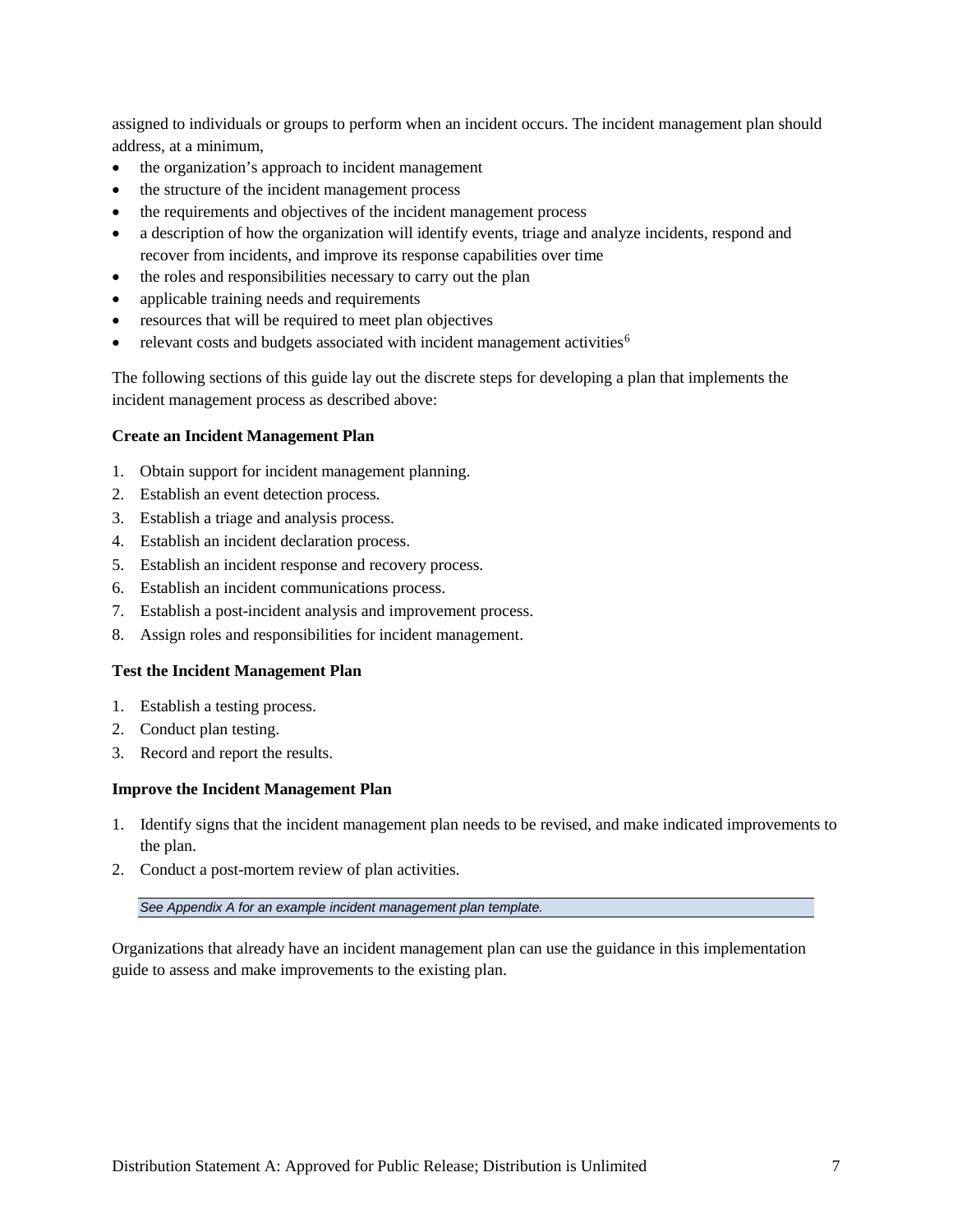assigned to individuals or groups to perform when an incident occurs. The incident management plan should address, at a minimum,

- the organization's approach to incident management
- the structure of the incident management process
- the requirements and objectives of the incident management process
- a description of how the organization will identify events, triage and analyze incidents, respond and recover from incidents, and improve its response capabilities over time
- the roles and responsibilities necessary to carry out the plan
- applicable training needs and requirements
- resources that will be required to meet plan objectives
- relevant costs and budgets associated with incident management activities<sup>6</sup>

The following sections of this guide lay out the discrete steps for developing a plan that implements the incident management process as described above:

#### **Create an Incident Management Plan**

- 1. Obtain support for incident management planning.
- 2. Establish an event detection process.
- 3. Establish a triage and analysis process.
- 4. Establish an incident declaration process.
- 5. Establish an incident response and recovery process.
- 6. Establish an incident communications process.
- 7. Establish a post-incident analysis and improvement process.
- 8. Assign roles and responsibilities for incident management.

#### **Test the Incident Management Plan**

- 1. Establish a testing process.
- 2. Conduct plan testing.
- 3. Record and report the results.

#### **Improve the Incident Management Plan**

- 1. Identify signs that the incident management plan needs to be revised, and make indicated improvements to the plan.
- 2. Conduct a post-mortem review of plan activities.

*Se[e Appendix A](#page-32-0) for an example incident management plan template.* 

Organizations that already have an incident management plan can use the guidance in this implementation guide to assess and make improvements to the existing plan.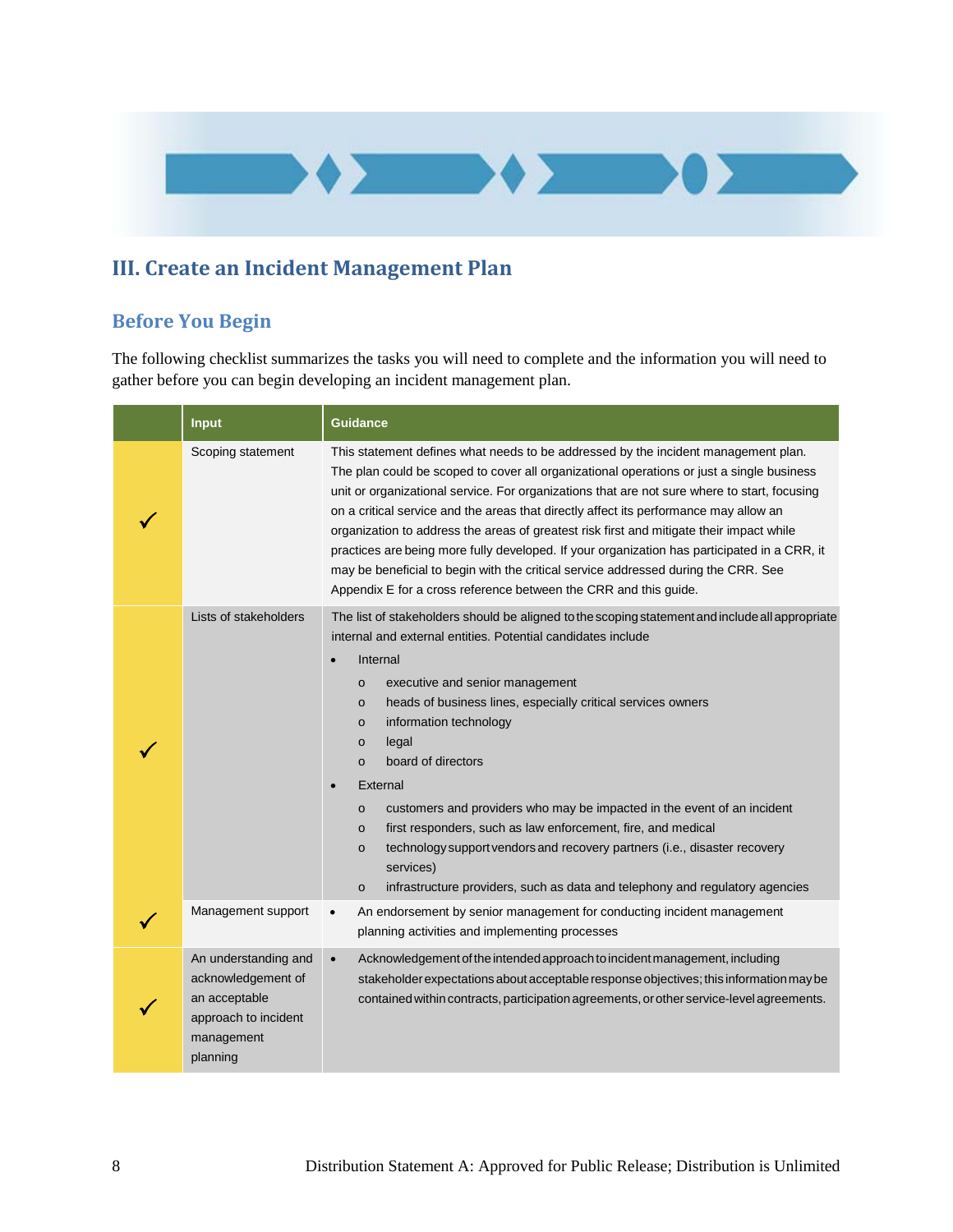

## **III. Create an Incident Management Plan**

## **Before You Begin**

The following checklist summarizes the tasks you will need to complete and the information you will need to gather before you can begin developing an incident management plan.

| <b>Input</b>                                                                                                  | <b>Guidance</b>                                                                                                                                                                                                                                                                                                                                                                                                                                                                                                                                                                                                                                                                                                                                                                    |  |  |
|---------------------------------------------------------------------------------------------------------------|------------------------------------------------------------------------------------------------------------------------------------------------------------------------------------------------------------------------------------------------------------------------------------------------------------------------------------------------------------------------------------------------------------------------------------------------------------------------------------------------------------------------------------------------------------------------------------------------------------------------------------------------------------------------------------------------------------------------------------------------------------------------------------|--|--|
| Scoping statement                                                                                             | This statement defines what needs to be addressed by the incident management plan.<br>The plan could be scoped to cover all organizational operations or just a single business<br>unit or organizational service. For organizations that are not sure where to start, focusing<br>on a critical service and the areas that directly affect its performance may allow an<br>organization to address the areas of greatest risk first and mitigate their impact while<br>practices are being more fully developed. If your organization has participated in a CRR, it<br>may be beneficial to begin with the critical service addressed during the CRR. See<br>Appendix E for a cross reference between the CRR and this guide.                                                     |  |  |
| Lists of stakeholders                                                                                         | The list of stakeholders should be aligned to the scoping statement and include all appropriate<br>internal and external entities. Potential candidates include<br>Internal<br>$\bullet$<br>executive and senior management<br>$\circ$<br>heads of business lines, especially critical services owners<br>$\circ$<br>information technology<br>$\circ$<br>legal<br>o<br>board of directors<br>$\circ$<br>External<br>customers and providers who may be impacted in the event of an incident<br>$\circ$<br>first responders, such as law enforcement, fire, and medical<br>$\circ$<br>technology support vendors and recovery partners (i.e., disaster recovery<br>$\circ$<br>services)<br>infrastructure providers, such as data and telephony and regulatory agencies<br>$\circ$ |  |  |
| Management support                                                                                            | An endorsement by senior management for conducting incident management<br>$\bullet$<br>planning activities and implementing processes                                                                                                                                                                                                                                                                                                                                                                                                                                                                                                                                                                                                                                              |  |  |
| An understanding and<br>acknowledgement of<br>an acceptable<br>approach to incident<br>management<br>planning | Acknowledgement of the intended approach to incident management, including<br>$\bullet$<br>stakeholder expectations about acceptable response objectives; this information may be<br>contained within contracts, participation agreements, or other service-level agreements.                                                                                                                                                                                                                                                                                                                                                                                                                                                                                                      |  |  |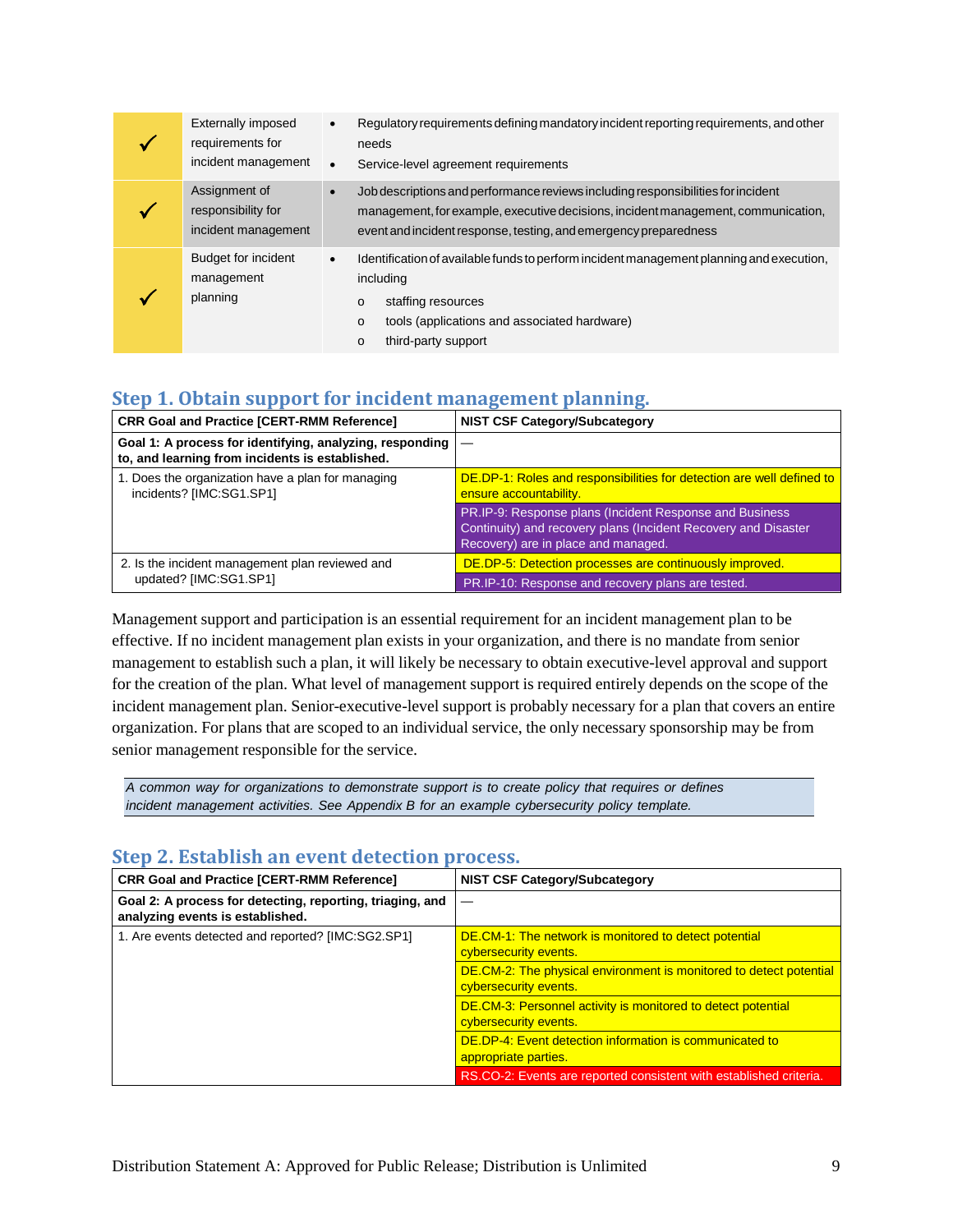| Externally imposed<br>requirements for<br>incident management | $\bullet$<br>$\bullet$         | Regulatory requirements defining mandatory incident reporting requirements, and other<br>needs<br>Service-level agreement requirements                                                                                                    |
|---------------------------------------------------------------|--------------------------------|-------------------------------------------------------------------------------------------------------------------------------------------------------------------------------------------------------------------------------------------|
| Assignment of<br>responsibility for<br>incident management    | $\bullet$                      | Job descriptions and performance reviews including responsibilities for incident<br>management, for example, executive decisions, incident management, communication,<br>event and incident response, testing, and emergency preparedness |
| <b>Budget for incident</b><br>management<br>planning          | $\bullet$<br>o<br>$\circ$<br>o | Identification of available funds to perform incident management planning and execution,<br>including<br>staffing resources<br>tools (applications and associated hardware)<br>third-party support                                        |

## <span id="page-12-0"></span>**Step 1. Obtain support for incident management planning.**

| <b>CRR Goal and Practice [CERT-RMM Reference]</b>                                                           | <b>NIST CSF Category/Subcategory</b>                                                                                                                              |
|-------------------------------------------------------------------------------------------------------------|-------------------------------------------------------------------------------------------------------------------------------------------------------------------|
| Goal 1: A process for identifying, analyzing, responding<br>to, and learning from incidents is established. |                                                                                                                                                                   |
| 1. Does the organization have a plan for managing<br>incidents? [IMC:SG1.SP1]                               | DE.DP-1: Roles and responsibilities for detection are well defined to<br>ensure accountability.                                                                   |
|                                                                                                             | PR.IP-9: Response plans (Incident Response and Business)<br>Continuity) and recovery plans (Incident Recovery and Disaster<br>Recovery) are in place and managed. |
| 2. Is the incident management plan reviewed and                                                             | DE.DP-5: Detection processes are continuously improved.                                                                                                           |
| updated? [IMC:SG1.SP1]                                                                                      | PR.IP-10: Response and recovery plans are tested.                                                                                                                 |

Management support and participation is an essential requirement for an incident management plan to be effective. If no incident management plan exists in your organization, and there is no mandate from senior management to establish such a plan, it will likely be necessary to obtain executive-level approval and support for the creation of the plan. What level of management support is required entirely depends on the scope of the incident management plan. Senior-executive-level support is probably necessary for a plan that covers an entire organization. For plans that are scoped to an individual service, the only necessary sponsorship may be from senior management responsible for the service.

*A common way for organizations to demonstrate support is to create policy that requires or defines incident management activities. See [Appendix B](#page-37-0) for an example cybersecurity policy template.*

#### <span id="page-12-1"></span>**Step 2. Establish an event detection process.**

| <b>CRR Goal and Practice [CERT-RMM Reference]</b>                                             | <b>NIST CSF Category/Subcategory</b>                                                        |
|-----------------------------------------------------------------------------------------------|---------------------------------------------------------------------------------------------|
| Goal 2: A process for detecting, reporting, triaging, and<br>analyzing events is established. |                                                                                             |
| 1. Are events detected and reported? [IMC:SG2.SP1]                                            | DE.CM-1: The network is monitored to detect potential<br>cybersecurity events.              |
|                                                                                               | DE.CM-2: The physical environment is monitored to detect potential<br>cybersecurity events. |
|                                                                                               | DE.CM-3: Personnel activity is monitored to detect potential<br>cybersecurity events.       |
|                                                                                               | DE.DP-4: Event detection information is communicated to<br>appropriate parties.             |
|                                                                                               | RS.CO-2: Events are reported consistent with established criteria.                          |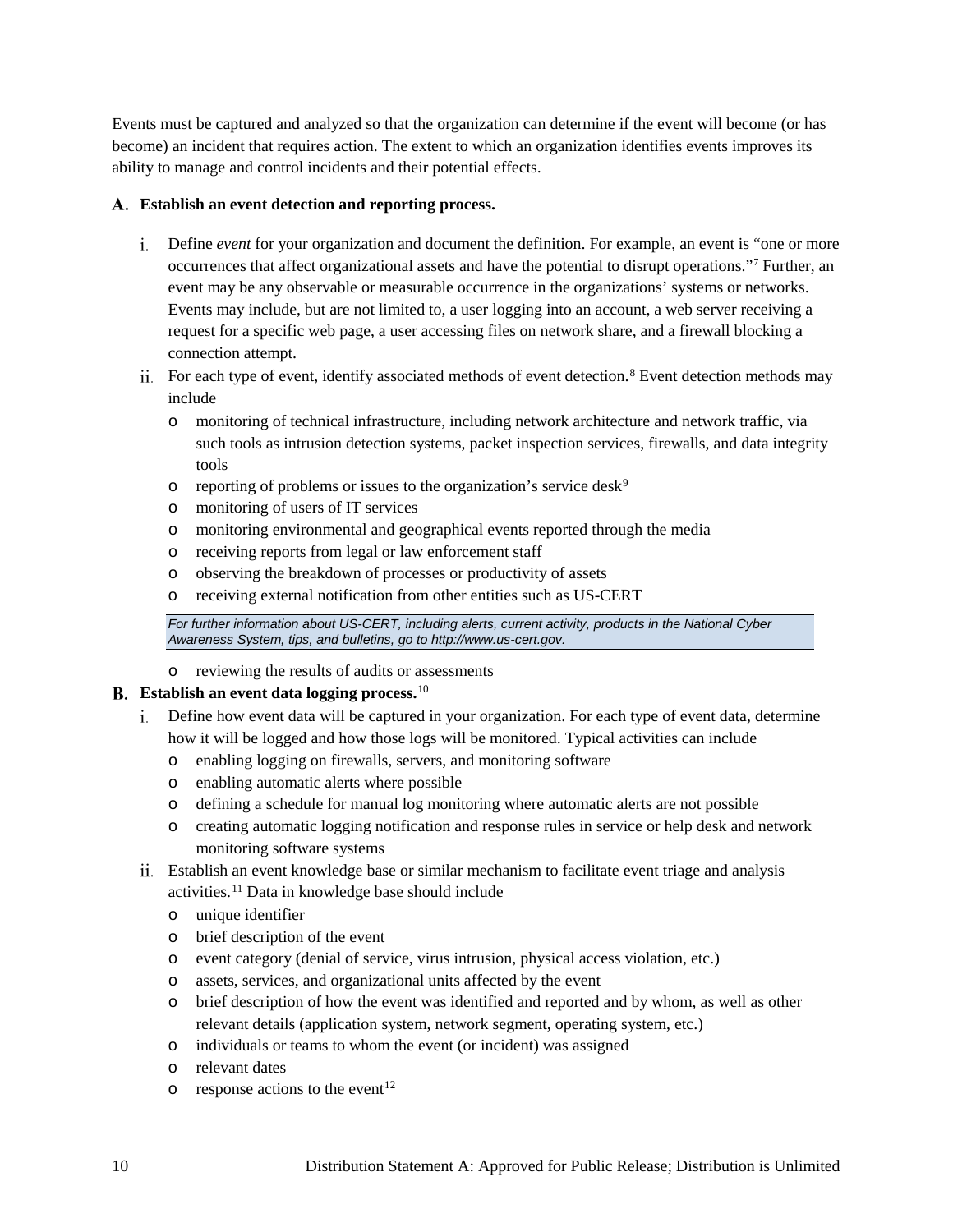Events must be captured and analyzed so that the organization can determine if the event will become (or has become) an incident that requires action. The extent to which an organization identifies events improves its ability to manage and control incidents and their potential effects.

#### **Establish an event detection and reporting process.**

- Define *event* for your organization and document the definition. For example, an event is "one or more occurrences that affect organizational assets and have the potential to disrupt operations."[7](#page-53-1) Further, an event may be any observable or measurable occurrence in the organizations' systems or networks. Events may include, but are not limited to, a user logging into an account, a web server receiving a request for a specific web page, a user accessing files on network share, and a firewall blocking a connection attempt.
- For each type of event, identify associated methods of event detection.<sup>[8](#page-53-2)</sup> Event detection methods may include
	- o monitoring of technical infrastructure, including network architecture and network traffic, via such tools as intrusion detection systems, packet inspection services, firewalls, and data integrity tools
	- $\circ$  reporting of problems or issues to the organization's service desk<sup>[9](#page-53-3)</sup>
	- o monitoring of users of IT services
	- o monitoring environmental and geographical events reported through the media
	- o receiving reports from legal or law enforcement staff
	- o observing the breakdown of processes or productivity of assets
	- o receiving external notification from other entities such as US-CERT

*For further information about US-CERT, including alerts, current activity, products in the National Cyber Awareness System, tips, and bulletins, go to [http://www.us-cert.gov.](http://www.us-cert.gov/)* 

o reviewing the results of audits or assessments

#### **Establish an event data logging process.**[10](#page-53-4)

- Define how event data will be captured in your organization. For each type of event data, determine how it will be logged and how those logs will be monitored. Typical activities can include
	- o enabling logging on firewalls, servers, and monitoring software
	- o enabling automatic alerts where possible
	- o defining a schedule for manual log monitoring where automatic alerts are not possible
	- o creating automatic logging notification and response rules in service or help desk and network monitoring software systems
- Establish an event knowledge base or similar mechanism to facilitate event triage and analysis activities.[11](#page-53-5) Data in knowledge base should include
	- o unique identifier
	- o brief description of the event
	- o event category (denial of service, virus intrusion, physical access violation, etc.)
	- o assets, services, and organizational units affected by the event
	- o brief description of how the event was identified and reported and by whom, as well as other relevant details (application system, network segment, operating system, etc.)
	- o individuals or teams to whom the event (or incident) was assigned
	- o relevant dates
	- $\circ$  response actions to the event<sup>[12](#page-53-6)</sup>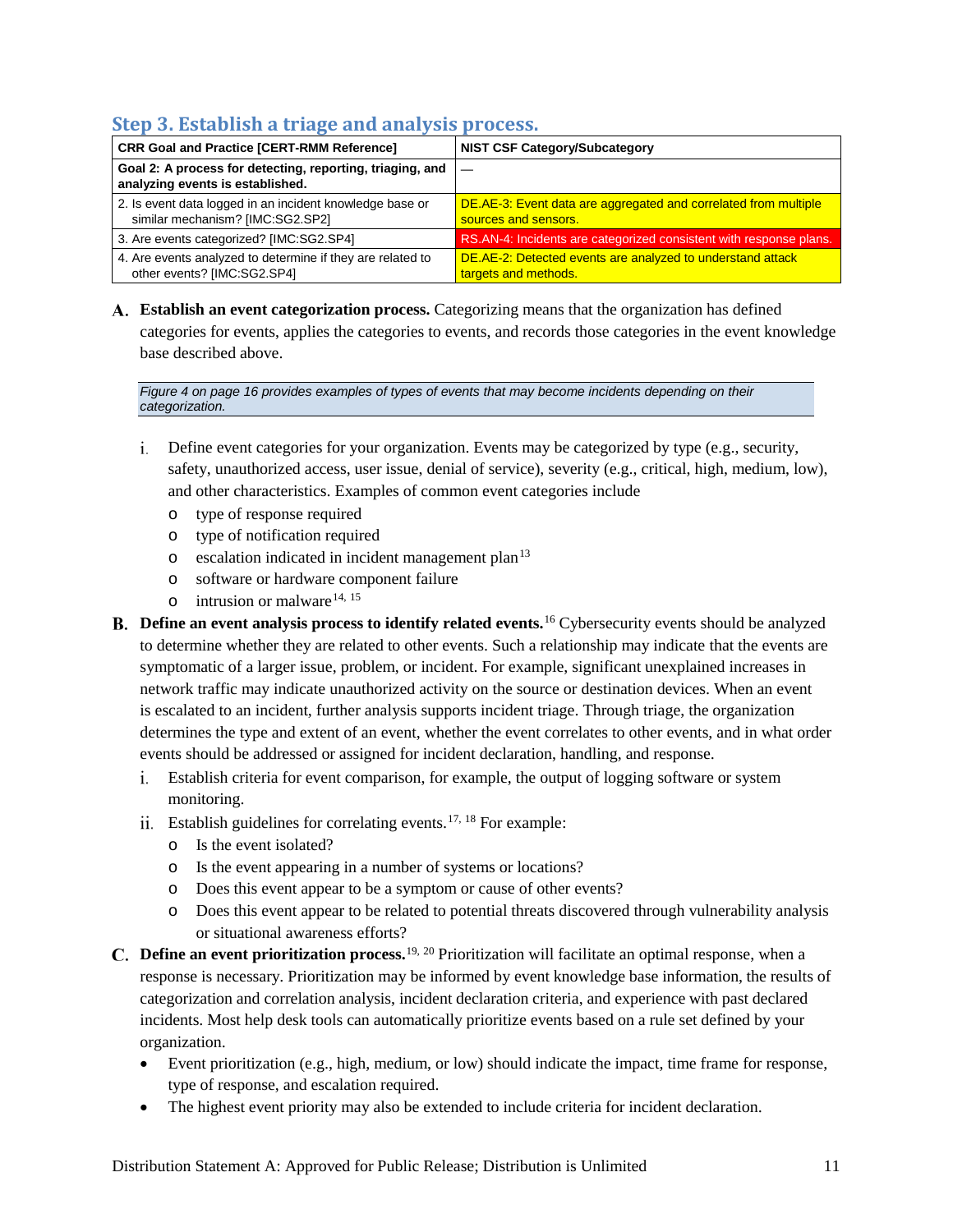## <span id="page-14-0"></span>**Step 3. Establish a triage and analysis process.**

| <b>CRR Goal and Practice [CERT-RMM Reference]</b>                                             | <b>NIST CSF Category/Subcategory</b>                                                    |
|-----------------------------------------------------------------------------------------------|-----------------------------------------------------------------------------------------|
| Goal 2: A process for detecting, reporting, triaging, and<br>analyzing events is established. |                                                                                         |
| 2. Is event data logged in an incident knowledge base or<br>similar mechanism? [IMC:SG2.SP2]  | DE.AE-3: Event data are aggregated and correlated from multiple<br>sources and sensors. |
| 3. Are events categorized? [IMC:SG2.SP4]                                                      | RS.AN-4: Incidents are categorized consistent with response plans.                      |
| 4. Are events analyzed to determine if they are related to<br>other events? [IMC:SG2.SP4]     | DE.AE-2: Detected events are analyzed to understand attack<br>targets and methods.      |

**Establish an event categorization process.** Categorizing means that the organization has defined categories for events, applies the categories to events, and records those categories in the event knowledge base described above.

*[Figure 4](#page-19-0) on pag[e 16](#page-19-0) provides examples of types of events that may become incidents depending on their categorization.*

- Define event categories for your organization. Events may be categorized by type (e.g., security, safety, unauthorized access, user issue, denial of service), severity (e.g., critical, high, medium, low), and other characteristics. Examples of common event categories include
	- o type of response required
	- o type of notification required
	- $\circ$  escalation indicated in incident management plan<sup>[13](#page-53-7)</sup>
	- o software or hardware component failure
	- $\circ$  intrusion or malware<sup>[14,](#page-53-8) [15](#page-53-9)</sup>
- **Define an event analysis process to identify related events.**[16](#page-53-10) Cybersecurity events should be analyzed to determine whether they are related to other events. Such a relationship may indicate that the events are symptomatic of a larger issue, problem, or incident. For example, significant unexplained increases in network traffic may indicate unauthorized activity on the source or destination devices. When an event is escalated to an incident, further analysis supports incident triage. Through triage, the organization determines the type and extent of an event, whether the event correlates to other events, and in what order events should be addressed or assigned for incident declaration, handling, and response.
	- Establish criteria for event comparison, for example, the output of logging software or system monitoring.
	- ii. Establish guidelines for correlating events.<sup>[17,](#page-53-11) 18</sup> For example:
		- o Is the event isolated?
		- o Is the event appearing in a number of systems or locations?
		- o Does this event appear to be a symptom or cause of other events?
		- o Does this event appear to be related to potential threats discovered through vulnerability analysis or situational awareness efforts?
- **Define an event prioritization process.**[19](#page-53-13), [20](#page-53-14) Prioritization will facilitate an optimal response, when a response is necessary. Prioritization may be informed by event knowledge base information, the results of categorization and correlation analysis, incident declaration criteria, and experience with past declared incidents. Most help desk tools can automatically prioritize events based on a rule set defined by your organization.
	- Event prioritization (e.g., high, medium, or low) should indicate the impact, time frame for response, type of response, and escalation required.
	- The highest event priority may also be extended to include criteria for incident declaration.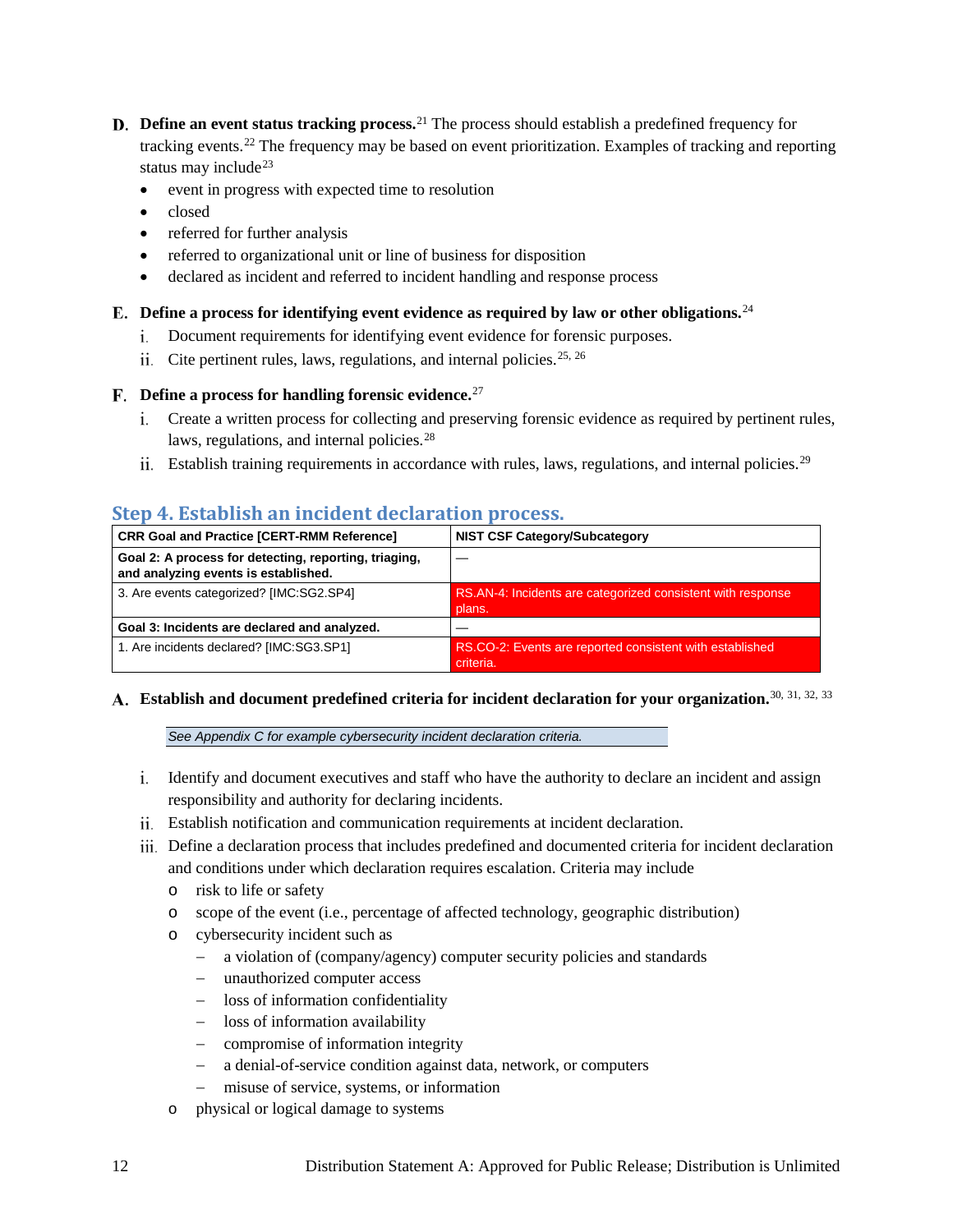- **D.** Define an event status tracking process.<sup>[21](#page-53-15)</sup> The process should establish a predefined frequency for tracking events.[22](#page-53-16) The frequency may be based on event prioritization. Examples of tracking and reporting status may include<sup>[23](#page-53-17)</sup>
	- event in progress with expected time to resolution
	- closed
	- referred for further analysis
	- referred to organizational unit or line of business for disposition
	- declared as incident and referred to incident handling and response process

#### **Define a process for identifying event evidence as required by law or other obligations.**[24](#page-53-18)

- Document requirements for identifying event evidence for forensic purposes.
- ii. Cite pertinent rules, laws, regulations, and internal policies.<sup>[25](#page-53-19), [26](#page-53-20)</sup>

#### **Define a process for handling forensic evidence.**[27](#page-53-21)

- Create a written process for collecting and preserving forensic evidence as required by pertinent rules, laws, regulations, and internal policies.<sup>[28](#page-53-22)</sup>
- ii. Establish training requirements in accordance with rules, laws, regulations, and internal policies.<sup>[29](#page-53-23)</sup>

#### <span id="page-15-0"></span>**Step 4. Establish an incident declaration process.**

| <b>CRR Goal and Practice [CERT-RMM Reference]</b>                                             | <b>NIST CSF Category/Subcategory</b>                                  |
|-----------------------------------------------------------------------------------------------|-----------------------------------------------------------------------|
| Goal 2: A process for detecting, reporting, triaging,<br>and analyzing events is established. |                                                                       |
| 3. Are events categorized? [IMC:SG2.SP4]                                                      | RS.AN-4: Incidents are categorized consistent with response<br>plans. |
| Goal 3: Incidents are declared and analyzed.                                                  |                                                                       |
| 1. Are incidents declared? [IMC:SG3.SP1]                                                      | RS.CO-2: Events are reported consistent with established<br>criteria. |

## **Establish and document predefined criteria for incident declaration for your organization.**[30,](#page-53-24) [31](#page-53-25), [32,](#page-53-26) [33](#page-53-27)

*Se[e Appendix C](#page-39-0) for example cybersecurity incident declaration criteria.*

- i. Identify and document executives and staff who have the authority to declare an incident and assign responsibility and authority for declaring incidents.
- Establish notification and communication requirements at incident declaration.
- Define a declaration process that includes predefined and documented criteria for incident declaration and conditions under which declaration requires escalation. Criteria may include
	- o risk to life or safety
	- o scope of the event (i.e., percentage of affected technology, geographic distribution)
	- o cybersecurity incident such as
		- − a violation of (company/agency) computer security policies and standards
		- − unauthorized computer access
		- − loss of information confidentiality
		- − loss of information availability
		- − compromise of information integrity
		- − a denial-of-service condition against data, network, or computers
		- − misuse of service, systems, or information
	- o physical or logical damage to systems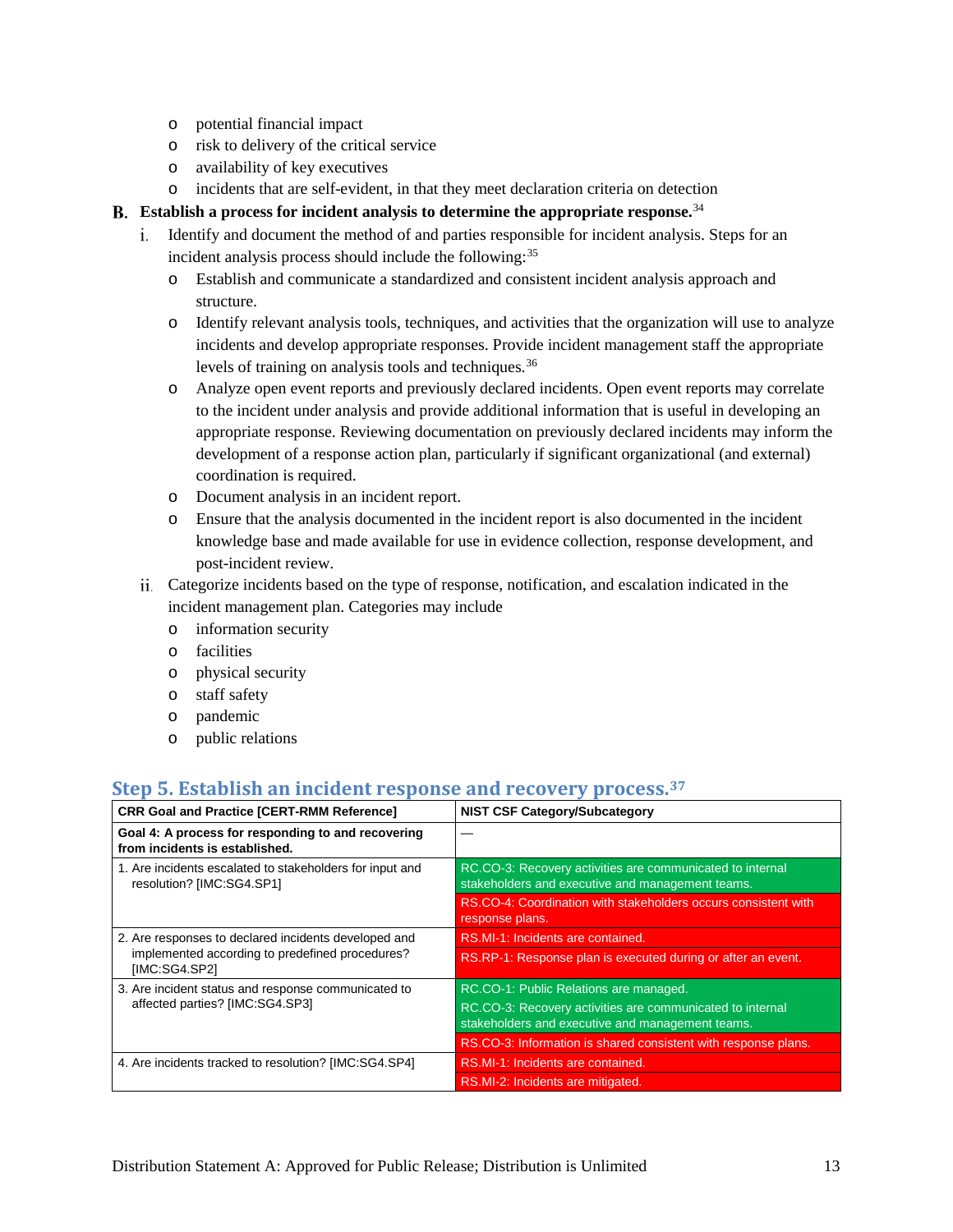- o potential financial impact
- o risk to delivery of the critical service
- o availability of key executives
- o incidents that are self-evident, in that they meet declaration criteria on detection

#### **Establish a process for incident analysis to determine the appropriate response.**[34](#page-53-28)

- Identify and document the method of and parties responsible for incident analysis. Steps for an incident analysis process should include the following:<sup>[35](#page-53-29)</sup>
	- o Establish and communicate a standardized and consistent incident analysis approach and structure.
	- o Identify relevant analysis tools, techniques, and activities that the organization will use to analyze incidents and develop appropriate responses. Provide incident management staff the appropriate levels of training on analysis tools and techniques.[36](#page-53-30)
	- o Analyze open event reports and previously declared incidents. Open event reports may correlate to the incident under analysis and provide additional information that is useful in developing an appropriate response. Reviewing documentation on previously declared incidents may inform the development of a response action plan, particularly if significant organizational (and external) coordination is required.
	- o Document analysis in an incident report.
	- o Ensure that the analysis documented in the incident report is also documented in the incident knowledge base and made available for use in evidence collection, response development, and post-incident review.
- Categorize incidents based on the type of response, notification, and escalation indicated in the incident management plan. Categories may include
	- o information security
	- o facilities
	- o physical security
	- o staff safety
	- o pandemic
	- o public relations

## <span id="page-16-0"></span>**Step 5. Establish an incident response and recovery process.[37](#page-53-14)**

| <b>CRR Goal and Practice [CERT-RMM Reference]</b>                                     | <b>NIST CSF Category/Subcategory</b>                                                                          |
|---------------------------------------------------------------------------------------|---------------------------------------------------------------------------------------------------------------|
| Goal 4: A process for responding to and recovering<br>from incidents is established.  |                                                                                                               |
| 1. Are incidents escalated to stakeholders for input and<br>resolution? [IMC:SG4.SP1] | RC.CO-3: Recovery activities are communicated to internal<br>stakeholders and executive and management teams. |
|                                                                                       | RS.CO-4: Coordination with stakeholders occurs consistent with<br>response plans.                             |
| 2. Are responses to declared incidents developed and                                  | RS.MI-1: Incidents are contained.                                                                             |
| implemented according to predefined procedures?<br>[IMC:SG4.SP2]                      | RS.RP-1: Response plan is executed during or after an event.                                                  |
| 3. Are incident status and response communicated to                                   | RC.CO-1: Public Relations are managed.                                                                        |
| affected parties? [IMC:SG4.SP3]                                                       | RC.CO-3: Recovery activities are communicated to internal<br>stakeholders and executive and management teams. |
|                                                                                       | RS.CO-3: Information is shared consistent with response plans.                                                |
| 4. Are incidents tracked to resolution? [IMC:SG4.SP4]                                 | RS.MI-1: Incidents are contained.                                                                             |
|                                                                                       | RS.MI-2: Incidents are mitigated.                                                                             |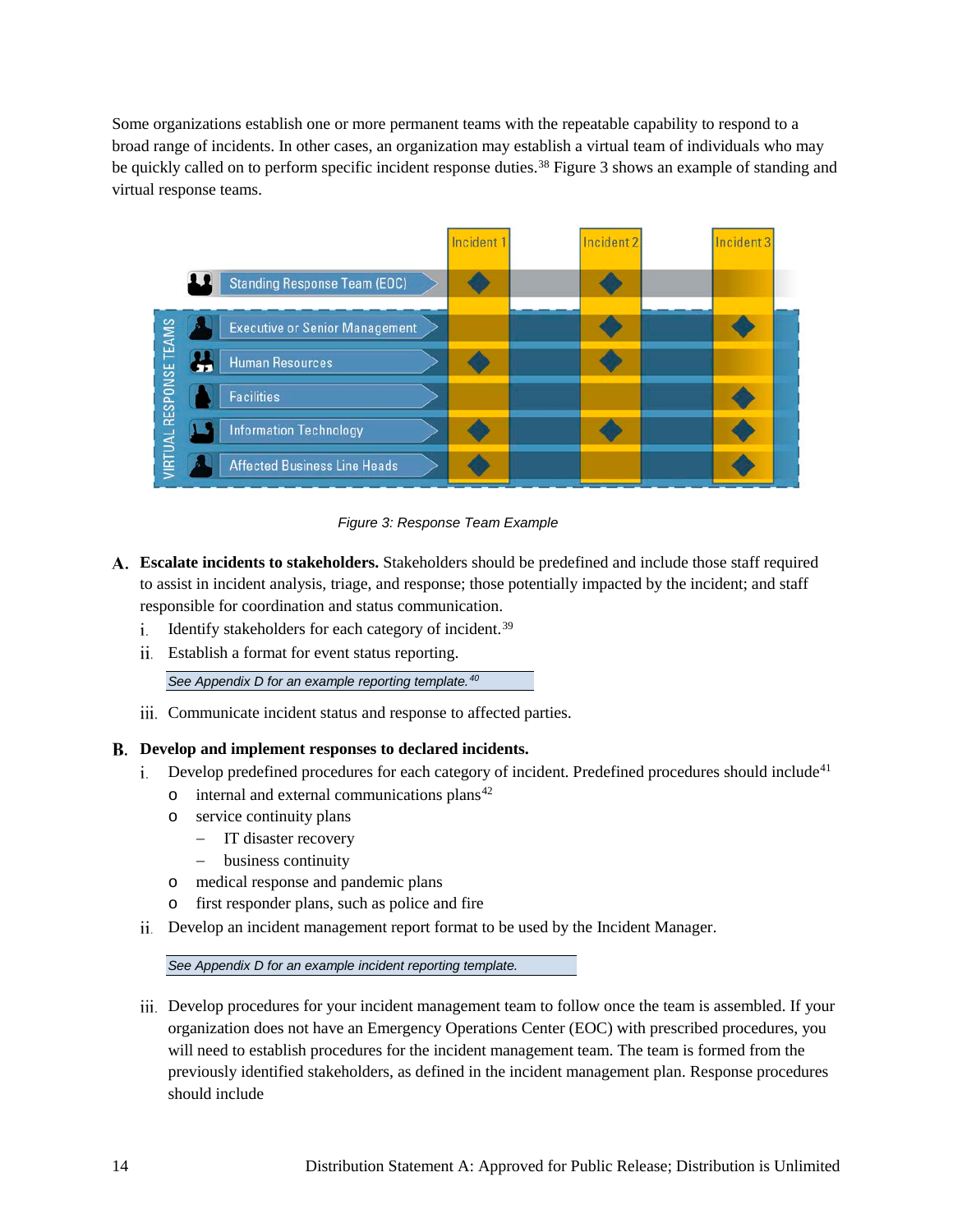Some organizations establish one or more permanent teams with the repeatable capability to respond to a broad range of incidents. In other cases, an organization may establish a virtual team of individuals who may be quickly called on to perform specific incident response duties.<sup>[38](#page-53-15)</sup> [Figure 3](#page-17-0) shows an example of standing and virtual response teams.



*Figure 3: Response Team Example*

- <span id="page-17-0"></span>**Escalate incidents to stakeholders.** Stakeholders should be predefined and include those staff required to assist in incident analysis, triage, and response; those potentially impacted by the incident; and staff responsible for coordination and status communication.
	- i. Identify stakeholders for each category of incident.<sup>[39](#page-53-31)</sup>
	- Establish a format for event status reporting.

*Se[e Appendix D](#page-41-0) for an example reporting template.[40](#page-53-32)* 

iii. Communicate incident status and response to affected parties.

#### **Develop and implement responses to declared incidents.**

- i. Develop predefined procedures for each category of incident. Predefined procedures should include<sup>[41](#page-53-33)</sup>
	- $\circ$  internal and external communications plans<sup>[42](#page-53-34)</sup>
	- o service continuity plans
		- − IT disaster recovery
		- − business continuity
	- o medical response and pandemic plans
	- o first responder plans, such as police and fire
- Develop an incident management report format to be used by the Incident Manager.

*Se[e Appendix D](#page-41-0) for an example incident reporting template.* 

Develop procedures for your incident management team to follow once the team is assembled. If your organization does not have an Emergency Operations Center (EOC) with prescribed procedures, you will need to establish procedures for the incident management team. The team is formed from the previously identified stakeholders, as defined in the incident management plan. Response procedures should include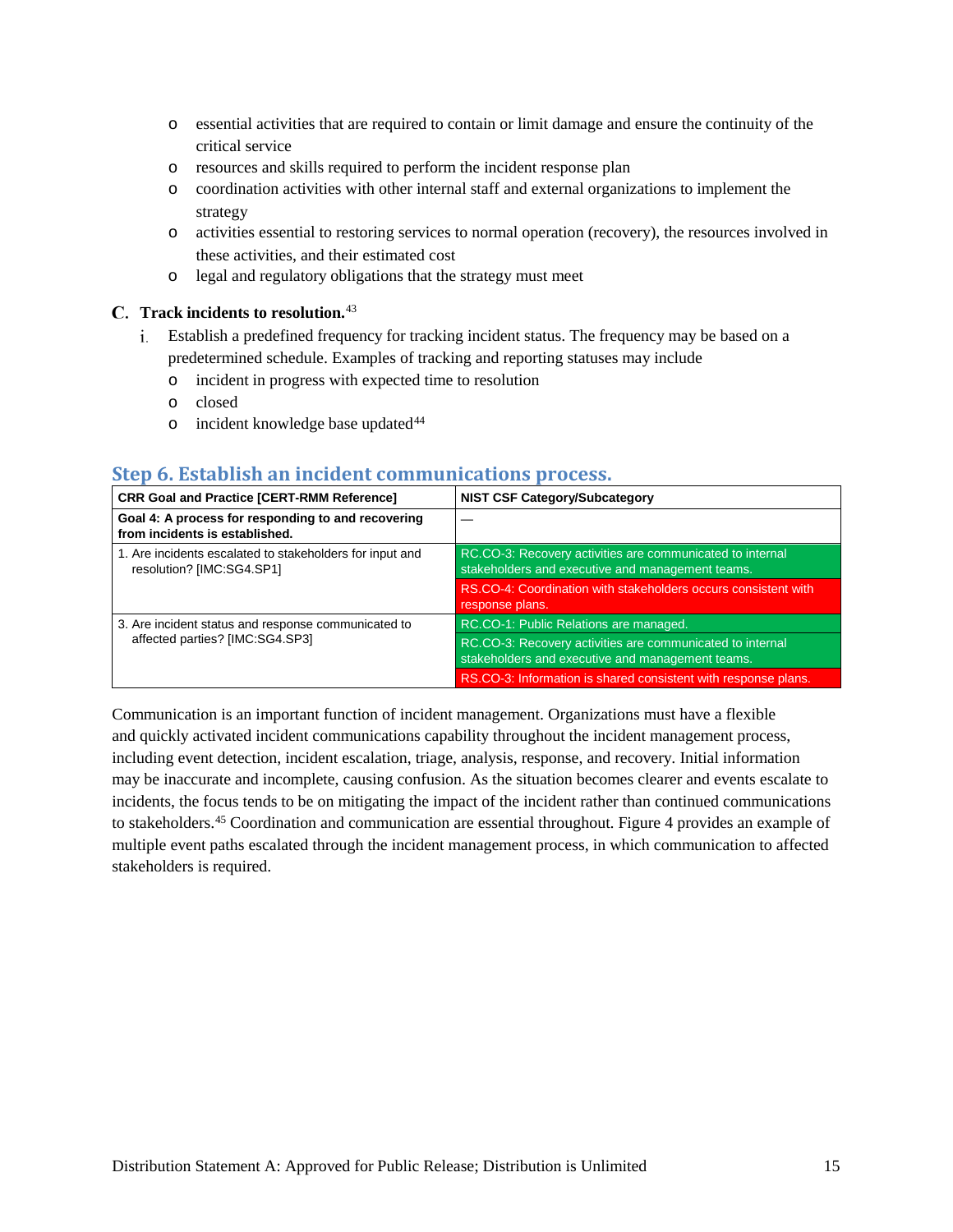- o essential activities that are required to contain or limit damage and ensure the continuity of the critical service
- o resources and skills required to perform the incident response plan
- o coordination activities with other internal staff and external organizations to implement the strategy
- o activities essential to restoring services to normal operation (recovery), the resources involved in these activities, and their estimated cost
- o legal and regulatory obligations that the strategy must meet

#### **Track incidents to resolution.**[43](#page-53-35)

- Establish a predefined frequency for tracking incident status. The frequency may be based on a predetermined schedule. Examples of tracking and reporting statuses may include
	- o incident in progress with expected time to resolution
	- o closed
	- $\circ$  incident knowledge base updated<sup>[44](#page-53-36)</sup>

#### <span id="page-18-0"></span>**Step 6. Establish an incident communications process.**

| <b>CRR Goal and Practice [CERT-RMM Reference]</b>                                     | <b>NIST CSF Category/Subcategory</b>                                                                          |
|---------------------------------------------------------------------------------------|---------------------------------------------------------------------------------------------------------------|
| Goal 4: A process for responding to and recovering<br>from incidents is established.  |                                                                                                               |
| 1. Are incidents escalated to stakeholders for input and<br>resolution? [IMC:SG4.SP1] | RC.CO-3: Recovery activities are communicated to internal<br>stakeholders and executive and management teams. |
|                                                                                       | RS.CO-4: Coordination with stakeholders occurs consistent with<br>response plans.                             |
| 3. Are incident status and response communicated to                                   | RC.CO-1: Public Relations are managed.                                                                        |
| affected parties? [IMC:SG4.SP3]                                                       | RC.CO-3: Recovery activities are communicated to internal<br>stakeholders and executive and management teams. |
|                                                                                       | RS.CO-3: Information is shared consistent with response plans.                                                |

Communication is an important function of incident management. Organizations must have a flexible and quickly activated incident communications capability throughout the incident management process, including event detection, incident escalation, triage, analysis, response, and recovery. Initial information may be inaccurate and incomplete, causing confusion. As the situation becomes clearer and events escalate to incidents, the focus tends to be on mitigating the impact of the incident rather than continued communications to stakeholders.[45](#page-53-37) Coordination and communication are essential throughout. [Figure 4](#page-19-0) provides an example of multiple event paths escalated through the incident management process, in which communication to affected stakeholders is required.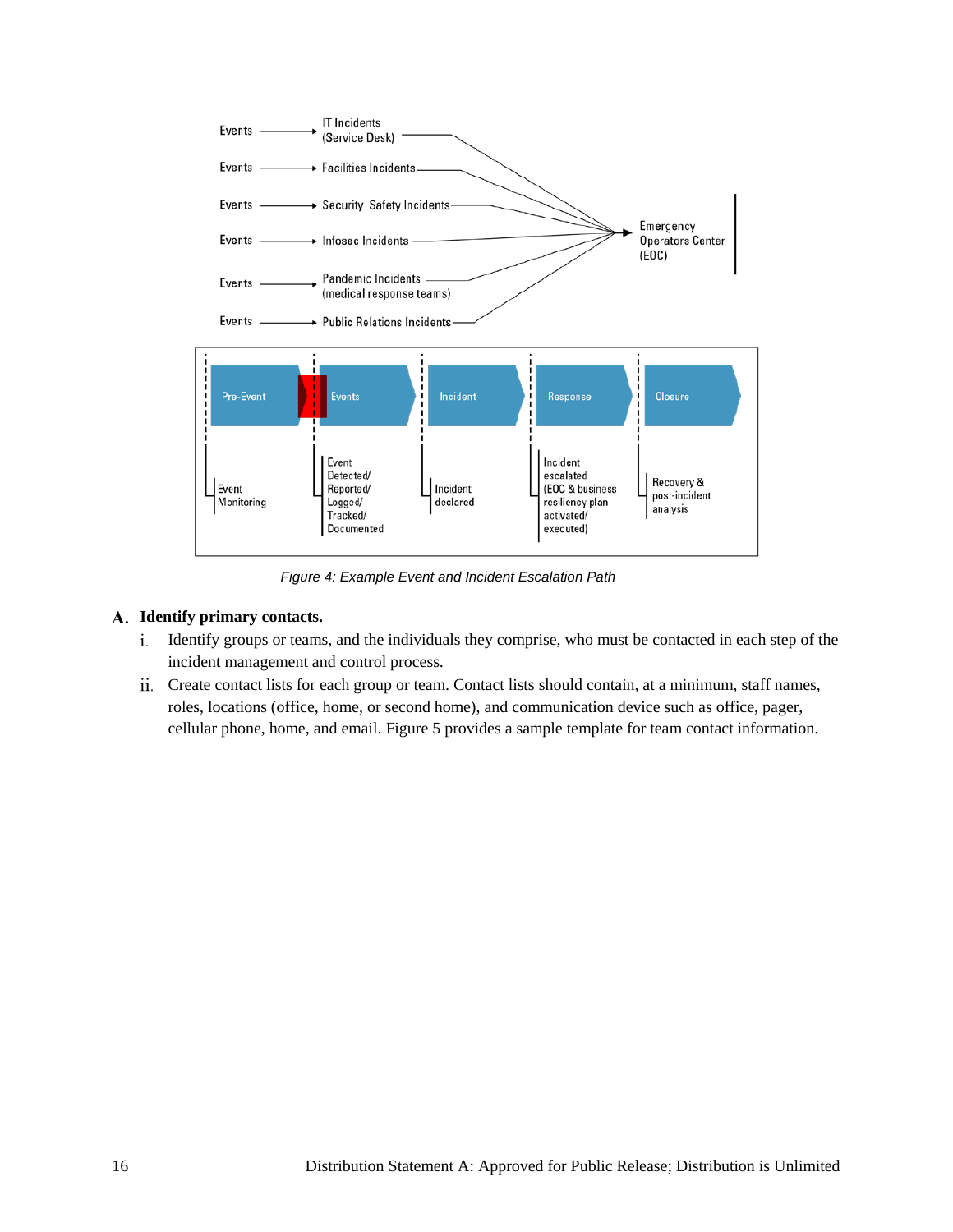

*Figure 4: Example Event and Incident Escalation Path*

#### <span id="page-19-0"></span>**Identify primary contacts.**

- Identify groups or teams, and the individuals they comprise, who must be contacted in each step of the incident management and control process.
- Create contact lists for each group or team. Contact lists should contain, at a minimum, staff names, roles, locations (office, home, or second home), and communication device such as office, pager, cellular phone, home, and email. [Figure 5](#page-20-0) provides a sample template for team contact information.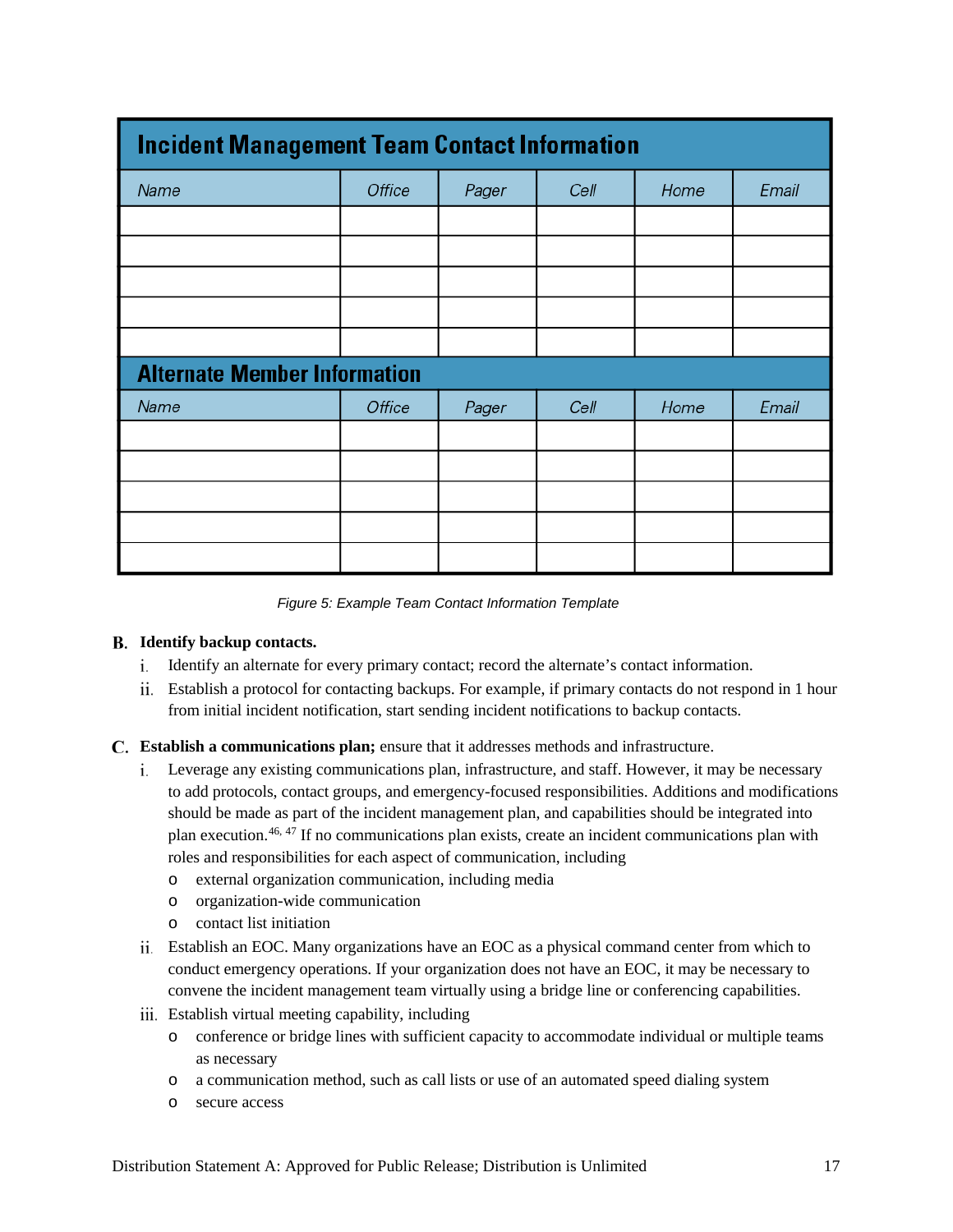| <b>Incident Management Team Contact Information</b> |               |       |      |      |       |
|-----------------------------------------------------|---------------|-------|------|------|-------|
| Name                                                | <b>Office</b> | Pager | Cell | Home | Email |
|                                                     |               |       |      |      |       |
|                                                     |               |       |      |      |       |
|                                                     |               |       |      |      |       |
|                                                     |               |       |      |      |       |
|                                                     |               |       |      |      |       |
| <b>Alternate Member Information</b>                 |               |       |      |      |       |
| Name                                                | Office        | Pager | Cell | Home | Email |
|                                                     |               |       |      |      |       |
|                                                     |               |       |      |      |       |
|                                                     |               |       |      |      |       |
|                                                     |               |       |      |      |       |
|                                                     |               |       |      |      |       |

*Figure 5: Example Team Contact Information Template*

#### <span id="page-20-0"></span>**Identify backup contacts.**

- i. Identify an alternate for every primary contact; record the alternate's contact information.
- Establish a protocol for contacting backups. For example, if primary contacts do not respond in 1 hour from initial incident notification, start sending incident notifications to backup contacts.
- **Establish a communications plan;** ensure that it addresses methods and infrastructure.
	- Leverage any existing communications plan, infrastructure, and staff. However, it may be necessary to add protocols, contact groups, and emergency-focused responsibilities. Additions and modifications should be made as part of the incident management plan, and capabilities should be integrated into plan execution.<sup>[46,](#page-53-38) 47</sup> If no communications plan exists, create an incident communications plan with roles and responsibilities for each aspect of communication, including
		- o external organization communication, including media
		- o organization-wide communication
		- o contact list initiation
	- Establish an EOC. Many organizations have an EOC as a physical command center from which to conduct emergency operations. If your organization does not have an EOC, it may be necessary to convene the incident management team virtually using a bridge line or conferencing capabilities.
	- Establish virtual meeting capability, including
		- o conference or bridge lines with sufficient capacity to accommodate individual or multiple teams as necessary
		- o a communication method, such as call lists or use of an automated speed dialing system
		- o secure access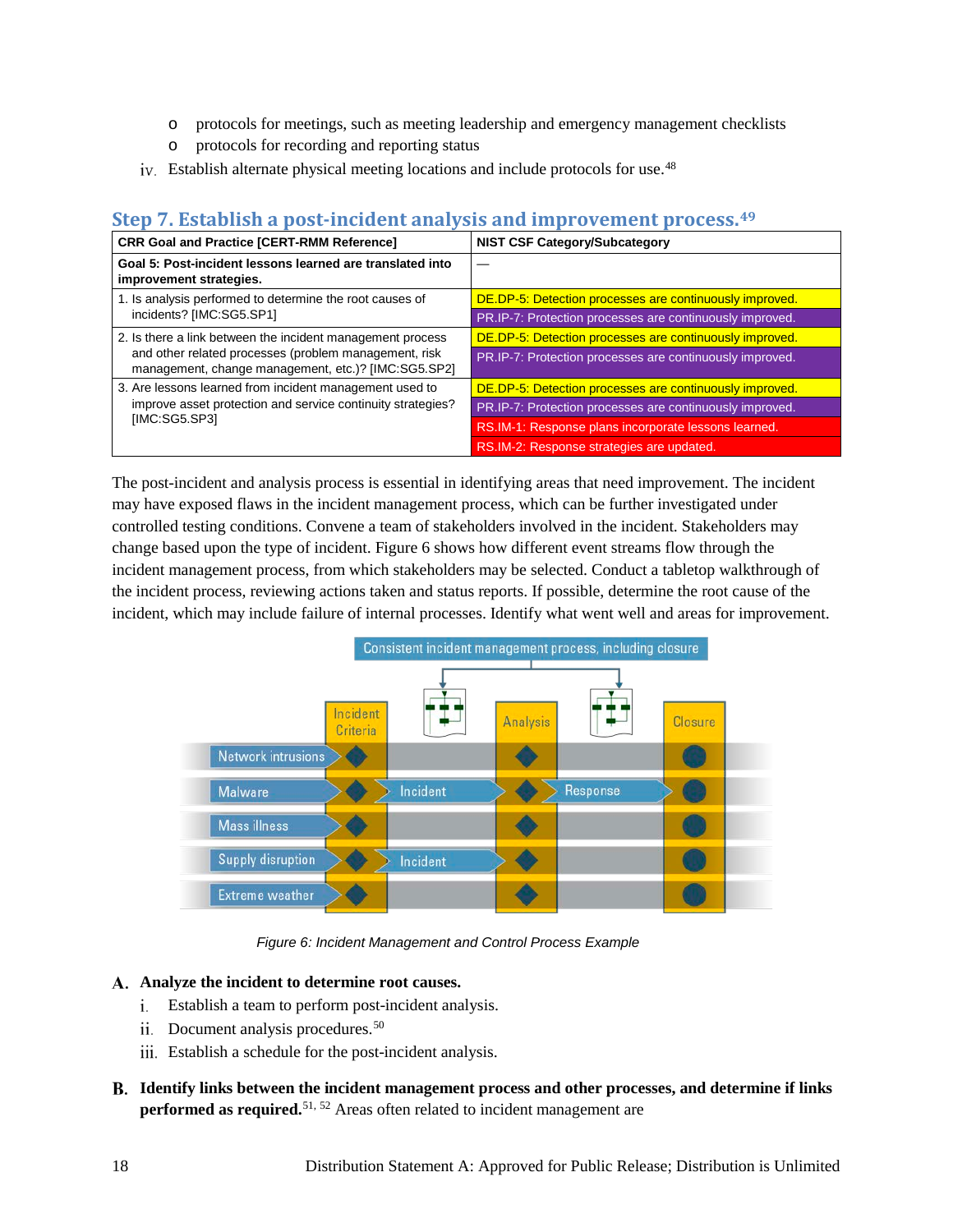- o protocols for meetings, such as meeting leadership and emergency management checklists
- o protocols for recording and reporting status
- iv. Establish alternate physical meeting locations and include protocols for use.<sup>[48](#page-53-7)</sup>

## <span id="page-21-0"></span>**Step 7. Establish a post-incident analysis and improvement process.[49](#page-53-40)**

| <b>CRR Goal and Practice [CERT-RMM Reference]</b>                                                                                       | <b>NIST CSF Category/Subcategory</b>                     |  |  |
|-----------------------------------------------------------------------------------------------------------------------------------------|----------------------------------------------------------|--|--|
| Goal 5: Post-incident lessons learned are translated into<br>improvement strategies.                                                    |                                                          |  |  |
| 1. Is analysis performed to determine the root causes of                                                                                | DE.DP-5: Detection processes are continuously improved.  |  |  |
| incidents? [IMC:SG5.SP1]                                                                                                                | PR.IP-7: Protection processes are continuously improved. |  |  |
| 2. Is there a link between the incident management process                                                                              | DE.DP-5: Detection processes are continuously improved.  |  |  |
| and other related processes (problem management, risk<br>management, change management, etc.)? [IMC:SG5.SP2]                            | PR.IP-7: Protection processes are continuously improved. |  |  |
| 3. Are lessons learned from incident management used to<br>improve asset protection and service continuity strategies?<br>[IMC:SG5.SP3] | DE.DP-5: Detection processes are continuously improved.  |  |  |
|                                                                                                                                         | PR.IP-7: Protection processes are continuously improved. |  |  |
|                                                                                                                                         | RS.IM-1: Response plans incorporate lessons learned.     |  |  |
|                                                                                                                                         | RS.IM-2: Response strategies are updated.                |  |  |

The post-incident and analysis process is essential in identifying areas that need improvement. The incident may have exposed flaws in the incident management process, which can be further investigated under controlled testing conditions. Convene a team of stakeholders involved in the incident. Stakeholders may change based upon the type of incident. [Figure 6 s](#page-21-1)hows how different event streams flow through the incident management process, from which stakeholders may be selected. Conduct a tabletop walkthrough of the incident process, reviewing actions taken and status reports. If possible, determine the root cause of the incident, which may include failure of internal processes. Identify what went well and areas for improvement.



*Figure 6: Incident Management and Control Process Example*

#### <span id="page-21-1"></span>**Analyze the incident to determine root causes.**

- Establish a team to perform post-incident analysis.
- ii. Document analysis procedures.<sup>[50](#page-53-41)</sup>
- iii. Establish a schedule for the post-incident analysis.
- **Identify links between the incident management process and other processes, and determine if links performed as required.** [51,](#page-53-42) [52](#page-53-43) Areas often related to incident management are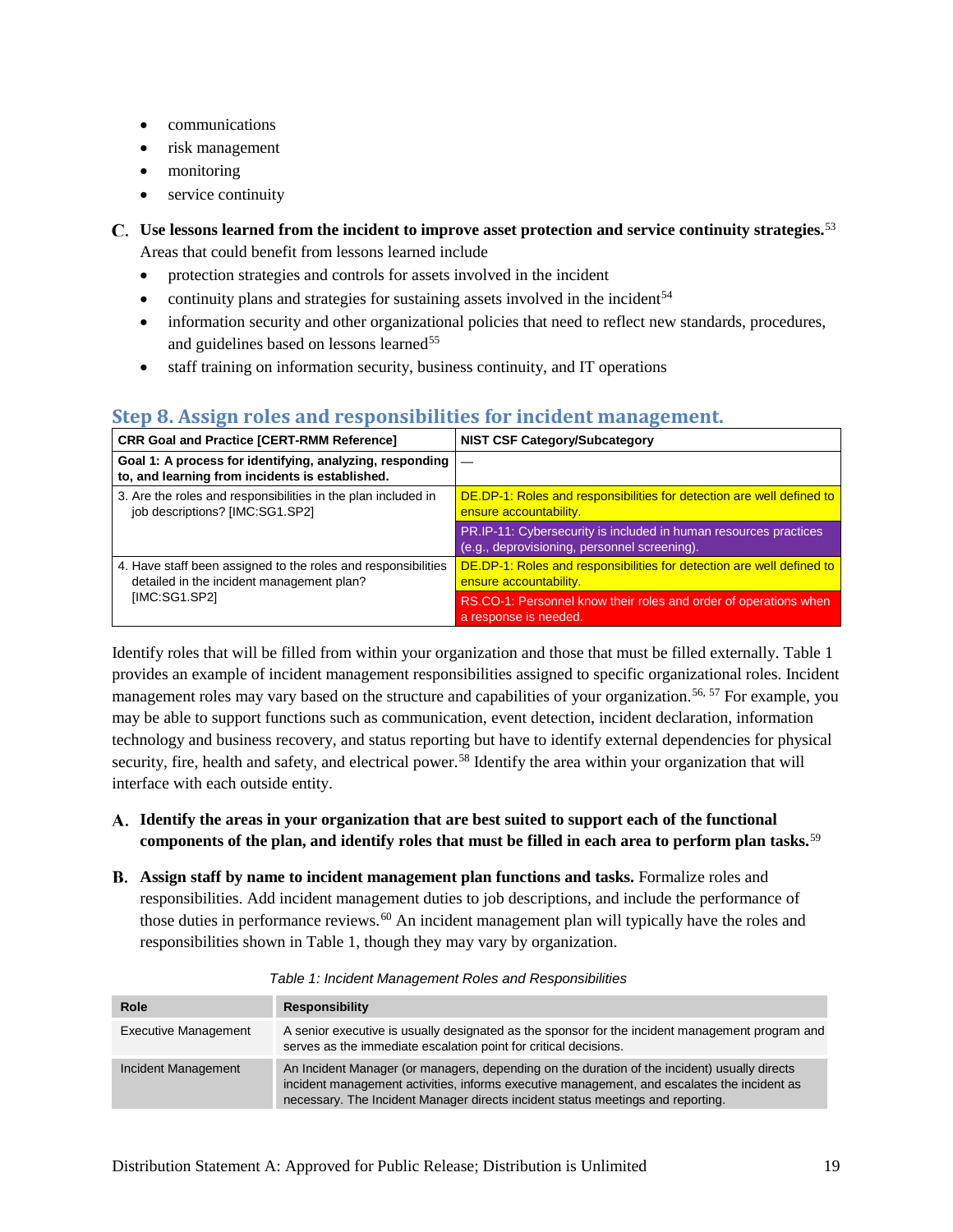- communications
- risk management
- monitoring
- service continuity
- **Use lessons learned from the incident to improve asset protection and service continuity strategies.**[53](#page-53-44) Areas that could benefit from lessons learned include
	- protection strategies and controls for assets involved in the incident
	- continuity plans and strategies for sustaining assets involved in the incident $54$
	- information security and other organizational policies that need to reflect new standards, procedures, and guidelines based on lessons learned<sup>[55](#page-53-45)</sup>
	- staff training on information security, business continuity, and IT operations

## <span id="page-22-0"></span>**Step 8. Assign roles and responsibilities for incident management.**

| <b>CRR Goal and Practice [CERT-RMM Reference]</b>                                                           | <b>NIST CSF Category/Subcategory</b>                                                                             |
|-------------------------------------------------------------------------------------------------------------|------------------------------------------------------------------------------------------------------------------|
| Goal 1: A process for identifying, analyzing, responding<br>to, and learning from incidents is established. |                                                                                                                  |
| 3. Are the roles and responsibilities in the plan included in<br>job descriptions? [IMC:SG1.SP2]            | DE.DP-1: Roles and responsibilities for detection are well defined to<br>ensure accountability.                  |
|                                                                                                             | PR.IP-11: Cybersecurity is included in human resources practices<br>(e.g., deprovisioning, personnel screening). |
| 4. Have staff been assigned to the roles and responsibilities<br>detailed in the incident management plan?  | DE.DP-1: Roles and responsibilities for detection are well defined to<br>ensure accountability.                  |
| [IMC:SG1.SP2]                                                                                               | RS.CO-1: Personnel know their roles and order of operations when<br>a response is needed.                        |

Identify roles that will be filled from within your organization and those that must be filled externally. [Table 1](#page-22-1) provides an example of incident management responsibilities assigned to specific organizational roles. Incident management roles may vary based on the structure and capabilities of your organization.<sup>[56,](#page-53-16) 57</sup> For example, you may be able to support functions such as communication, event detection, incident declaration, information technology and business recovery, and status reporting but have to identify external dependencies for physical security, fire, health and safety, and electrical power.<sup>[58](#page-53-18)</sup> Identify the area within your organization that will interface with each outside entity.

- **Identify the areas in your organization that are best suited to support each of the functional components of the plan, and identify roles that must be filled in each area to perform plan tasks.**[59](#page-53-46)
- **Assign staff by name to incident management plan functions and tasks.** Formalize roles and responsibilities. Add incident management duties to job descriptions, and include the performance of those duties in performance reviews.<sup>60</sup> An incident management plan will typically have the roles and responsibilities shown in [Table 1,](#page-22-1) though they may vary by organization.

<span id="page-22-1"></span>

| Role                        | <b>Responsibility</b>                                                                                                                                                                                                                                                          |
|-----------------------------|--------------------------------------------------------------------------------------------------------------------------------------------------------------------------------------------------------------------------------------------------------------------------------|
| <b>Executive Management</b> | A senior executive is usually designated as the sponsor for the incident management program and<br>serves as the immediate escalation point for critical decisions.                                                                                                            |
| Incident Management         | An Incident Manager (or managers, depending on the duration of the incident) usually directs<br>incident management activities, informs executive management, and escalates the incident as<br>necessary. The Incident Manager directs incident status meetings and reporting. |

*Table 1: Incident Management Roles and Responsibilities*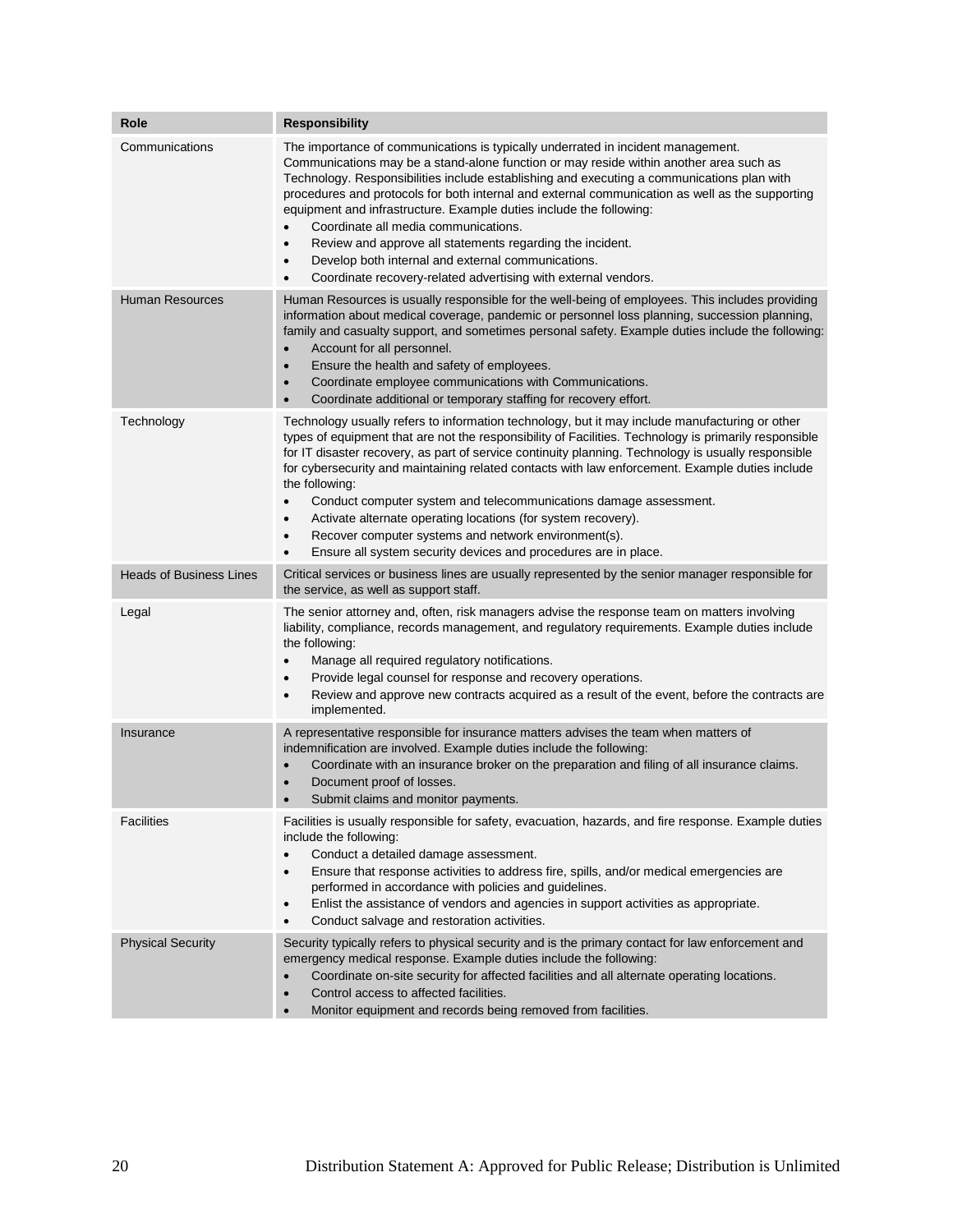| Role                           | <b>Responsibility</b>                                                                                                                                                                                                                                                                                                                                                                                                                                                                                                                                                                                                                                                                                                                                    |  |  |
|--------------------------------|----------------------------------------------------------------------------------------------------------------------------------------------------------------------------------------------------------------------------------------------------------------------------------------------------------------------------------------------------------------------------------------------------------------------------------------------------------------------------------------------------------------------------------------------------------------------------------------------------------------------------------------------------------------------------------------------------------------------------------------------------------|--|--|
| Communications                 | The importance of communications is typically underrated in incident management.<br>Communications may be a stand-alone function or may reside within another area such as<br>Technology. Responsibilities include establishing and executing a communications plan with<br>procedures and protocols for both internal and external communication as well as the supporting<br>equipment and infrastructure. Example duties include the following:<br>Coordinate all media communications.<br>$\bullet$<br>Review and approve all statements regarding the incident.<br>$\bullet$<br>Develop both internal and external communications.<br>$\bullet$<br>Coordinate recovery-related advertising with external vendors.<br>$\bullet$                      |  |  |
| <b>Human Resources</b>         | Human Resources is usually responsible for the well-being of employees. This includes providing<br>information about medical coverage, pandemic or personnel loss planning, succession planning,<br>family and casualty support, and sometimes personal safety. Example duties include the following:<br>Account for all personnel.<br>$\bullet$<br>Ensure the health and safety of employees.<br>$\bullet$<br>Coordinate employee communications with Communications.<br>$\bullet$<br>Coordinate additional or temporary staffing for recovery effort.<br>$\bullet$                                                                                                                                                                                     |  |  |
| Technology                     | Technology usually refers to information technology, but it may include manufacturing or other<br>types of equipment that are not the responsibility of Facilities. Technology is primarily responsible<br>for IT disaster recovery, as part of service continuity planning. Technology is usually responsible<br>for cybersecurity and maintaining related contacts with law enforcement. Example duties include<br>the following:<br>Conduct computer system and telecommunications damage assessment.<br>$\bullet$<br>Activate alternate operating locations (for system recovery).<br>$\bullet$<br>Recover computer systems and network environment(s).<br>$\bullet$<br>Ensure all system security devices and procedures are in place.<br>$\bullet$ |  |  |
| <b>Heads of Business Lines</b> | Critical services or business lines are usually represented by the senior manager responsible for<br>the service, as well as support staff.                                                                                                                                                                                                                                                                                                                                                                                                                                                                                                                                                                                                              |  |  |
| Legal                          | The senior attorney and, often, risk managers advise the response team on matters involving<br>liability, compliance, records management, and regulatory requirements. Example duties include<br>the following:<br>Manage all required regulatory notifications.<br>$\bullet$<br>Provide legal counsel for response and recovery operations.<br>$\bullet$<br>Review and approve new contracts acquired as a result of the event, before the contracts are<br>$\bullet$<br>implemented.                                                                                                                                                                                                                                                                   |  |  |
| Insurance                      | A representative responsible for insurance matters advises the team when matters of<br>indemnification are involved. Example duties include the following:<br>Coordinate with an insurance broker on the preparation and filing of all insurance claims.<br>$\bullet$<br>Document proof of losses.<br>$\bullet$<br>Submit claims and monitor payments.<br>$\bullet$                                                                                                                                                                                                                                                                                                                                                                                      |  |  |
| <b>Facilities</b>              | Facilities is usually responsible for safety, evacuation, hazards, and fire response. Example duties<br>include the following:<br>Conduct a detailed damage assessment.<br>$\bullet$<br>Ensure that response activities to address fire, spills, and/or medical emergencies are<br>٠<br>performed in accordance with policies and guidelines.<br>Enlist the assistance of vendors and agencies in support activities as appropriate.<br>$\bullet$<br>Conduct salvage and restoration activities.<br>$\bullet$                                                                                                                                                                                                                                            |  |  |
| <b>Physical Security</b>       | Security typically refers to physical security and is the primary contact for law enforcement and<br>emergency medical response. Example duties include the following:<br>Coordinate on-site security for affected facilities and all alternate operating locations.<br>$\bullet$<br>Control access to affected facilities.<br>$\bullet$<br>Monitor equipment and records being removed from facilities.<br>$\bullet$                                                                                                                                                                                                                                                                                                                                    |  |  |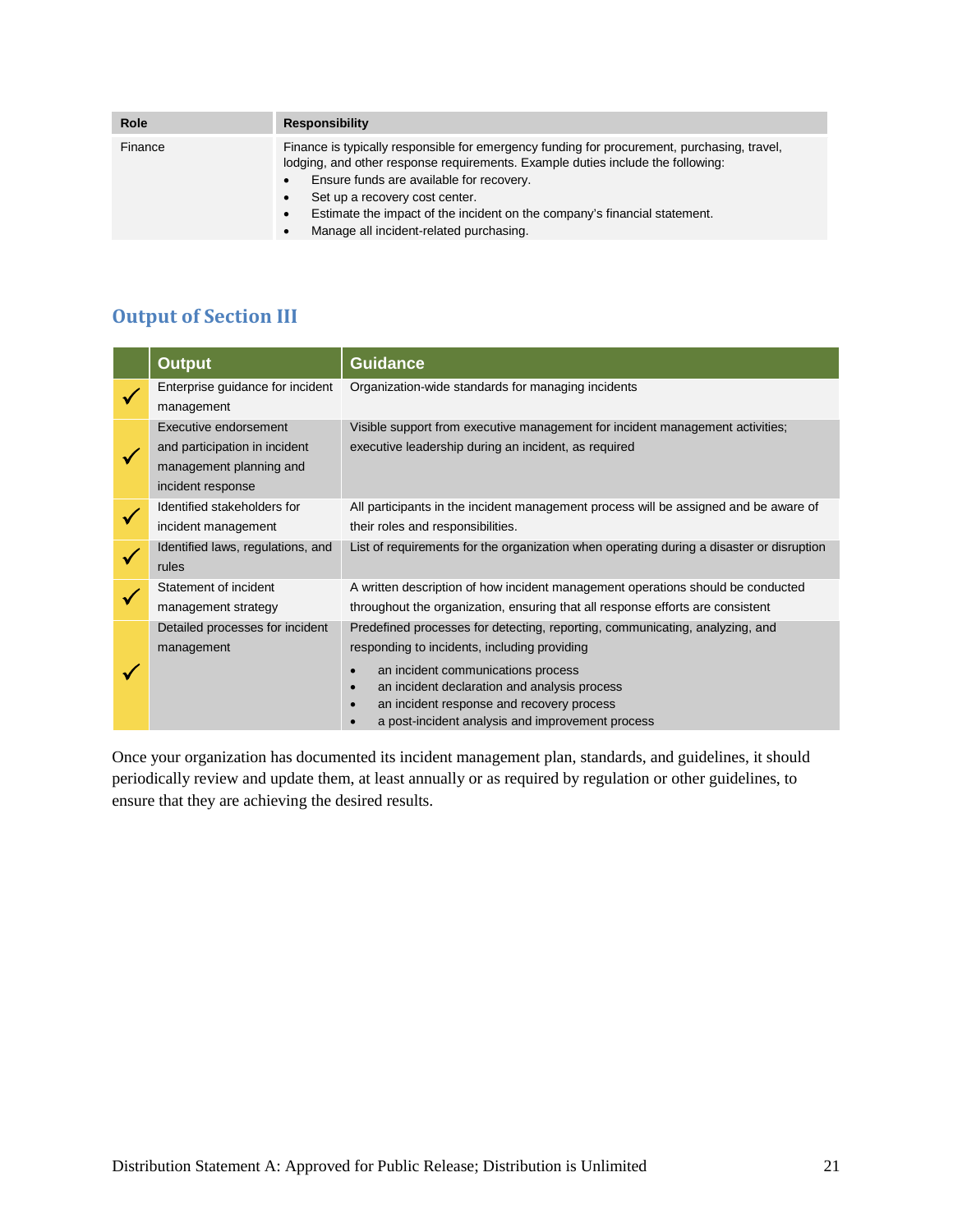| <b>Role</b> | <b>Responsibility</b>                                                                                                                                                                                                                                                                                                                                                                                                                    |
|-------------|------------------------------------------------------------------------------------------------------------------------------------------------------------------------------------------------------------------------------------------------------------------------------------------------------------------------------------------------------------------------------------------------------------------------------------------|
| Finance     | Finance is typically responsible for emergency funding for procurement, purchasing, travel,<br>lodging, and other response requirements. Example duties include the following:<br>Ensure funds are available for recovery.<br>$\bullet$<br>Set up a recovery cost center.<br>$\bullet$<br>Estimate the impact of the incident on the company's financial statement.<br>$\bullet$<br>Manage all incident-related purchasing.<br>$\bullet$ |
|             |                                                                                                                                                                                                                                                                                                                                                                                                                                          |

## <span id="page-24-0"></span>**Output of Section III**

| <b>Output</b>                                                                                          | <b>Guidance</b>                                                                                                                                                                                                                                                                                                     |  |  |
|--------------------------------------------------------------------------------------------------------|---------------------------------------------------------------------------------------------------------------------------------------------------------------------------------------------------------------------------------------------------------------------------------------------------------------------|--|--|
| Enterprise guidance for incident<br>management                                                         | Organization-wide standards for managing incidents                                                                                                                                                                                                                                                                  |  |  |
| Executive endorsement<br>and participation in incident<br>management planning and<br>incident response | Visible support from executive management for incident management activities;<br>executive leadership during an incident, as required                                                                                                                                                                               |  |  |
| Identified stakeholders for<br>incident management                                                     | All participants in the incident management process will be assigned and be aware of<br>their roles and responsibilities.                                                                                                                                                                                           |  |  |
| Identified laws, regulations, and<br>rules                                                             | List of requirements for the organization when operating during a disaster or disruption                                                                                                                                                                                                                            |  |  |
| Statement of incident<br>management strategy                                                           | A written description of how incident management operations should be conducted<br>throughout the organization, ensuring that all response efforts are consistent                                                                                                                                                   |  |  |
| Detailed processes for incident<br>management                                                          | Predefined processes for detecting, reporting, communicating, analyzing, and<br>responding to incidents, including providing<br>an incident communications process<br>an incident declaration and analysis process<br>an incident response and recovery process<br>a post-incident analysis and improvement process |  |  |

Once your organization has documented its incident management plan, standards, and guidelines, it should periodically review and update them, at least annually or as required by regulation or other guidelines, to ensure that they are achieving the desired results.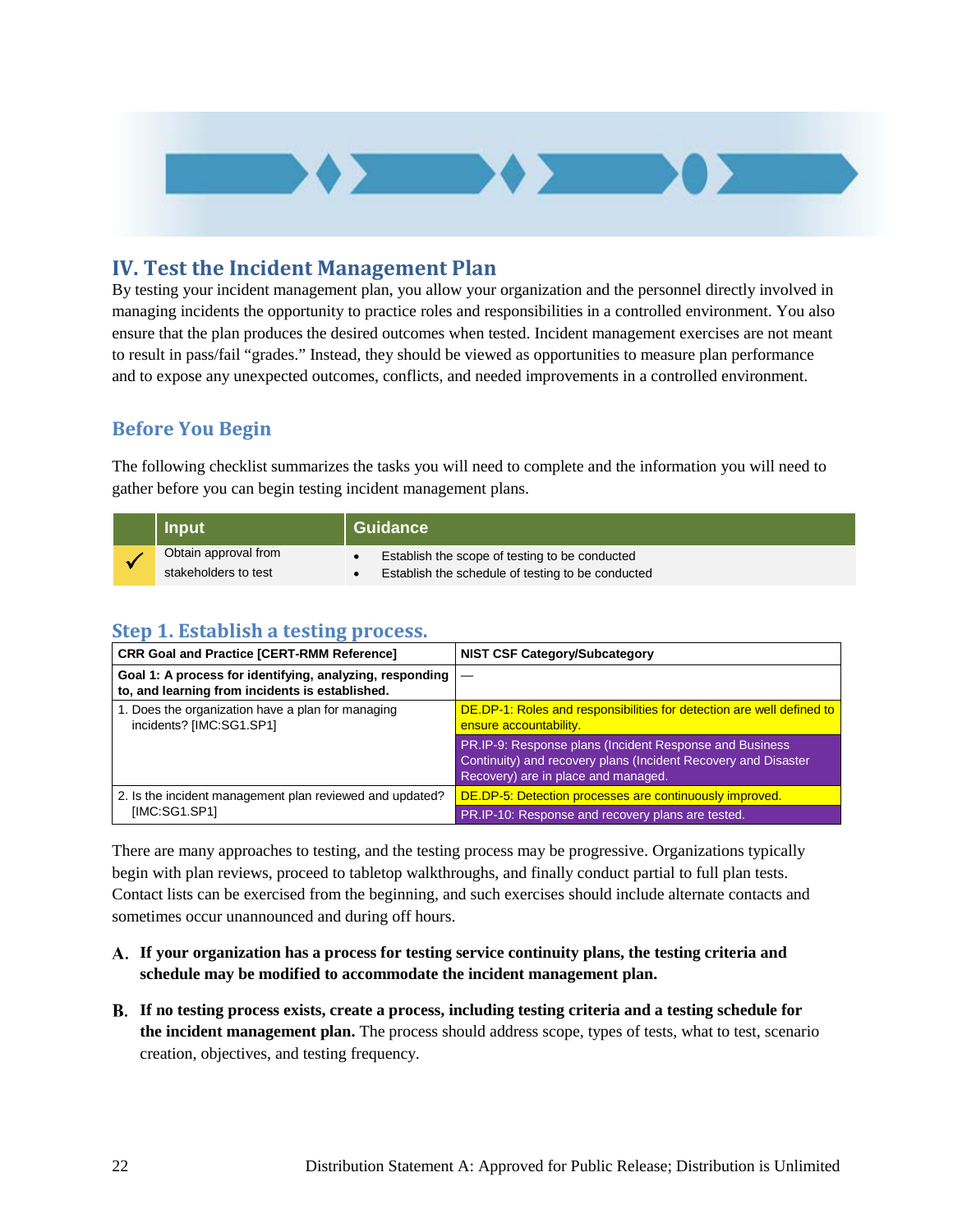

## <span id="page-25-0"></span>**IV. Test the Incident Management Plan**

By testing your incident management plan, you allow your organization and the personnel directly involved in managing incidents the opportunity to practice roles and responsibilities in a controlled environment. You also ensure that the plan produces the desired outcomes when tested. Incident management exercises are not meant to result in pass/fail "grades." Instead, they should be viewed as opportunities to measure plan performance and to expose any unexpected outcomes, conflicts, and needed improvements in a controlled environment.

## <span id="page-25-1"></span>**Before You Begin**

The following checklist summarizes the tasks you will need to complete and the information you will need to gather before you can begin testing incident management plans.

| Input                                        | <b>Guidance</b>                                                                                     |
|----------------------------------------------|-----------------------------------------------------------------------------------------------------|
| Obtain approval from<br>stakeholders to test | Establish the scope of testing to be conducted<br>Establish the schedule of testing to be conducted |

## <span id="page-25-2"></span>**Step 1. Establish a testing process.**

| <b>CRR Goal and Practice [CERT-RMM Reference]</b>                                                           | <b>NIST CSF Category/Subcategory</b>                                                                                                                              |
|-------------------------------------------------------------------------------------------------------------|-------------------------------------------------------------------------------------------------------------------------------------------------------------------|
| Goal 1: A process for identifying, analyzing, responding<br>to, and learning from incidents is established. |                                                                                                                                                                   |
| 1. Does the organization have a plan for managing<br>incidents? [IMC:SG1.SP1]                               | DE.DP-1: Roles and responsibilities for detection are well defined to<br>ensure accountability.                                                                   |
|                                                                                                             | PR.IP-9: Response plans (Incident Response and Business)<br>Continuity) and recovery plans (Incident Recovery and Disaster<br>Recovery) are in place and managed. |
| 2. Is the incident management plan reviewed and updated?                                                    | DE.DP-5: Detection processes are continuously improved.                                                                                                           |
| [IMC:SG1.SP1]                                                                                               | PR.IP-10: Response and recovery plans are tested.                                                                                                                 |

There are many approaches to testing, and the testing process may be progressive. Organizations typically begin with plan reviews, proceed to tabletop walkthroughs, and finally conduct partial to full plan tests. Contact lists can be exercised from the beginning, and such exercises should include alternate contacts and sometimes occur unannounced and during off hours.

- **If your organization has a process for testing service continuity plans, the testing criteria and schedule may be modified to accommodate the incident management plan.**
- **If no testing process exists, create a process, including testing criteria and a testing schedule for the incident management plan.** The process should address scope, types of tests, what to test, scenario creation, objectives, and testing frequency.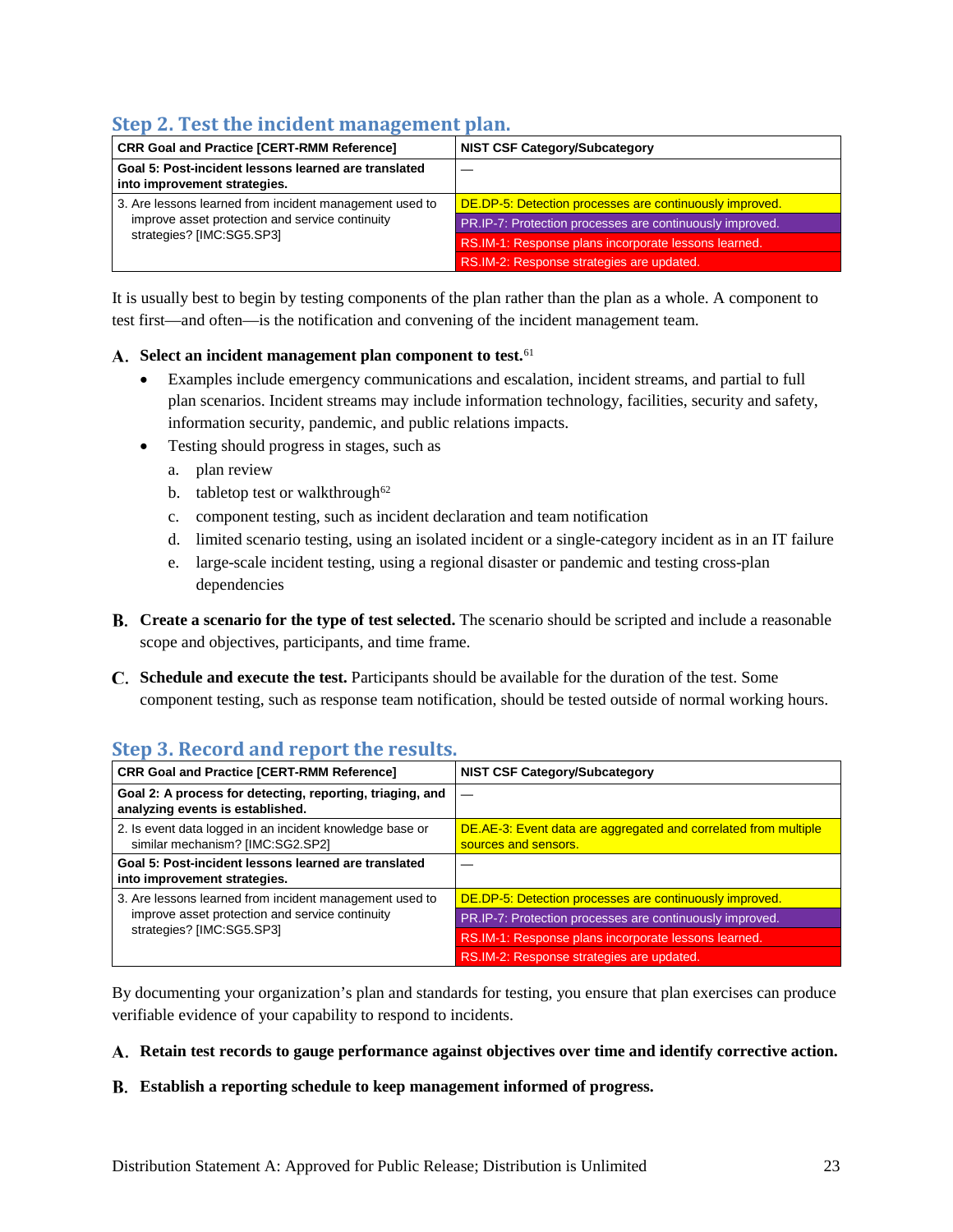## <span id="page-26-0"></span>**Step 2. Test the incident management plan.**

| <b>CRR Goal and Practice [CERT-RMM Reference]</b>                                    | <b>NIST CSF Category/Subcategory</b>                     |
|--------------------------------------------------------------------------------------|----------------------------------------------------------|
| Goal 5: Post-incident lessons learned are translated<br>into improvement strategies. |                                                          |
| 3. Are lessons learned from incident management used to                              | DE.DP-5: Detection processes are continuously improved.  |
| improve asset protection and service continuity                                      | PR.IP-7: Protection processes are continuously improved. |
| strategies? [IMC:SG5.SP3]                                                            | RS.IM-1: Response plans incorporate lessons learned.     |
|                                                                                      | RS.IM-2: Response strategies are updated.                |

It is usually best to begin by testing components of the plan rather than the plan as a whole. A component to test first—and often—is the notification and convening of the incident management team.

#### **Select an incident management plan component to test.**[61](#page-53-21)

- Examples include emergency communications and escalation, incident streams, and partial to full plan scenarios. Incident streams may include information technology, facilities, security and safety, information security, pandemic, and public relations impacts.
- Testing should progress in stages, such as
	- a. plan review
	- b. tabletop test or walkthrough<sup>[62](#page-53-47)</sup>
	- c. component testing, such as incident declaration and team notification
	- d. limited scenario testing, using an isolated incident or a single-category incident as in an IT failure
	- e. large-scale incident testing, using a regional disaster or pandemic and testing cross-plan dependencies
- **Create a scenario for the type of test selected.** The scenario should be scripted and include a reasonable scope and objectives, participants, and time frame.
- **Schedule and execute the test.** Participants should be available for the duration of the test. Some component testing, such as response team notification, should be tested outside of normal working hours.

## <span id="page-26-1"></span>**Step 3. Record and report the results.**

| <b>CRR Goal and Practice [CERT-RMM Reference]</b>                                             | <b>NIST CSF Category/Subcategory</b>                                                    |
|-----------------------------------------------------------------------------------------------|-----------------------------------------------------------------------------------------|
| Goal 2: A process for detecting, reporting, triaging, and<br>analyzing events is established. |                                                                                         |
| 2. Is event data logged in an incident knowledge base or<br>similar mechanism? [IMC:SG2.SP2]  | DE.AE-3: Event data are aggregated and correlated from multiple<br>sources and sensors. |
| Goal 5: Post-incident lessons learned are translated<br>into improvement strategies.          |                                                                                         |
| 3. Are lessons learned from incident management used to                                       | DE.DP-5: Detection processes are continuously improved.                                 |
| improve asset protection and service continuity                                               | PR.IP-7: Protection processes are continuously improved.                                |
| strategies? [IMC:SG5.SP3]                                                                     | RS.IM-1: Response plans incorporate lessons learned.                                    |
|                                                                                               | RS.IM-2: Response strategies are updated.                                               |

By documenting your organization's plan and standards for testing, you ensure that plan exercises can produce verifiable evidence of your capability to respond to incidents.

#### **Retain test records to gauge performance against objectives over time and identify corrective action.**

#### **Establish a reporting schedule to keep management informed of progress.**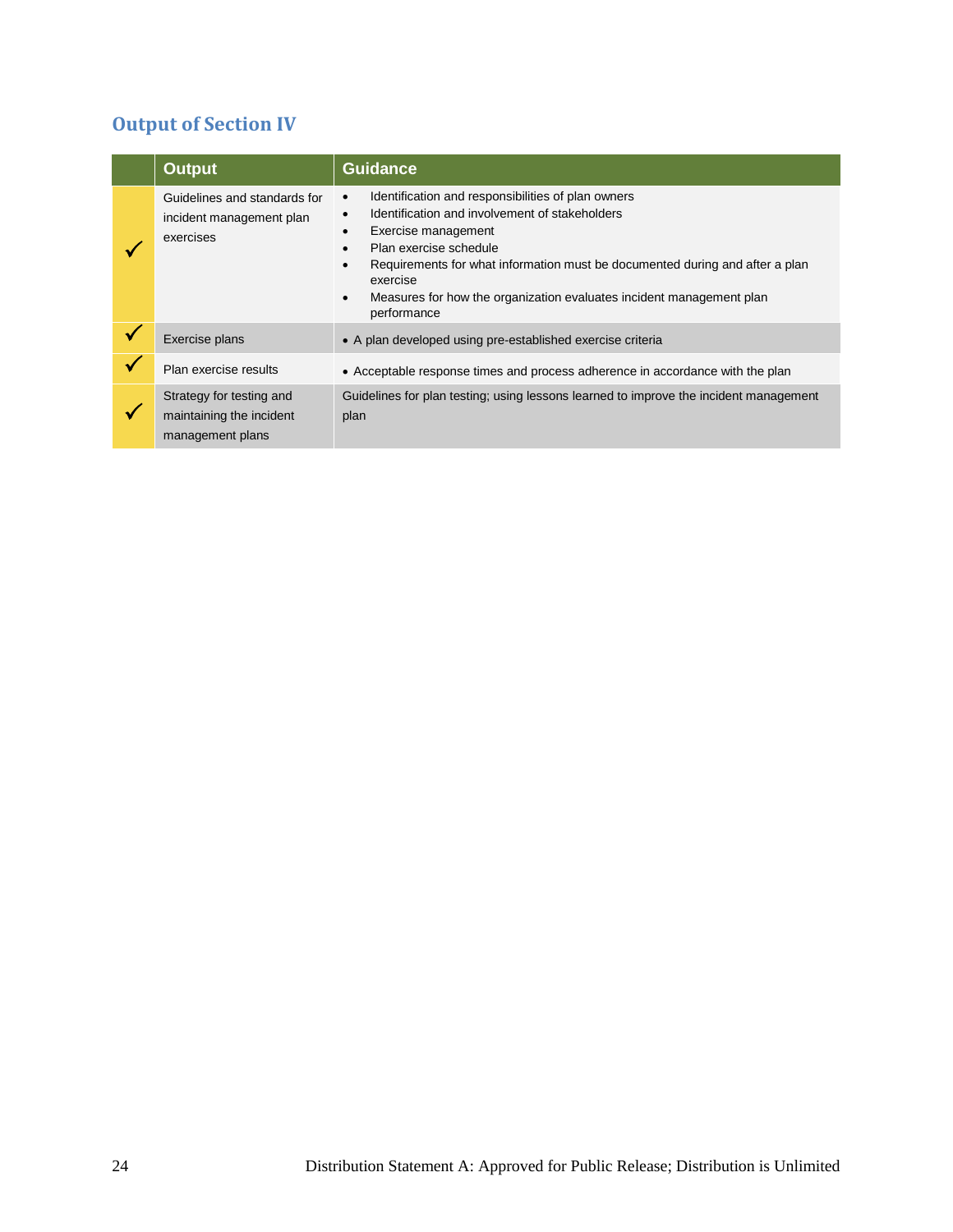## <span id="page-27-0"></span>**Output of Section IV**

| <b>Output</b>                                                            | <b>Guidance</b>                                                                                                                                                                                                                                                                                                                                                                                                        |  |
|--------------------------------------------------------------------------|------------------------------------------------------------------------------------------------------------------------------------------------------------------------------------------------------------------------------------------------------------------------------------------------------------------------------------------------------------------------------------------------------------------------|--|
| Guidelines and standards for<br>incident management plan<br>exercises    | Identification and responsibilities of plan owners<br>$\bullet$<br>Identification and involvement of stakeholders<br>$\bullet$<br>Exercise management<br>$\bullet$<br>Plan exercise schedule<br>$\bullet$<br>Requirements for what information must be documented during and after a plan<br>$\bullet$<br>exercise<br>Measures for how the organization evaluates incident management plan<br>$\bullet$<br>performance |  |
| Exercise plans                                                           | • A plan developed using pre-established exercise criteria                                                                                                                                                                                                                                                                                                                                                             |  |
| Plan exercise results                                                    | • Acceptable response times and process adherence in accordance with the plan                                                                                                                                                                                                                                                                                                                                          |  |
| Strategy for testing and<br>maintaining the incident<br>management plans | Guidelines for plan testing; using lessons learned to improve the incident management<br>plan                                                                                                                                                                                                                                                                                                                          |  |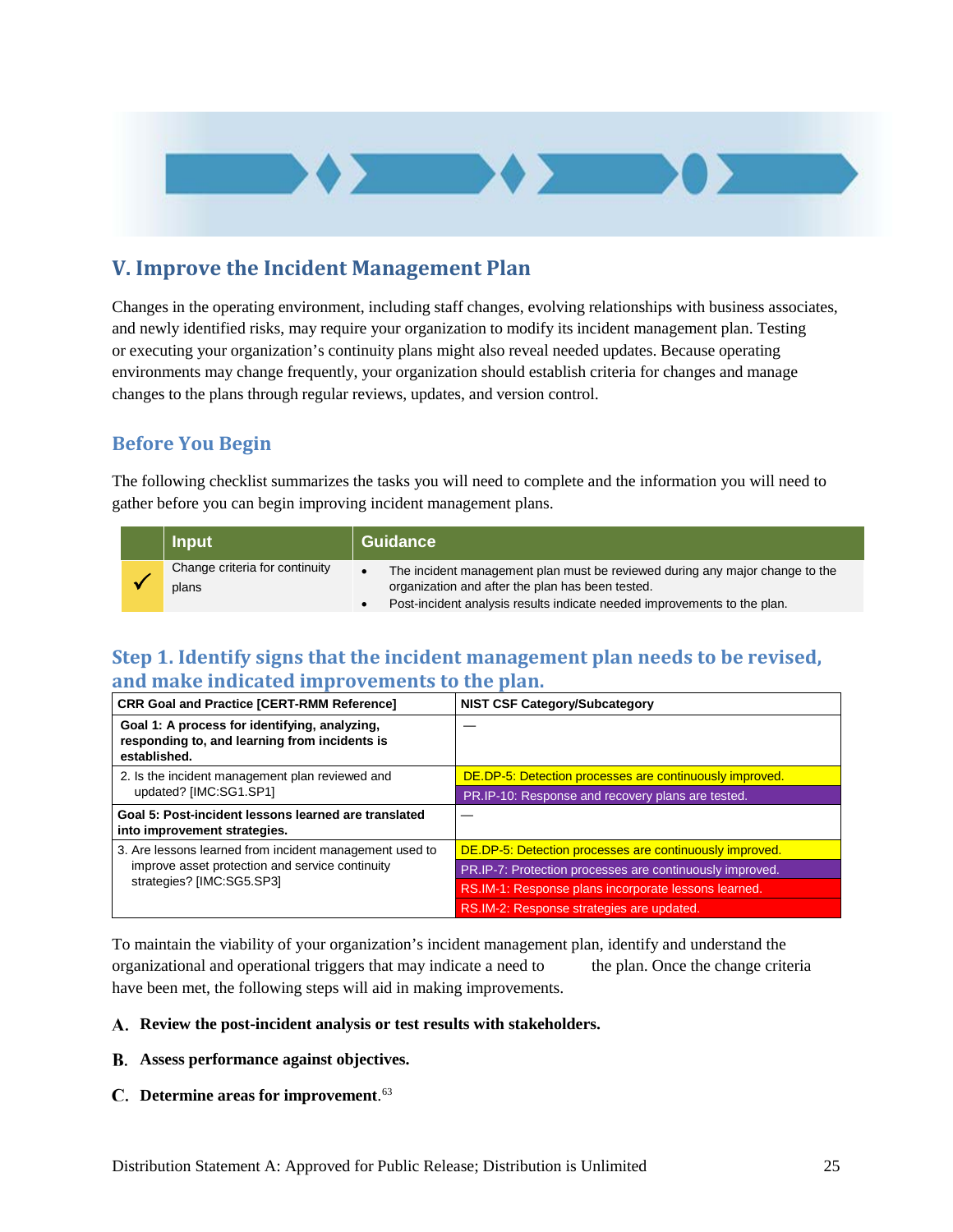

## <span id="page-28-0"></span>**V. Improve the Incident Management Plan**

Changes in the operating environment, including staff changes, evolving relationships with business associates, and newly identified risks, may require your organization to modify its incident management plan. Testing or executing your organization's continuity plans might also reveal needed updates. Because operating environments may change frequently, your organization should establish criteria for changes and manage changes to the plans through regular reviews, updates, and version control.

## <span id="page-28-1"></span>**Before You Begin**

The following checklist summarizes the tasks you will need to complete and the information you will need to gather before you can begin improving incident management plans.

| <b>Input</b>                            | <b>Guidance</b> |                                                                                                                                                                                                              |
|-----------------------------------------|-----------------|--------------------------------------------------------------------------------------------------------------------------------------------------------------------------------------------------------------|
| Change criteria for continuity<br>plans | $\bullet$       | The incident management plan must be reviewed during any major change to the<br>organization and after the plan has been tested.<br>Post-incident analysis results indicate needed improvements to the plan. |

## <span id="page-28-2"></span>**Step 1. Identify signs that the incident management plan needs to be revised, and make indicated improvements to the plan.**

| <b>CRR Goal and Practice [CERT-RMM Reference]</b>                                                              | <b>NIST CSF Category/Subcategory</b>                     |
|----------------------------------------------------------------------------------------------------------------|----------------------------------------------------------|
| Goal 1: A process for identifying, analyzing,<br>responding to, and learning from incidents is<br>established. |                                                          |
| 2. Is the incident management plan reviewed and                                                                | DE.DP-5: Detection processes are continuously improved.  |
| updated? [IMC:SG1.SP1]                                                                                         | PR.IP-10: Response and recovery plans are tested.        |
| Goal 5: Post-incident lessons learned are translated<br>into improvement strategies.                           |                                                          |
| 3. Are lessons learned from incident management used to                                                        | DE.DP-5: Detection processes are continuously improved.  |
| improve asset protection and service continuity                                                                | PR.IP-7: Protection processes are continuously improved. |
| strategies? [IMC:SG5.SP3]                                                                                      | RS.IM-1: Response plans incorporate lessons learned.     |
|                                                                                                                | RS.IM-2: Response strategies are updated.                |

To maintain the viability of your organization's incident management plan, identify and understand the organizational and operational triggers that may indicate a need to the plan. Once the change criteria have been met, the following steps will aid in making improvements.

#### **Review the post-incident analysis or test results with stakeholders.**

- **Assess performance against objectives.**
- **Determine areas for improvement**. [63](#page-53-23)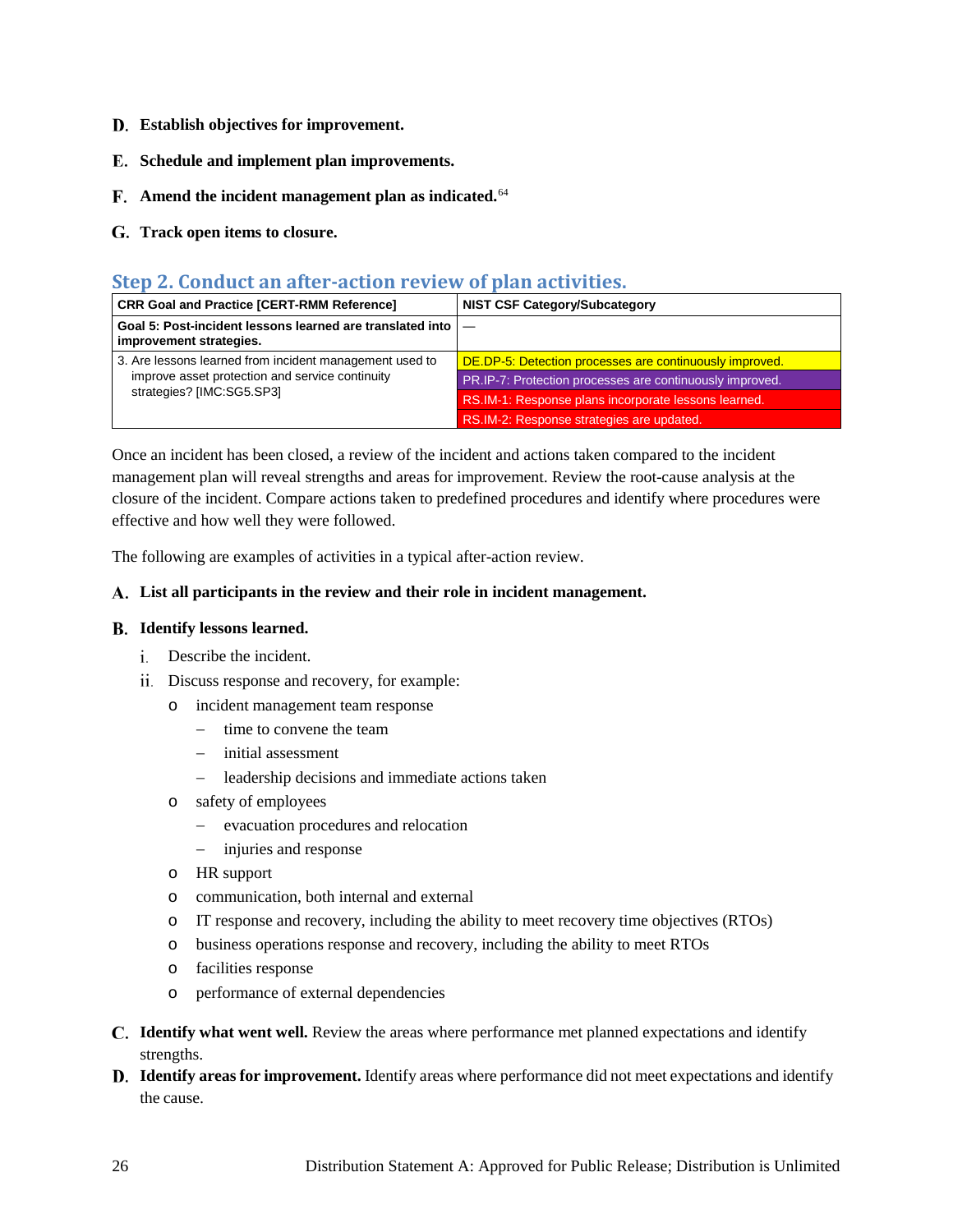- **Establish objectives for improvement.**
- **Schedule and implement plan improvements.**
- **Amend the incident management plan as indicated.**[64](#page-53-48)
- <span id="page-29-0"></span>**Track open items to closure.**

#### **Step 2. Conduct an after-action review of plan activities.**

| <b>CRR Goal and Practice [CERT-RMM Reference]</b>                                         | <b>NIST CSF Category/Subcategory</b>                     |
|-------------------------------------------------------------------------------------------|----------------------------------------------------------|
| Goal 5: Post-incident lessons learned are translated into $ -$<br>improvement strategies. |                                                          |
| 3. Are lessons learned from incident management used to                                   | DE.DP-5: Detection processes are continuously improved.  |
| improve asset protection and service continuity                                           | PR.IP-7: Protection processes are continuously improved. |
| strategies? [IMC:SG5.SP3]                                                                 | RS.IM-1: Response plans incorporate lessons learned.     |
|                                                                                           | RS.IM-2: Response strategies are updated.                |

Once an incident has been closed, a review of the incident and actions taken compared to the incident management plan will reveal strengths and areas for improvement. Review the root-cause analysis at the closure of the incident. Compare actions taken to predefined procedures and identify where procedures were effective and how well they were followed.

The following are examples of activities in a typical after-action review.

#### **List all participants in the review and their role in incident management.**

#### **Identify lessons learned.**

- Describe the incident.
- Discuss response and recovery, for example:
	- o incident management team response
		- − time to convene the team
		- − initial assessment
		- − leadership decisions and immediate actions taken
	- o safety of employees
		- − evacuation procedures and relocation
		- − injuries and response
	- o HR support
	- o communication, both internal and external
	- o IT response and recovery, including the ability to meet recovery time objectives (RTOs)
	- o business operations response and recovery, including the ability to meet RTOs
	- o facilities response
	- o performance of external dependencies
- **Identify what went well.** Review the areas where performance met planned expectations and identify strengths.
- **Identify areas for improvement.** Identify areas where performance did not meet expectations and identify the cause.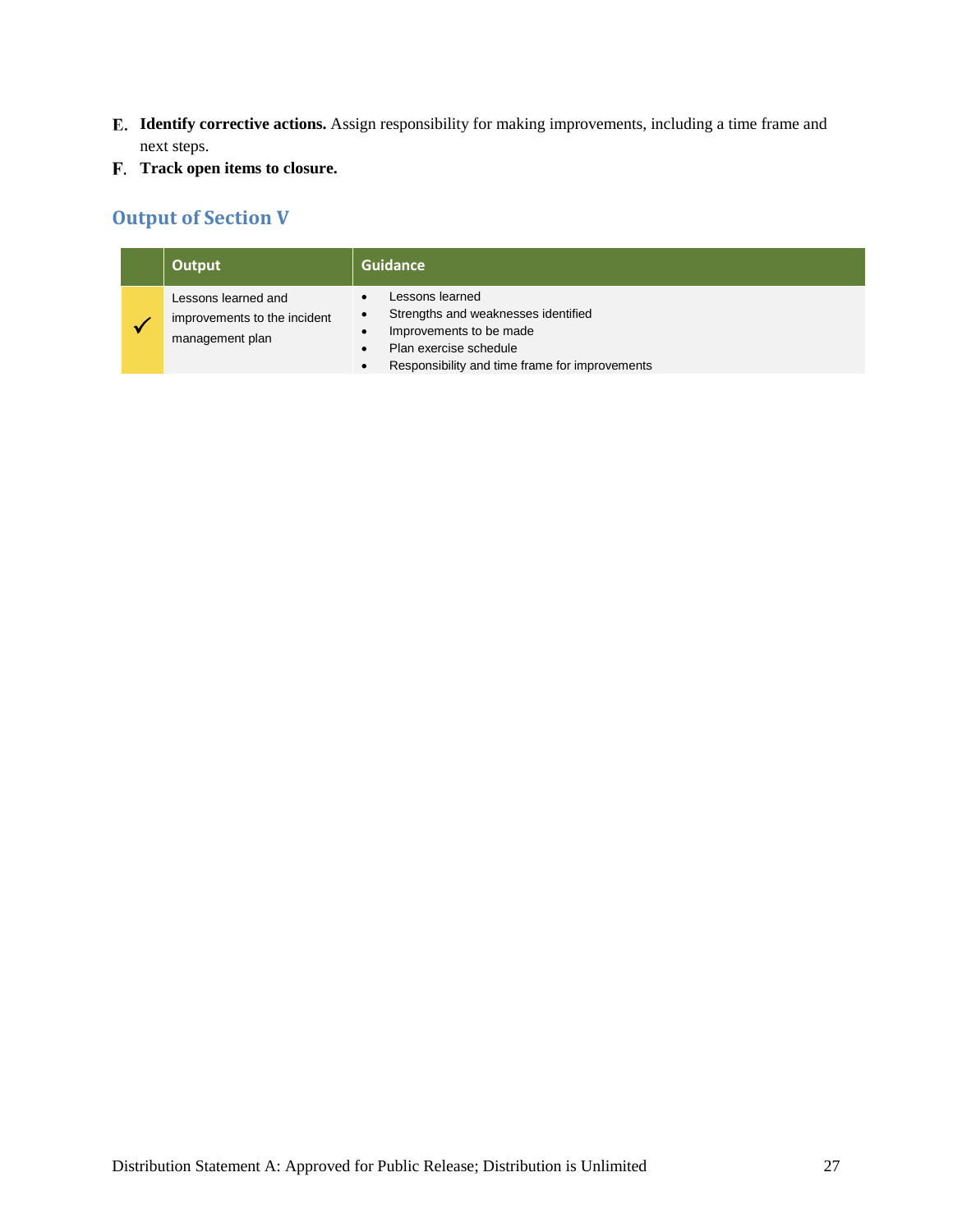- **Identify corrective actions.** Assign responsibility for making improvements, including a time frame and next steps.
- <span id="page-30-0"></span>**Track open items to closure.**

## **Output of Section V**

| Output                                                                 | Guidance                                                                                                                                                                                                                       |
|------------------------------------------------------------------------|--------------------------------------------------------------------------------------------------------------------------------------------------------------------------------------------------------------------------------|
| Lessons learned and<br>improvements to the incident<br>management plan | Lessons learned<br>$\bullet$<br>Strengths and weaknesses identified<br>$\bullet$<br>Improvements to be made<br>$\bullet$<br>Plan exercise schedule<br>$\bullet$<br>Responsibility and time frame for improvements<br>$\bullet$ |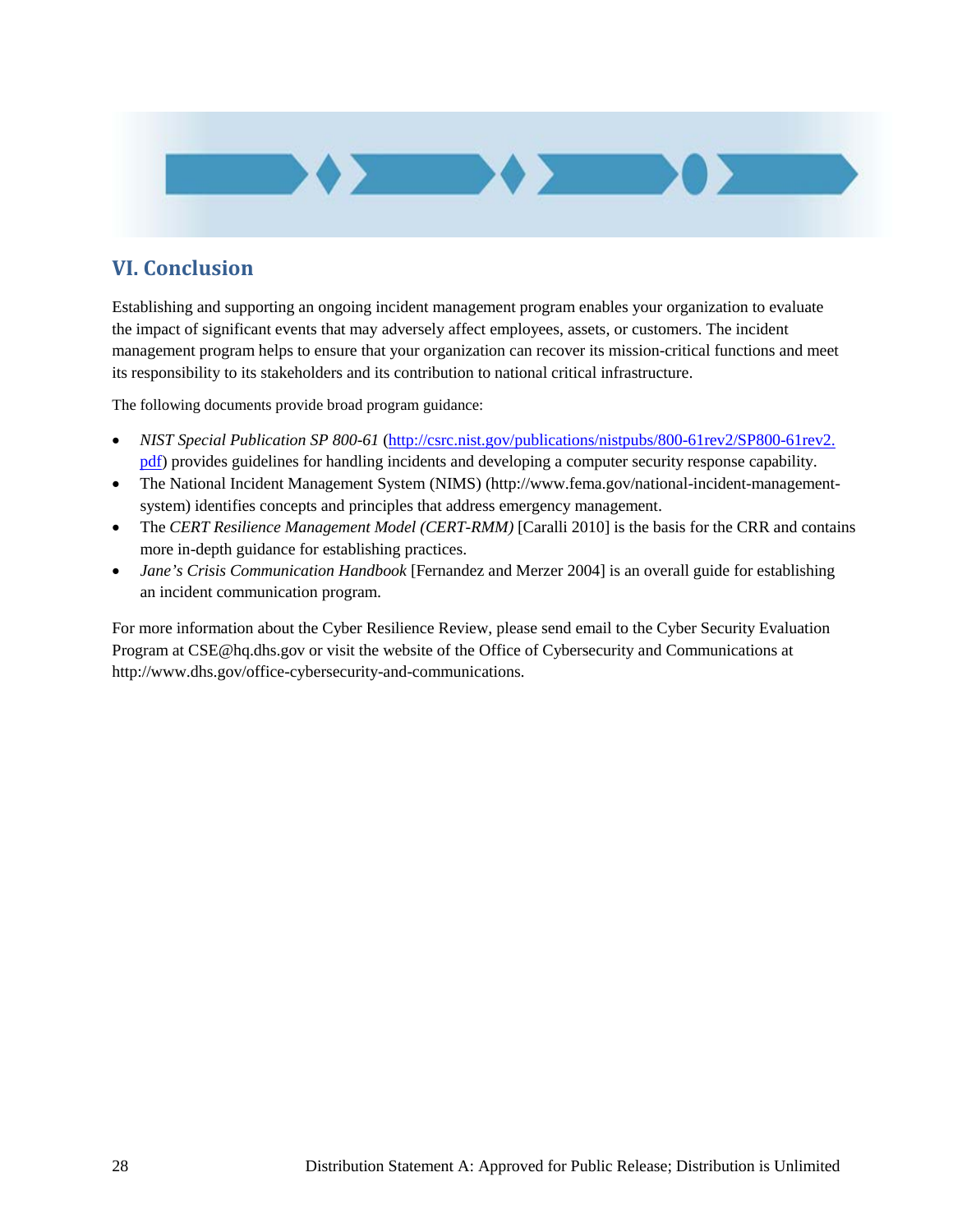

## <span id="page-31-0"></span>**VI. Conclusion**

Establishing and supporting an ongoing incident management program enables your organization to evaluate the impact of significant events that may adversely affect employees, assets, or customers. The incident management program helps to ensure that your organization can recover its mission-critical functions and meet its responsibility to its stakeholders and its contribution to national critical infrastructure.

The following documents provide broad program guidance:

- *NIST Special Publication SP 800-61* [\(http://csrc.nist.gov/publications/nistpubs/800-61rev2/SP800-61rev2.](http://csrc.nist.gov/publications/nistpubs/800-61rev2/SP800-61rev2.pdf)  [pdf\)](http://csrc.nist.gov/publications/nistpubs/800-61rev2/SP800-61rev2.pdf) provides guidelines for handling incidents and developing a computer security response capability.
- The National Incident Management System (NIMS) [\(http://www.fema.gov/national-incident-management](http://www.fema.gov/national-incident-management-system)[system\)](http://www.fema.gov/national-incident-management-system) identifies concepts and principles that address emergency management.
- The *CERT Resilience Management Model (CERT-RMM)* [Caralli 2010] is the basis for the CRR and contains more in-depth guidance for establishing practices.
- *Jane's Crisis Communication Handbook* [Fernandez and Merzer 2004] is an overall guide for establishing an incident communication program.

For more information about the Cyber Resilience Review, please send email to the Cyber Security Evaluation Program at [CSE@hq.dhs.gov](mailto:CSE@hq.dhs.gov) or visit the website of the Office of Cybersecurity and Communications at [http://www.dhs.gov/office-cybersecurity-and-communications.](http://www.dhs.gov/office-cybersecurity-and-communications)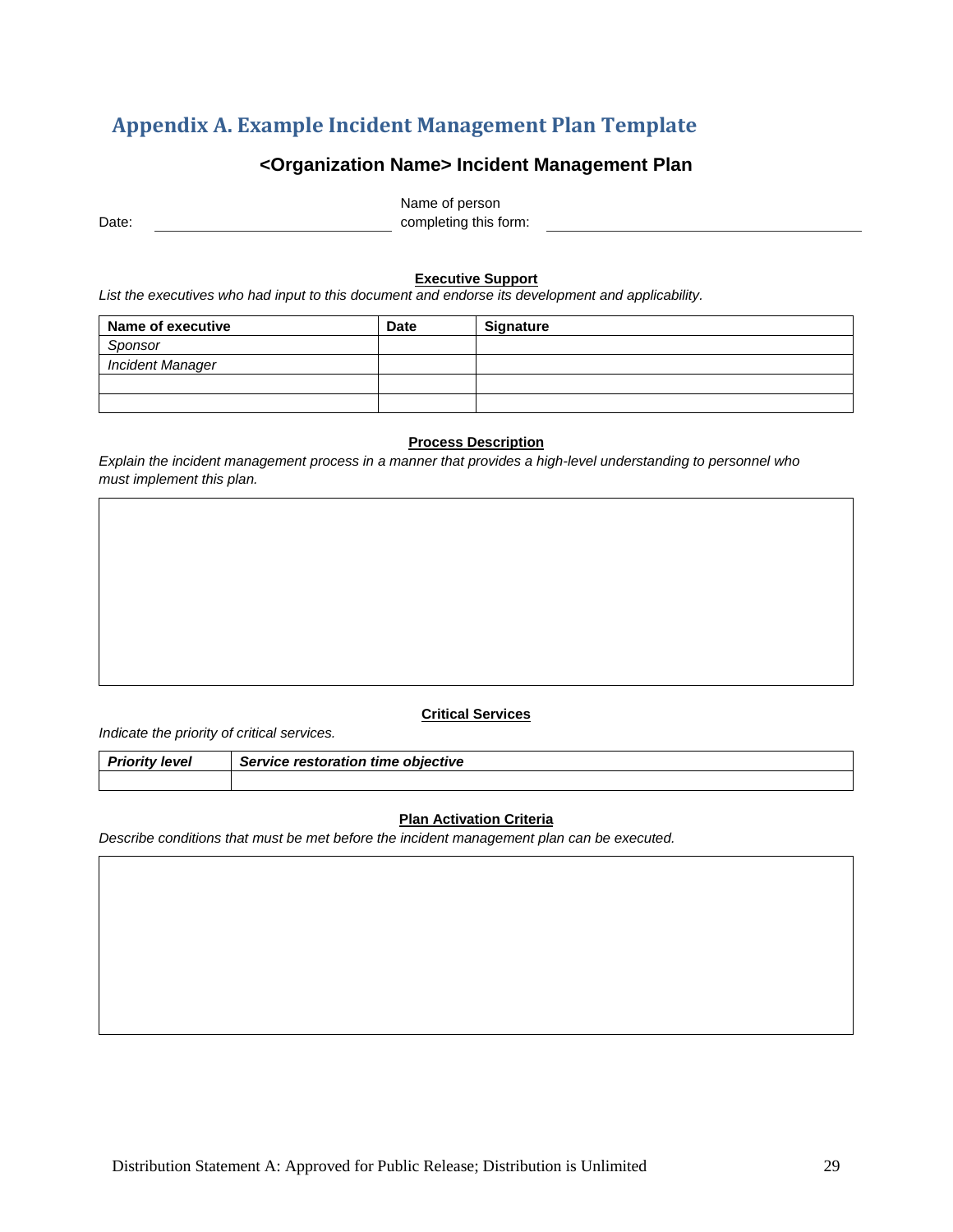## <span id="page-32-0"></span>**Appendix A. Example Incident Management Plan Template**

## **<Organization Name> Incident Management Plan**

Date: Name of person completing this form:

#### **Executive Support**

*List the executives who had input to this document and endorse its development and applicability.*

| Name of executive       | <b>Date</b> | <b>Signature</b> |
|-------------------------|-------------|------------------|
| Sponsor                 |             |                  |
| <b>Incident Manager</b> |             |                  |
|                         |             |                  |
|                         |             |                  |

#### **Process Description**

*Explain the incident management process in a manner that provides a high-level understanding to personnel who must implement this plan.* 

#### **Critical Services**

*Indicate the priority of critical services.* 

| <b>Priority level</b> | Service restoration time objective |  |
|-----------------------|------------------------------------|--|
|                       |                                    |  |

#### **Plan Activation Criteria**

*Describe conditions that must be met before the incident management plan can be executed.*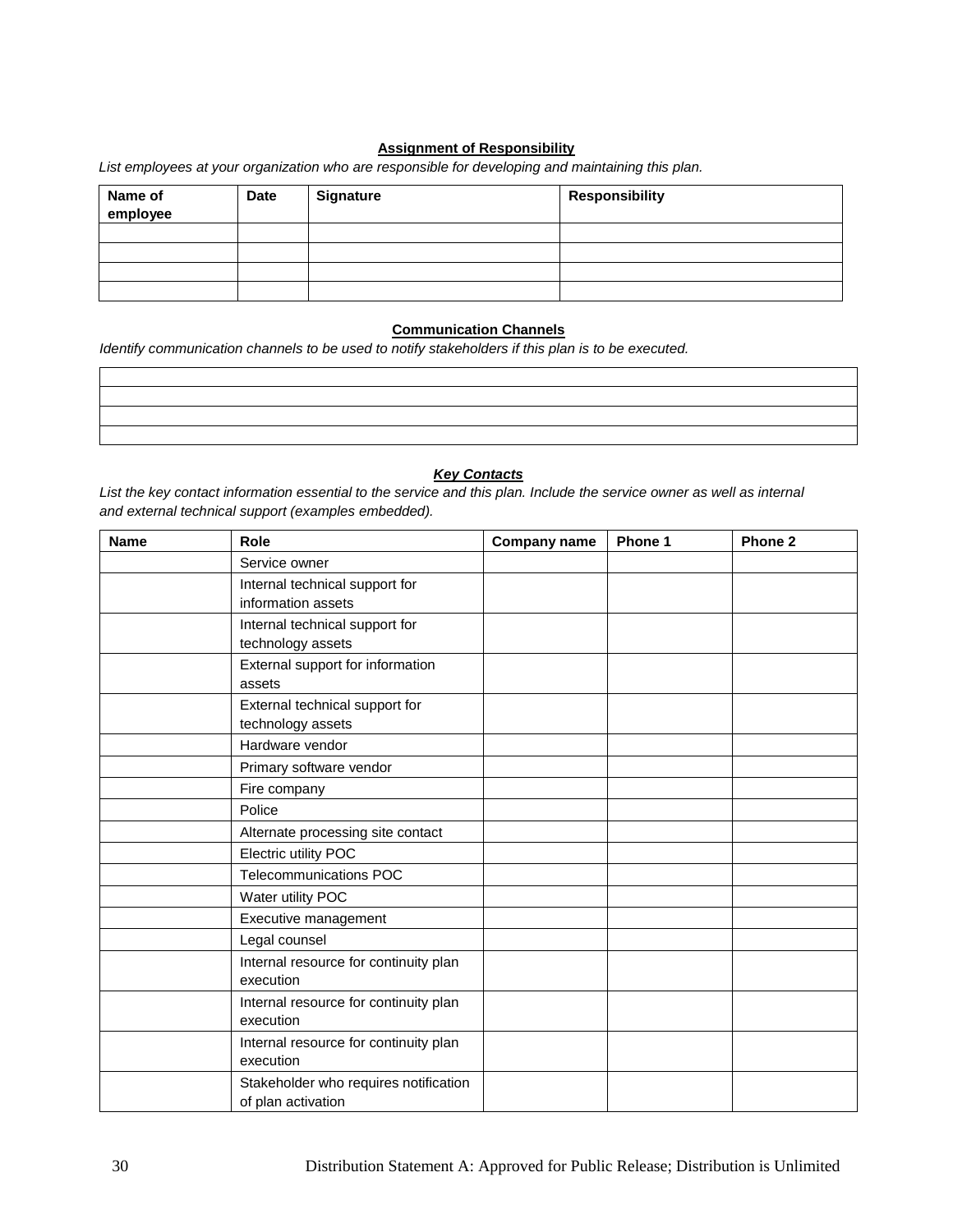#### **Assignment of Responsibility**

*List employees at your organization who are responsible for developing and maintaining this plan.*

| Name of<br>employee | <b>Date</b> | Signature | <b>Responsibility</b> |
|---------------------|-------------|-----------|-----------------------|
|                     |             |           |                       |
|                     |             |           |                       |
|                     |             |           |                       |
|                     |             |           |                       |

#### **Communication Channels**

*Identify communication channels to be used to notify stakeholders if this plan is to be executed.*

#### *Key Contacts*

*List the key contact information essential to the service and this plan. Include the service owner as well as internal and external technical support (examples embedded).* 

| <b>Name</b> | Role                                  | <b>Company name</b> | Phone 1 | Phone 2 |
|-------------|---------------------------------------|---------------------|---------|---------|
|             | Service owner                         |                     |         |         |
|             | Internal technical support for        |                     |         |         |
|             | information assets                    |                     |         |         |
|             | Internal technical support for        |                     |         |         |
|             | technology assets                     |                     |         |         |
|             | External support for information      |                     |         |         |
|             | assets                                |                     |         |         |
|             | External technical support for        |                     |         |         |
|             | technology assets                     |                     |         |         |
|             | Hardware vendor                       |                     |         |         |
|             | Primary software vendor               |                     |         |         |
|             | Fire company                          |                     |         |         |
|             | Police                                |                     |         |         |
|             | Alternate processing site contact     |                     |         |         |
|             | Electric utility POC                  |                     |         |         |
|             | Telecommunications POC                |                     |         |         |
|             | Water utility POC                     |                     |         |         |
|             | Executive management                  |                     |         |         |
|             | Legal counsel                         |                     |         |         |
|             | Internal resource for continuity plan |                     |         |         |
|             | execution                             |                     |         |         |
|             | Internal resource for continuity plan |                     |         |         |
|             | execution                             |                     |         |         |
|             | Internal resource for continuity plan |                     |         |         |
|             | execution                             |                     |         |         |
|             | Stakeholder who requires notification |                     |         |         |
|             | of plan activation                    |                     |         |         |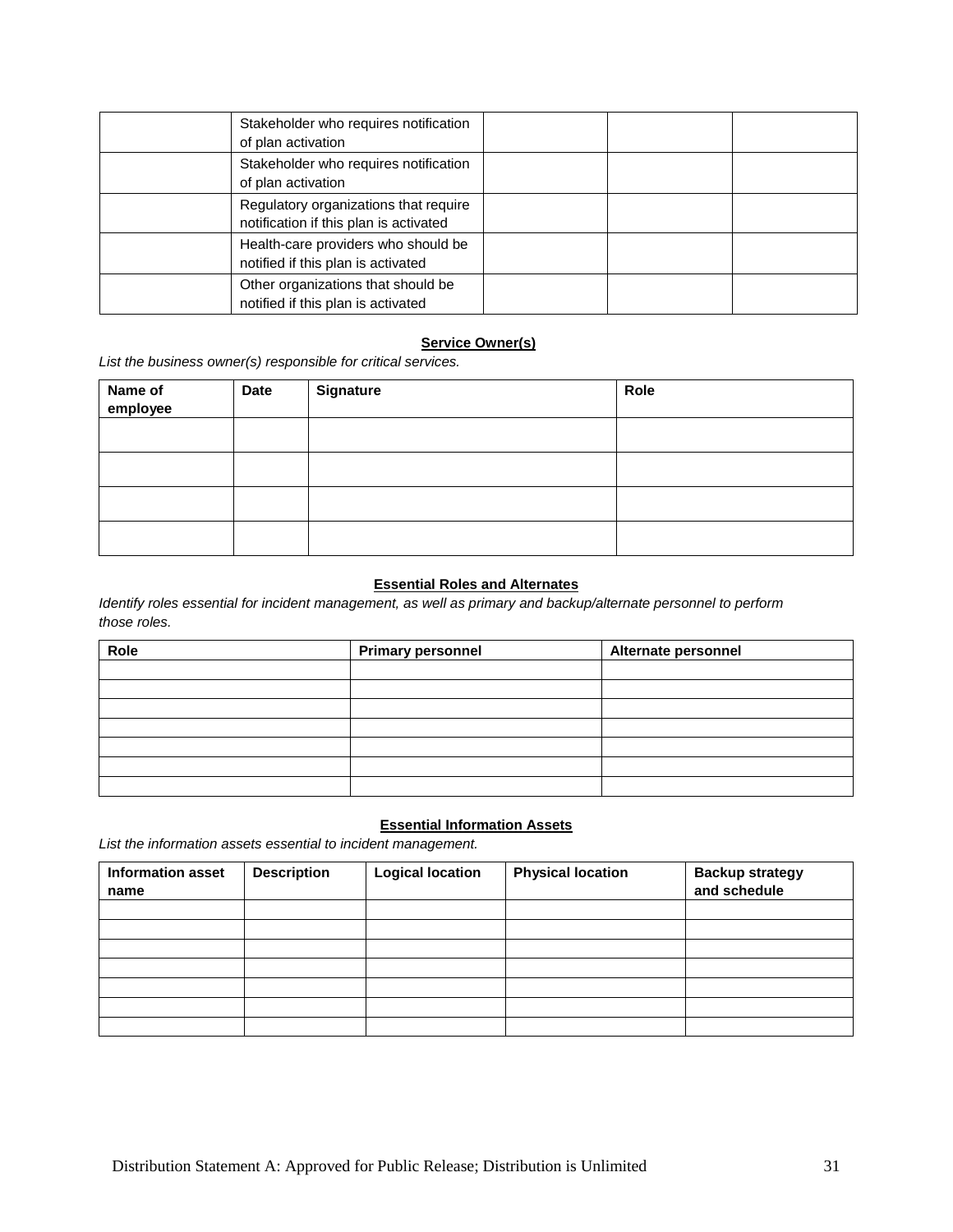| Stakeholder who requires notification<br>of plan activation                     |  |  |
|---------------------------------------------------------------------------------|--|--|
| Stakeholder who requires notification<br>of plan activation                     |  |  |
| Regulatory organizations that require<br>notification if this plan is activated |  |  |
| Health-care providers who should be<br>notified if this plan is activated       |  |  |
| Other organizations that should be<br>notified if this plan is activated        |  |  |

#### **Service Owner(s)**

*List the business owner(s) responsible for critical services.* 

| Name of<br>employee | Date | <b>Signature</b> | Role |
|---------------------|------|------------------|------|
|                     |      |                  |      |
|                     |      |                  |      |
|                     |      |                  |      |
|                     |      |                  |      |

#### **Essential Roles and Alternates**

*Identify roles essential for incident management, as well as primary and backup/alternate personnel to perform those roles.*

| Role | <b>Primary personnel</b> | Alternate personnel |
|------|--------------------------|---------------------|
|      |                          |                     |
|      |                          |                     |
|      |                          |                     |
|      |                          |                     |
|      |                          |                     |
|      |                          |                     |
|      |                          |                     |

#### **Essential Information Assets**

*List the information assets essential to incident management.* 

| <b>Information asset</b><br>name | <b>Description</b> | <b>Logical location</b> | <b>Physical location</b> | <b>Backup strategy</b><br>and schedule |
|----------------------------------|--------------------|-------------------------|--------------------------|----------------------------------------|
|                                  |                    |                         |                          |                                        |
|                                  |                    |                         |                          |                                        |
|                                  |                    |                         |                          |                                        |
|                                  |                    |                         |                          |                                        |
|                                  |                    |                         |                          |                                        |
|                                  |                    |                         |                          |                                        |
|                                  |                    |                         |                          |                                        |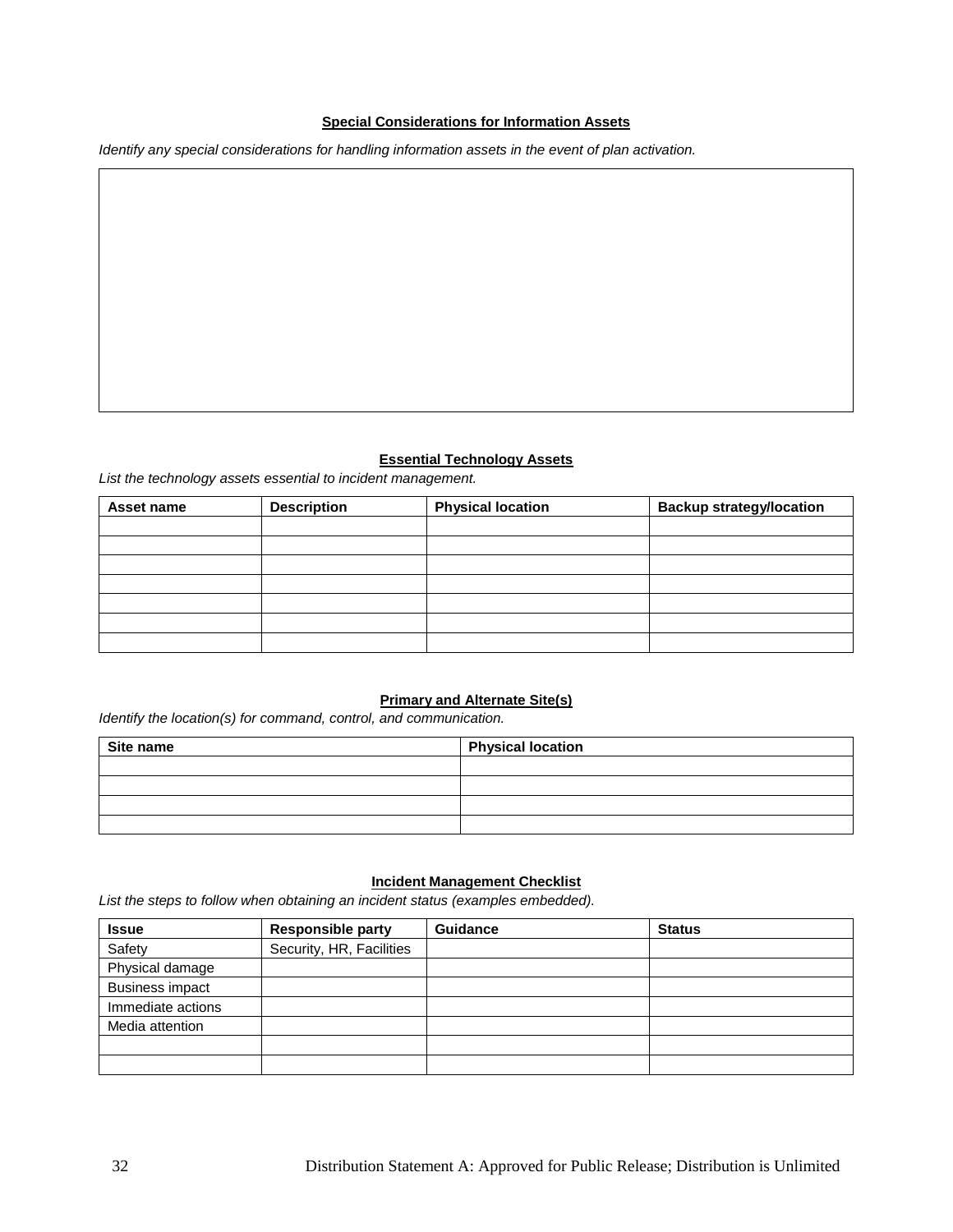#### **Special Considerations for Information Assets**

*Identify any special considerations for handling information assets in the event of plan activation.*

#### **Essential Technology Assets**

*List the technology assets essential to incident management.* 

| Asset name | <b>Description</b> | <b>Physical location</b> | <b>Backup strategy/location</b> |
|------------|--------------------|--------------------------|---------------------------------|
|            |                    |                          |                                 |
|            |                    |                          |                                 |
|            |                    |                          |                                 |
|            |                    |                          |                                 |
|            |                    |                          |                                 |
|            |                    |                          |                                 |
|            |                    |                          |                                 |

#### **Primary and Alternate Site(s)**

*Identify the location(s) for command, control, and communication.* 

| Site name | <b>Physical location</b> |
|-----------|--------------------------|
|           |                          |
|           |                          |
|           |                          |
|           |                          |

#### **Incident Management Checklist**

*List the steps to follow when obtaining an incident status (examples embedded).* 

| <b>Issue</b>           | <b>Responsible party</b> | <b>Guidance</b> | <b>Status</b> |
|------------------------|--------------------------|-----------------|---------------|
| Safety                 | Security, HR, Facilities |                 |               |
| Physical damage        |                          |                 |               |
| <b>Business impact</b> |                          |                 |               |
| Immediate actions      |                          |                 |               |
| Media attention        |                          |                 |               |
|                        |                          |                 |               |
|                        |                          |                 |               |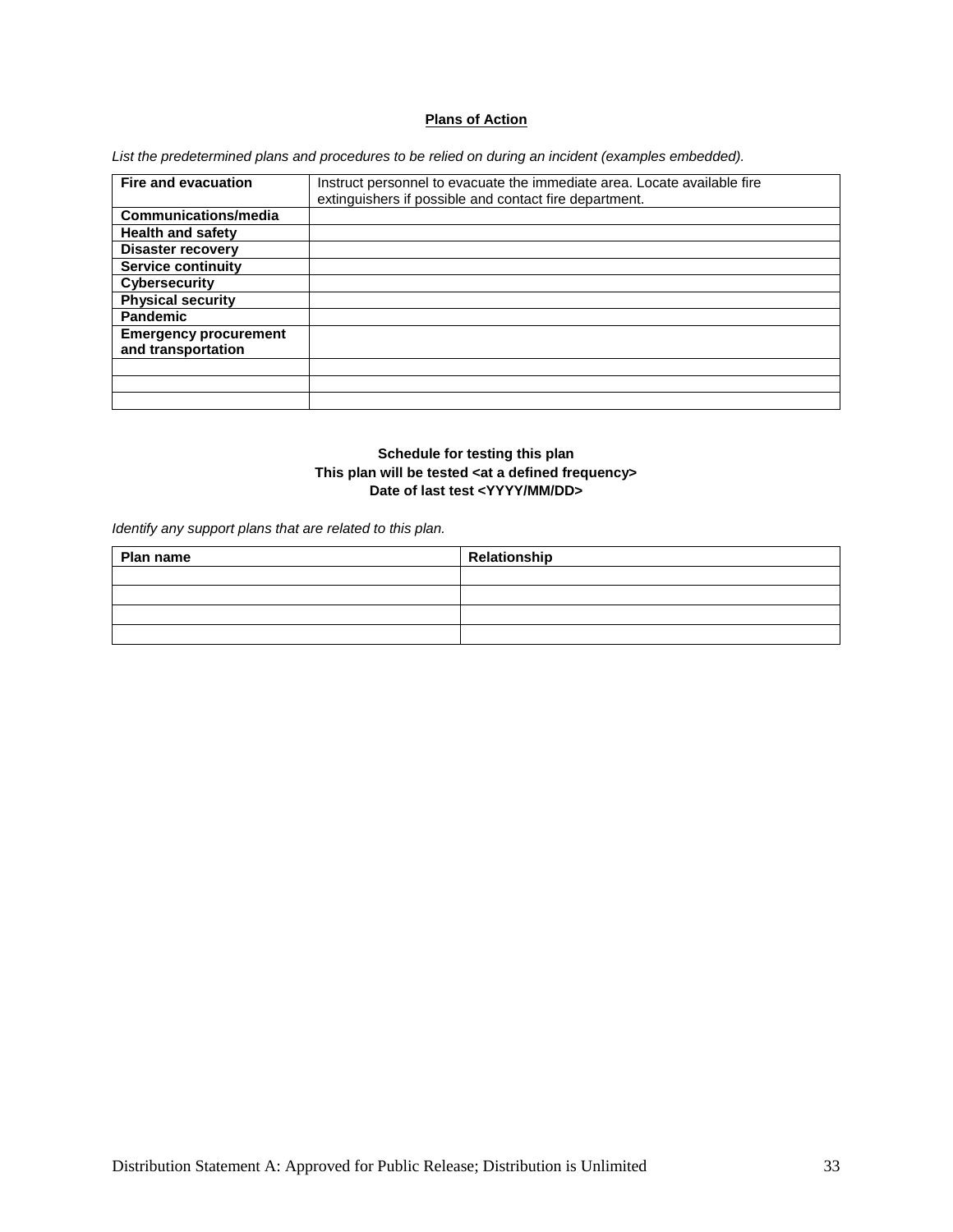#### **Plans of Action**

*List the predetermined plans and procedures to be relied on during an incident (examples embedded).*

| <b>Fire and evacuation</b>   | Instruct personnel to evacuate the immediate area. Locate available fire |
|------------------------------|--------------------------------------------------------------------------|
|                              |                                                                          |
|                              | extinguishers if possible and contact fire department.                   |
| Communications/media         |                                                                          |
| <b>Health and safety</b>     |                                                                          |
| <b>Disaster recovery</b>     |                                                                          |
| <b>Service continuity</b>    |                                                                          |
| <b>Cybersecurity</b>         |                                                                          |
| <b>Physical security</b>     |                                                                          |
| <b>Pandemic</b>              |                                                                          |
| <b>Emergency procurement</b> |                                                                          |
| and transportation           |                                                                          |
|                              |                                                                          |
|                              |                                                                          |
|                              |                                                                          |

#### **Schedule for testing this plan This plan will be tested <at a defined frequency> Date of last test <YYYY/MM/DD>**

*Identify any support plans that are related to this plan.*

| Plan name | Relationship |
|-----------|--------------|
|           |              |
|           |              |
|           |              |
|           |              |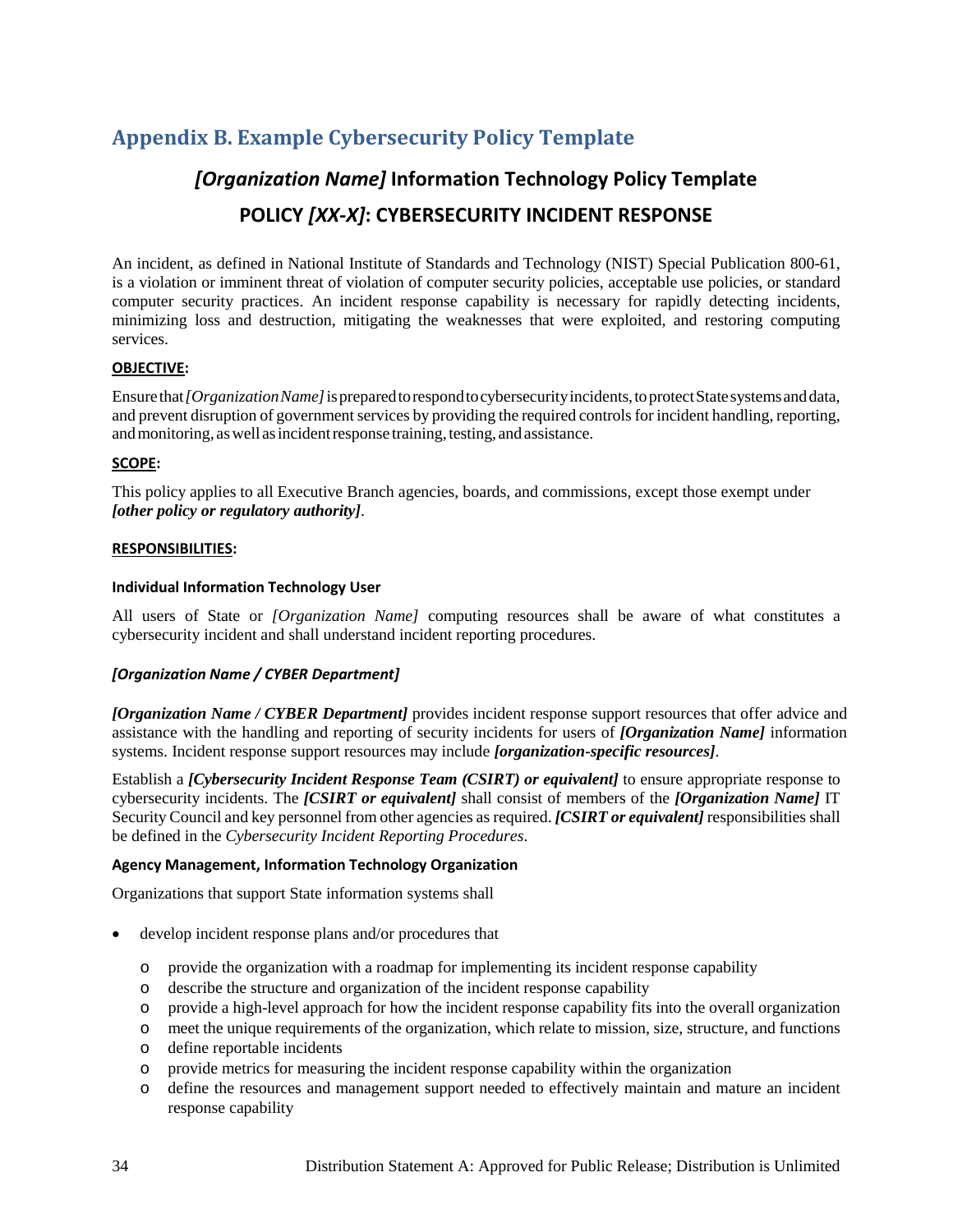## <span id="page-37-0"></span>**Appendix B. Example Cybersecurity Policy Template**

## *[Organization Name]* **Information Technology Policy Template POLICY** *[XX-X]***: CYBERSECURITY INCIDENT RESPONSE**

An incident, as defined in National Institute of Standards and Technology (NIST) Special Publication 800-61, is a violation or imminent threat of violation of computer security policies, acceptable use policies, or standard computer security practices. An incident response capability is necessary for rapidly detecting incidents, minimizing loss and destruction, mitigating the weaknesses that were exploited, and restoring computing services.

#### **OBJECTIVE:**

Ensure that *[Organization Name]* is prepared to respond to cybersecurity incidents, to protect State systems and data, and prevent disruption of government services by providing the required controls for incident handling, reporting, and monitoring, as well as incident response training, testing, and assistance.

#### **SCOPE:**

This policy applies to all Executive Branch agencies, boards, and commissions, except those exempt under *[other policy or regulatory authority]*.

#### **RESPONSIBILITIES:**

#### **Individual Information Technology User**

All users of State or *[Organization Name]* computing resources shall be aware of what constitutes a cybersecurity incident and shall understand incident reporting procedures.

#### *[Organization Name / CYBER Department]*

*[Organization Name / CYBER Department]* provides incident response support resources that offer advice and assistance with the handling and reporting of security incidents for users of *[Organization Name]* information systems. Incident response support resources may include *[organization-specific resources]*.

Establish a *[Cybersecurity Incident Response Team (CSIRT) or equivalent]* to ensure appropriate response to cybersecurity incidents. The *[CSIRT or equivalent]* shall consist of members of the *[Organization Name]* IT Security Council and key personnel from other agencies as required. *[CSIRT or equivalent]* responsibilities shall be defined in the *Cybersecurity Incident Reporting Procedures*.

#### **Agency Management, Information Technology Organization**

Organizations that support State information systems shall

- develop incident response plans and/or procedures that
	- o provide the organization with a roadmap for implementing its incident response capability
	- o describe the structure and organization of the incident response capability
	- o provide a high-level approach for how the incident response capability fits into the overall organization
	- o meet the unique requirements of the organization, which relate to mission, size, structure, and functions
	- o define reportable incidents
	- o provide metrics for measuring the incident response capability within the organization
	- o define the resources and management support needed to effectively maintain and mature an incident response capability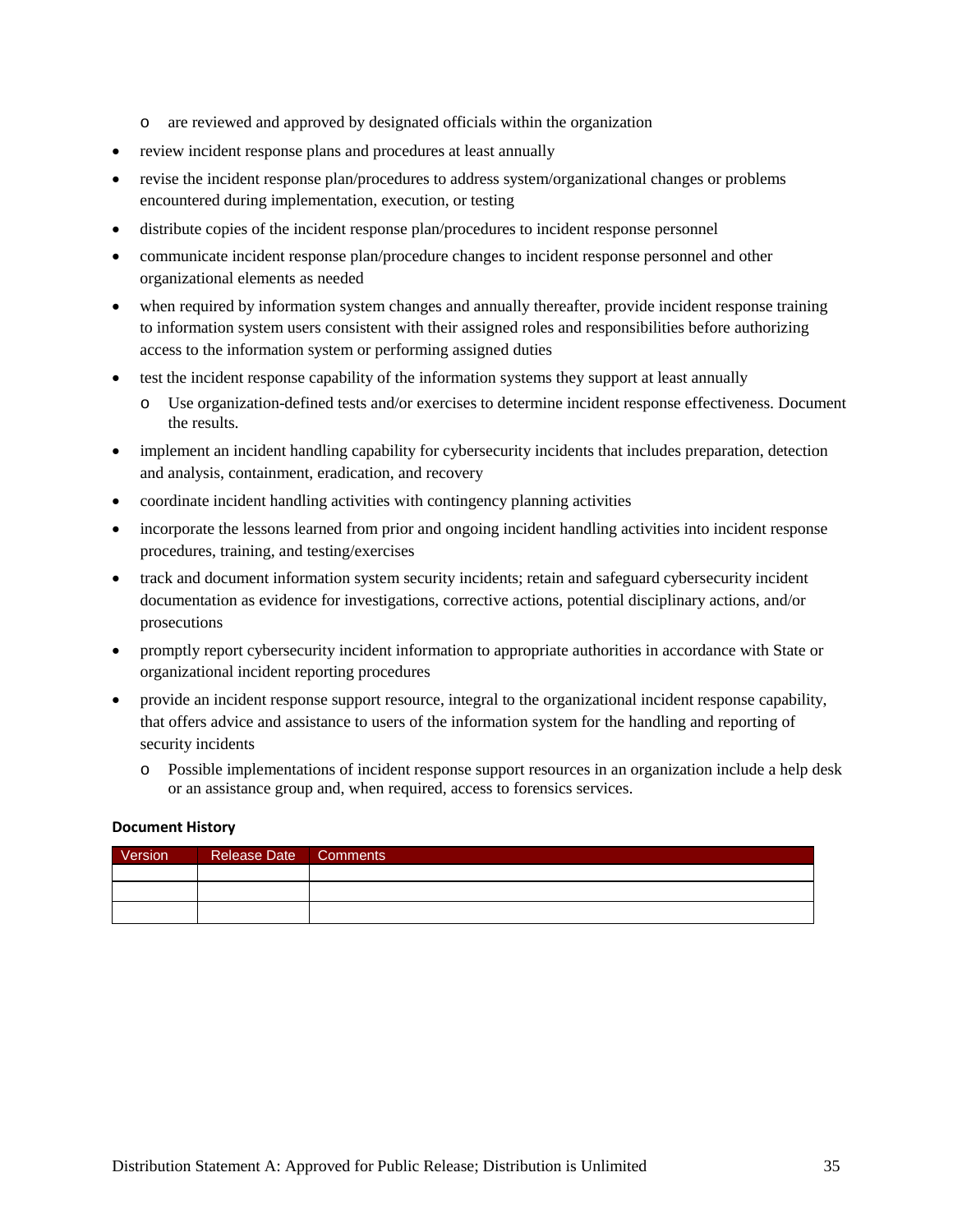- o are reviewed and approved by designated officials within the organization
- review incident response plans and procedures at least annually
- revise the incident response plan/procedures to address system/organizational changes or problems encountered during implementation, execution, or testing
- distribute copies of the incident response plan/procedures to incident response personnel
- communicate incident response plan/procedure changes to incident response personnel and other organizational elements as needed
- when required by information system changes and annually thereafter, provide incident response training to information system users consistent with their assigned roles and responsibilities before authorizing access to the information system or performing assigned duties
- test the incident response capability of the information systems they support at least annually
	- o Use organization-defined tests and/or exercises to determine incident response effectiveness. Document the results.
- implement an incident handling capability for cybersecurity incidents that includes preparation, detection and analysis, containment, eradication, and recovery
- coordinate incident handling activities with contingency planning activities
- incorporate the lessons learned from prior and ongoing incident handling activities into incident response procedures, training, and testing/exercises
- track and document information system security incidents; retain and safeguard cybersecurity incident documentation as evidence for investigations, corrective actions, potential disciplinary actions, and/or prosecutions
- promptly report cybersecurity incident information to appropriate authorities in accordance with State or organizational incident reporting procedures
- provide an incident response support resource, integral to the organizational incident response capability, that offers advice and assistance to users of the information system for the handling and reporting of security incidents
	- o Possible implementations of incident response support resources in an organization include a help desk or an assistance group and, when required, access to forensics services.

#### **Document History**

| Version <sup>1</sup> | Release Date   Comments |  |
|----------------------|-------------------------|--|
|                      |                         |  |
|                      |                         |  |
|                      |                         |  |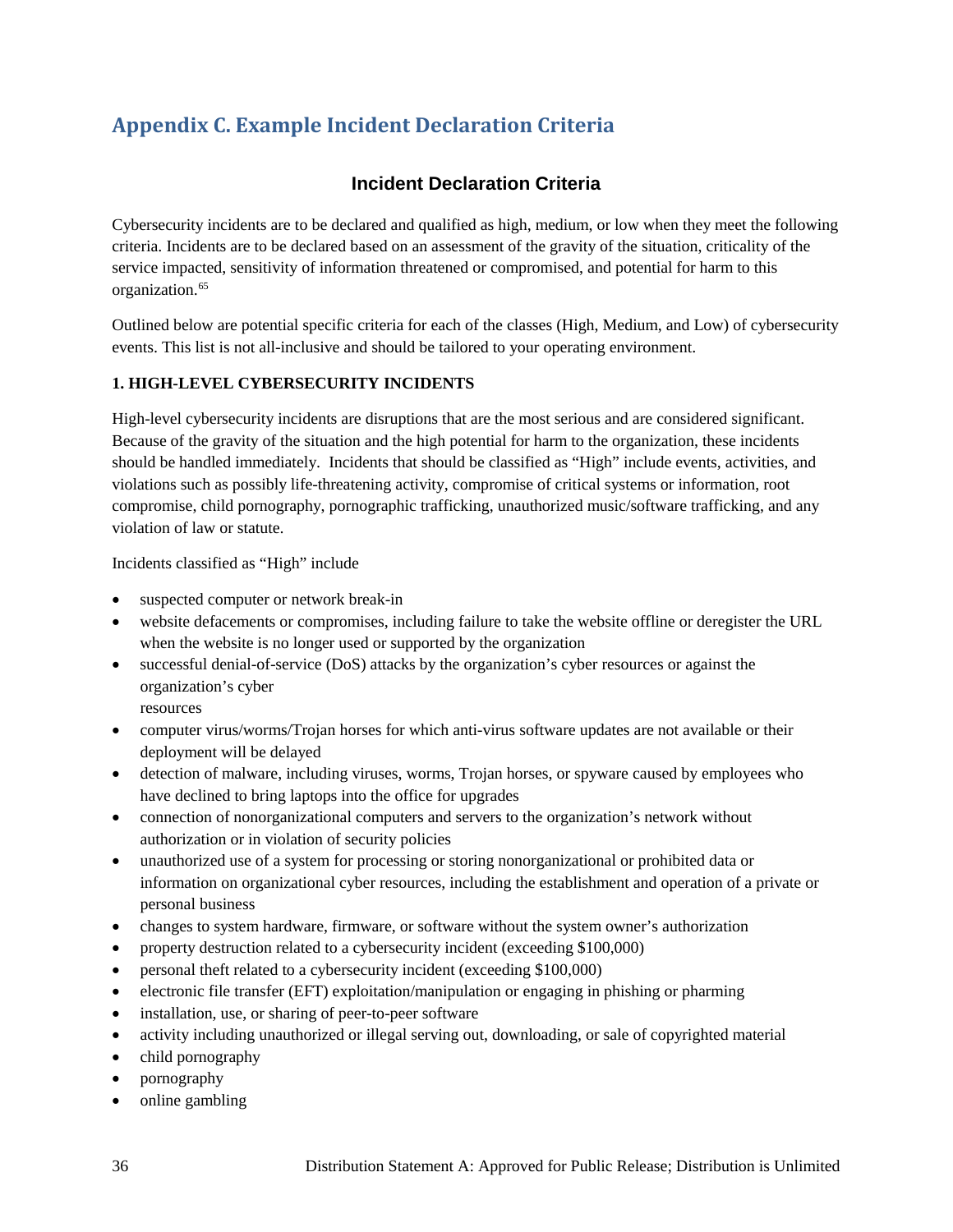## <span id="page-39-0"></span>**Appendix C. Example Incident Declaration Criteria**

## **Incident Declaration Criteria**

Cybersecurity incidents are to be declared and qualified as high, medium, or low when they meet the following criteria. Incidents are to be declared based on an assessment of the gravity of the situation, criticality of the service impacted, sensitivity of information threatened or compromised, and potential for harm to this organization.<sup>[65](#page-53-49)</sup>

Outlined below are potential specific criteria for each of the classes (High, Medium, and Low) of cybersecurity events. This list is not all-inclusive and should be tailored to your operating environment.

#### **1. HIGH-LEVEL CYBERSECURITY INCIDENTS**

High-level cybersecurity incidents are disruptions that are the most serious and are considered significant. Because of the gravity of the situation and the high potential for harm to the organization, these incidents should be handled immediately. Incidents that should be classified as "High" include events, activities, and violations such as possibly life-threatening activity, compromise of critical systems or information, root compromise, child pornography, pornographic trafficking, unauthorized music/software trafficking, and any violation of law or statute.

Incidents classified as "High" include

- suspected computer or network break-in
- website defacements or compromises, including failure to take the website offline or deregister the URL when the website is no longer used or supported by the organization
- successful denial-of-service (DoS) attacks by the organization's cyber resources or against the organization's cyber

resources

- computer virus/worms/Trojan horses for which anti-virus software updates are not available or their deployment will be delayed
- detection of malware, including viruses, worms, Trojan horses, or spyware caused by employees who have declined to bring laptops into the office for upgrades
- connection of nonorganizational computers and servers to the organization's network without authorization or in violation of security policies
- unauthorized use of a system for processing or storing nonorganizational or prohibited data or information on organizational cyber resources, including the establishment and operation of a private or personal business
- changes to system hardware, firmware, or software without the system owner's authorization
- property destruction related to a cybersecurity incident (exceeding \$100,000)
- personal theft related to a cybersecurity incident (exceeding \$100,000)
- electronic file transfer (EFT) exploitation/manipulation or engaging in phishing or pharming
- installation, use, or sharing of peer-to-peer software
- activity including unauthorized or illegal serving out, downloading, or sale of copyrighted material
- child pornography
- pornography
- online gambling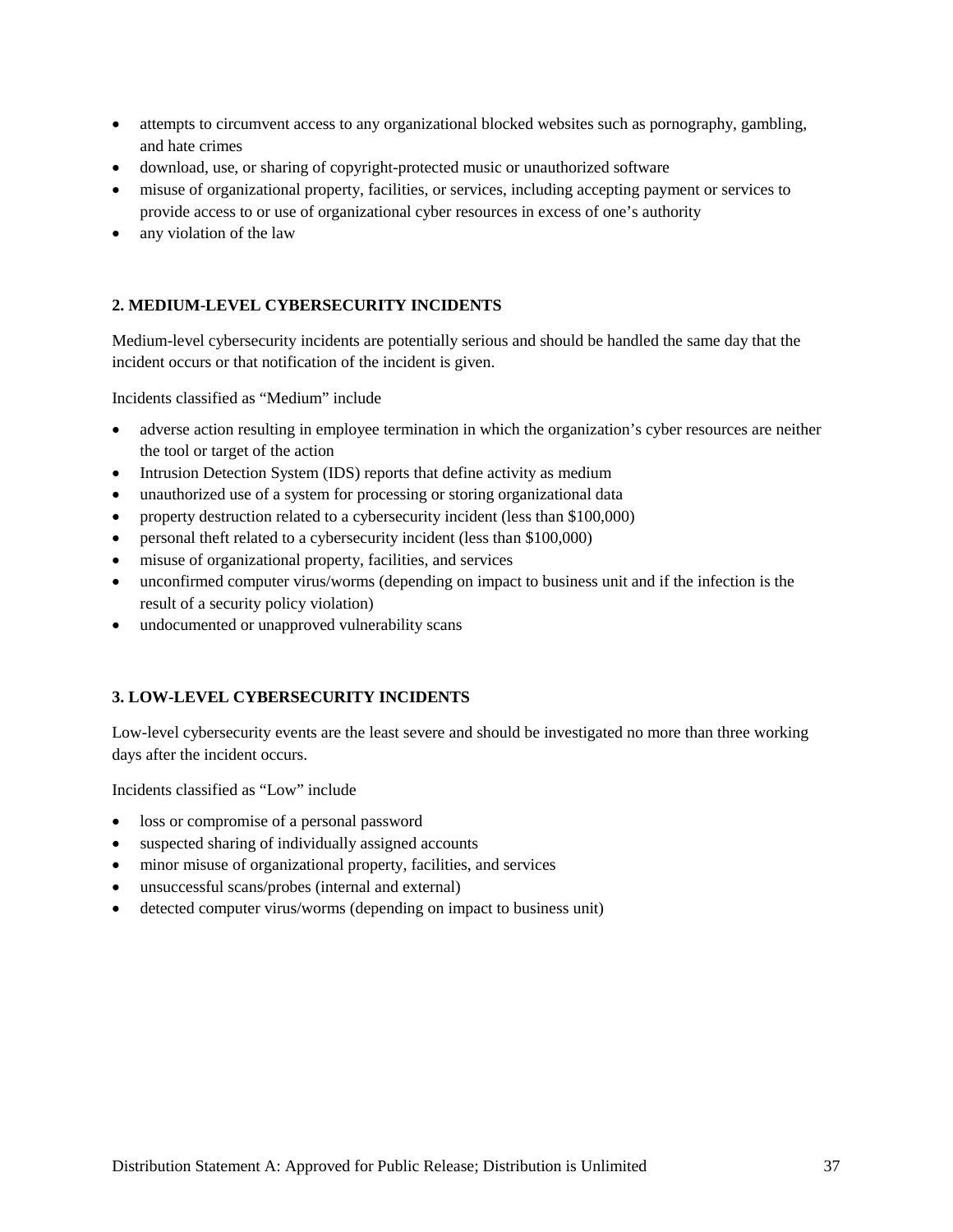- attempts to circumvent access to any organizational blocked websites such as pornography, gambling, and hate crimes
- download, use, or sharing of copyright-protected music or unauthorized software
- misuse of organizational property, facilities, or services, including accepting payment or services to provide access to or use of organizational cyber resources in excess of one's authority
- any violation of the law

#### **2. MEDIUM-LEVEL CYBERSECURITY INCIDENTS**

Medium-level cybersecurity incidents are potentially serious and should be handled the same day that the incident occurs or that notification of the incident is given.

Incidents classified as "Medium" include

- adverse action resulting in employee termination in which the organization's cyber resources are neither the tool or target of the action
- Intrusion Detection System (IDS) reports that define activity as medium
- unauthorized use of a system for processing or storing organizational data
- property destruction related to a cybersecurity incident (less than \$100,000)
- personal theft related to a cybersecurity incident (less than \$100,000)
- misuse of organizational property, facilities, and services
- unconfirmed computer virus/worms (depending on impact to business unit and if the infection is the result of a security policy violation)
- undocumented or unapproved vulnerability scans

#### **3. LOW-LEVEL CYBERSECURITY INCIDENTS**

Low-level cybersecurity events are the least severe and should be investigated no more than three working days after the incident occurs.

Incidents classified as "Low" include

- loss or compromise of a personal password
- suspected sharing of individually assigned accounts
- minor misuse of organizational property, facilities, and services
- unsuccessful scans/probes (internal and external)
- detected computer virus/worms (depending on impact to business unit)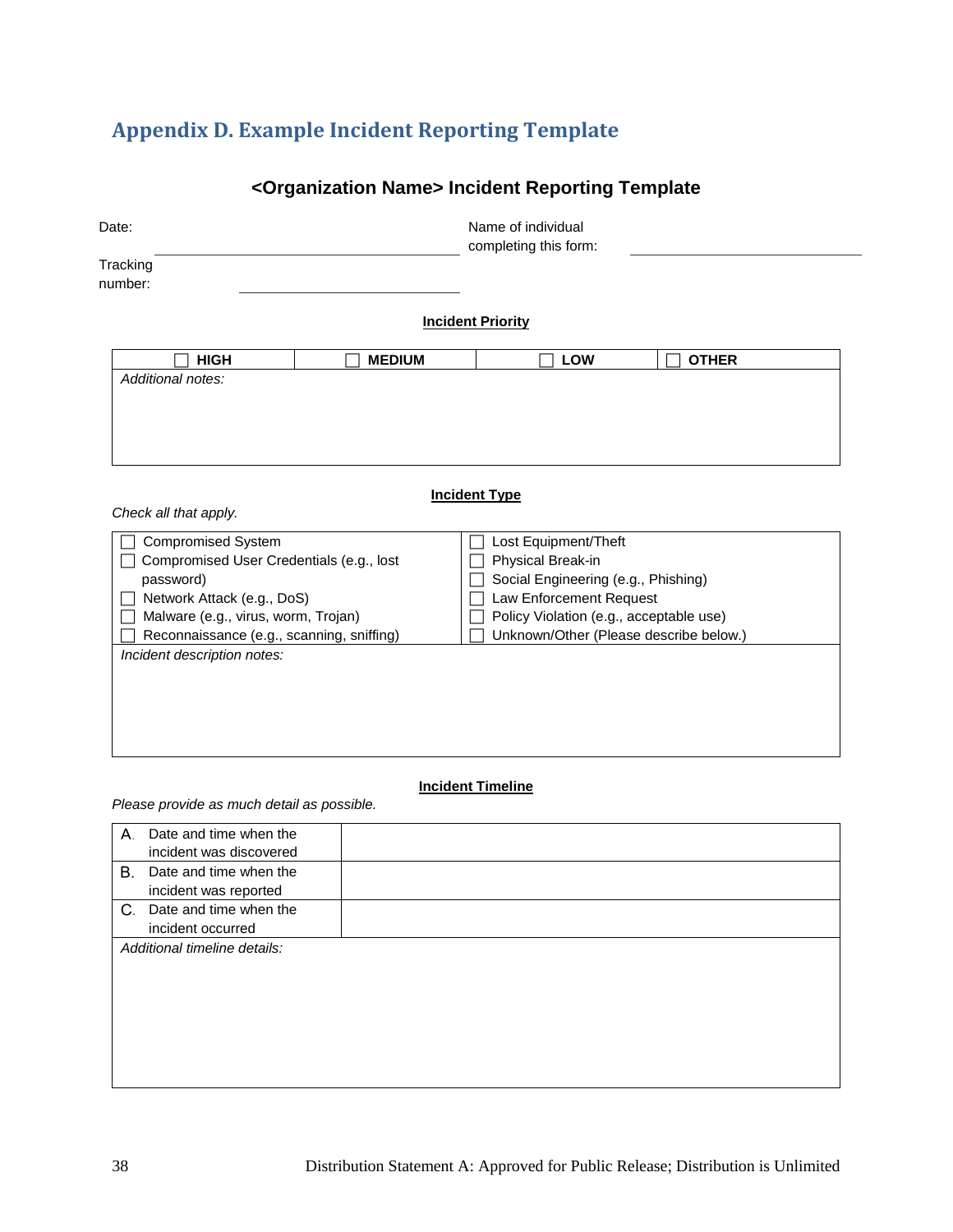## <span id="page-41-0"></span>**Appendix D. Example Incident Reporting Template**

## **<Organization Name> Incident Reporting Template**

| Date:                                                                            |               | Name of individual<br>completing this form: |                         |                                                                                   |  |
|----------------------------------------------------------------------------------|---------------|---------------------------------------------|-------------------------|-----------------------------------------------------------------------------------|--|
| Tracking<br>number:                                                              |               |                                             |                         |                                                                                   |  |
|                                                                                  |               | <b>Incident Priority</b>                    |                         |                                                                                   |  |
| <b>HIGH</b>                                                                      | <b>MEDIUM</b> |                                             | <b>LOW</b>              | <b>OTHER</b>                                                                      |  |
| Additional notes:                                                                |               |                                             |                         |                                                                                   |  |
| Check all that apply.                                                            |               | <b>Incident Type</b>                        |                         |                                                                                   |  |
| <b>Compromised System</b>                                                        |               |                                             | Lost Equipment/Theft    |                                                                                   |  |
| Compromised User Credentials (e.g., lost                                         |               | Physical Break-in                           |                         |                                                                                   |  |
| password)                                                                        |               |                                             |                         | Social Engineering (e.g., Phishing)                                               |  |
| Network Attack (e.g., DoS)                                                       |               |                                             | Law Enforcement Request |                                                                                   |  |
| Malware (e.g., virus, worm, Trojan)<br>Reconnaissance (e.g., scanning, sniffing) |               |                                             |                         | Policy Violation (e.g., acceptable use)<br>Unknown/Other (Please describe below.) |  |
| Incident description notes:                                                      |               |                                             |                         |                                                                                   |  |
|                                                                                  |               |                                             |                         |                                                                                   |  |
|                                                                                  |               |                                             |                         |                                                                                   |  |
|                                                                                  |               |                                             |                         |                                                                                   |  |
|                                                                                  |               |                                             |                         |                                                                                   |  |
|                                                                                  |               |                                             |                         |                                                                                   |  |

#### **Incident Timeline**

*Please provide as much detail as possible.* 

| А. | Date and time when the       |  |
|----|------------------------------|--|
|    | incident was discovered      |  |
|    | B. Date and time when the    |  |
|    | incident was reported        |  |
|    | C. Date and time when the    |  |
|    | incident occurred            |  |
|    | Additional timeline details: |  |
|    |                              |  |
|    |                              |  |
|    |                              |  |
|    |                              |  |
|    |                              |  |
|    |                              |  |
|    |                              |  |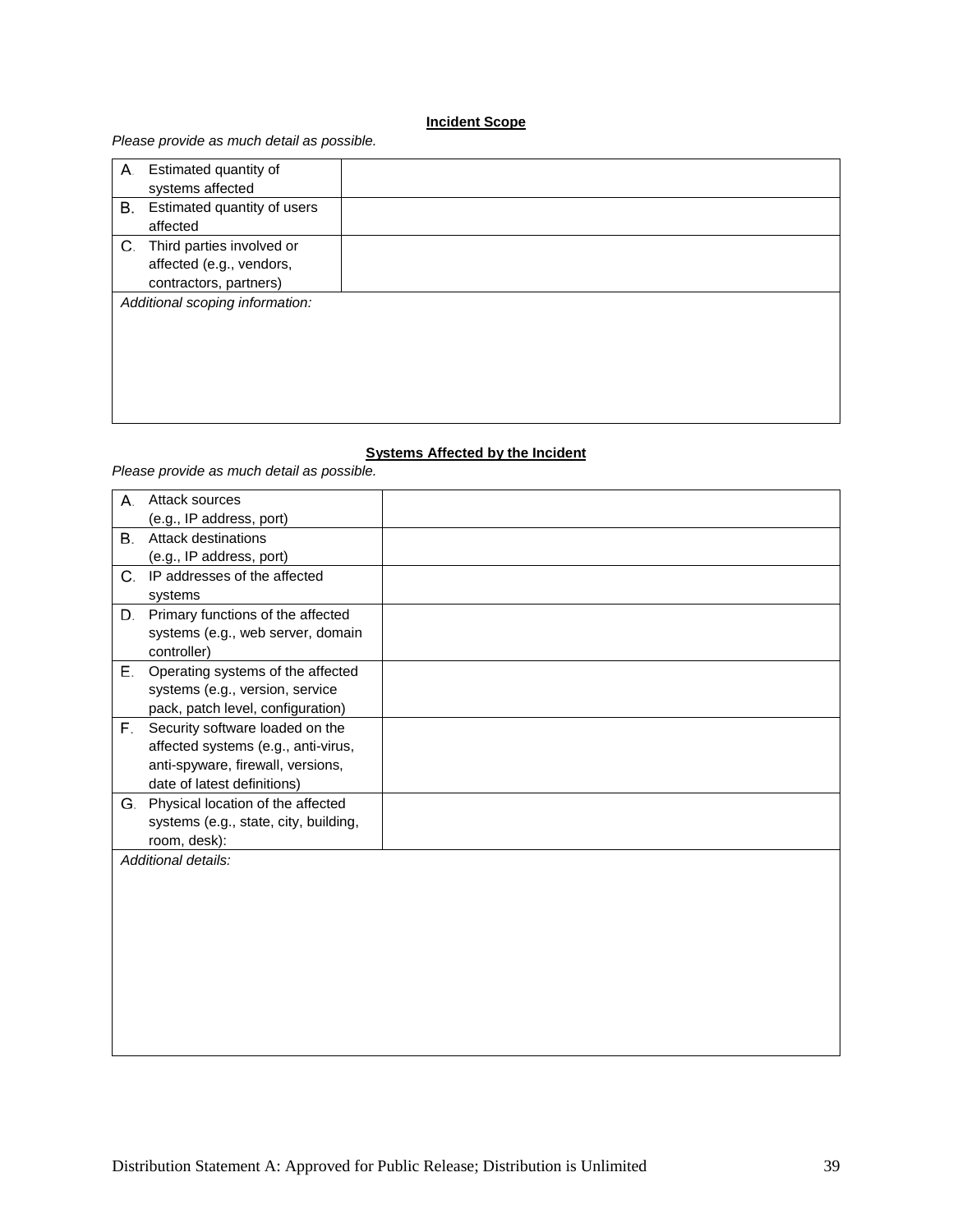#### **Incident Scope**

#### *Please provide as much detail as possible.*

| А. | Estimated quantity of           |  |
|----|---------------------------------|--|
|    | systems affected                |  |
|    | B. Estimated quantity of users  |  |
|    | affected                        |  |
| C. | Third parties involved or       |  |
|    | affected (e.g., vendors,        |  |
|    | contractors, partners)          |  |
|    | Additional scoping information: |  |
|    |                                 |  |
|    |                                 |  |
|    |                                 |  |
|    |                                 |  |
|    |                                 |  |

#### **Systems Affected by the Incident**

*Please provide as much detail as possible.* 

| А. | Attack sources                        |  |
|----|---------------------------------------|--|
|    | (e.g., IP address, port)              |  |
| В. | Attack destinations                   |  |
|    | (e.g., IP address, port)              |  |
| C. | IP addresses of the affected          |  |
|    | systems                               |  |
| D. | Primary functions of the affected     |  |
|    | systems (e.g., web server, domain     |  |
|    | controller)                           |  |
| Е. | Operating systems of the affected     |  |
|    | systems (e.g., version, service       |  |
|    | pack, patch level, configuration)     |  |
| F. | Security software loaded on the       |  |
|    | affected systems (e.g., anti-virus,   |  |
|    | anti-spyware, firewall, versions,     |  |
|    | date of latest definitions)           |  |
|    | G. Physical location of the affected  |  |
|    | systems (e.g., state, city, building, |  |
|    | room, desk):                          |  |
|    | Additional details:                   |  |
|    |                                       |  |
|    |                                       |  |
|    |                                       |  |
|    |                                       |  |
|    |                                       |  |
|    |                                       |  |
|    |                                       |  |
|    |                                       |  |
|    |                                       |  |
|    |                                       |  |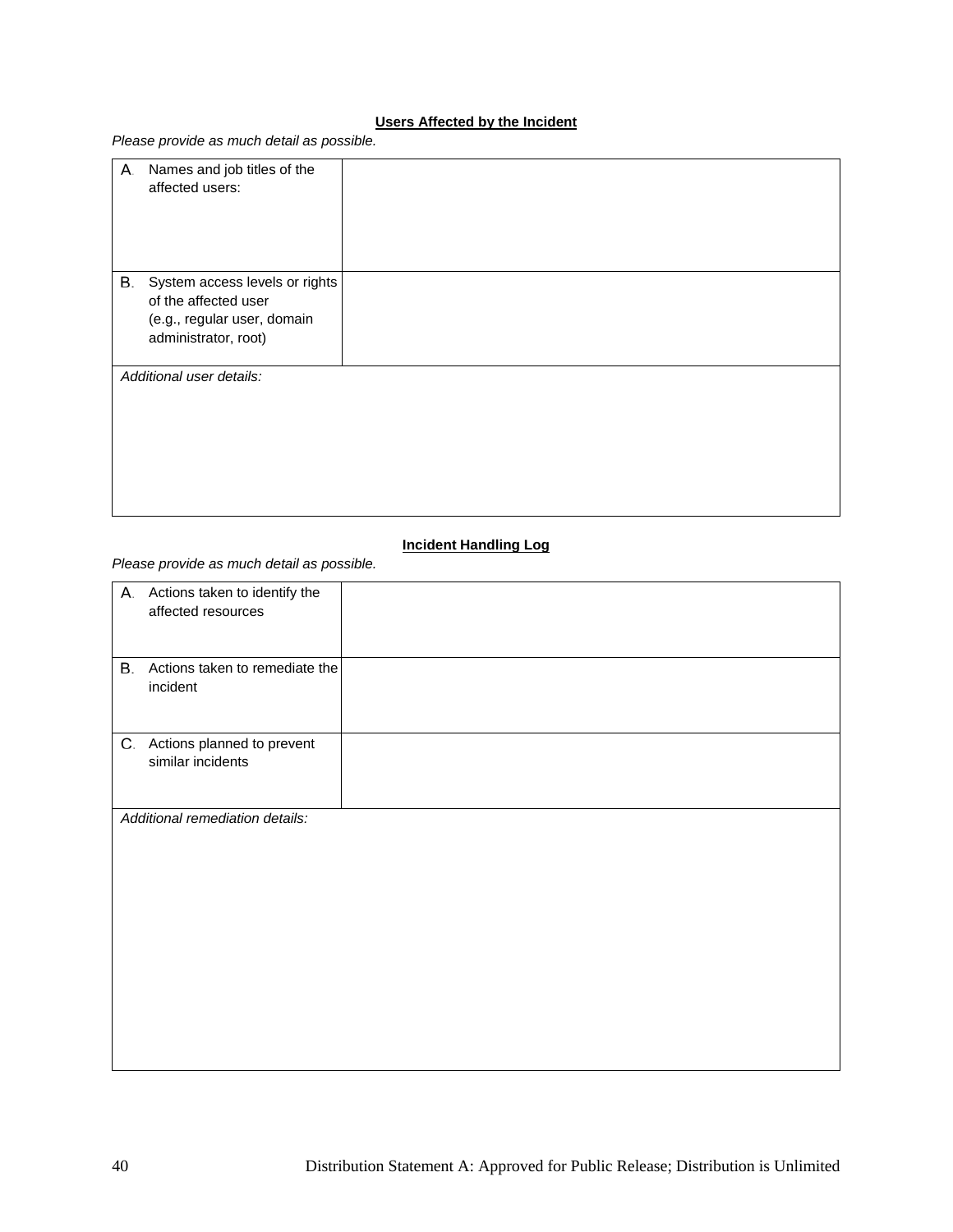## **Users Affected by the Incident**

*Please provide as much detail as possible.* 

| А. | Names and job titles of the<br>affected users:                                                                |  |
|----|---------------------------------------------------------------------------------------------------------------|--|
| В. | System access levels or rights<br>of the affected user<br>(e.g., regular user, domain<br>administrator, root) |  |
|    | Additional user details:                                                                                      |  |

#### **Incident Handling Log**

*Please provide as much detail as possible.* 

|    | A. Actions taken to identify the<br>affected resources |  |
|----|--------------------------------------------------------|--|
|    |                                                        |  |
| В. | Actions taken to remediate the<br>incident             |  |
|    | C. Actions planned to prevent<br>similar incidents     |  |
|    | Additional remediation details:                        |  |
|    |                                                        |  |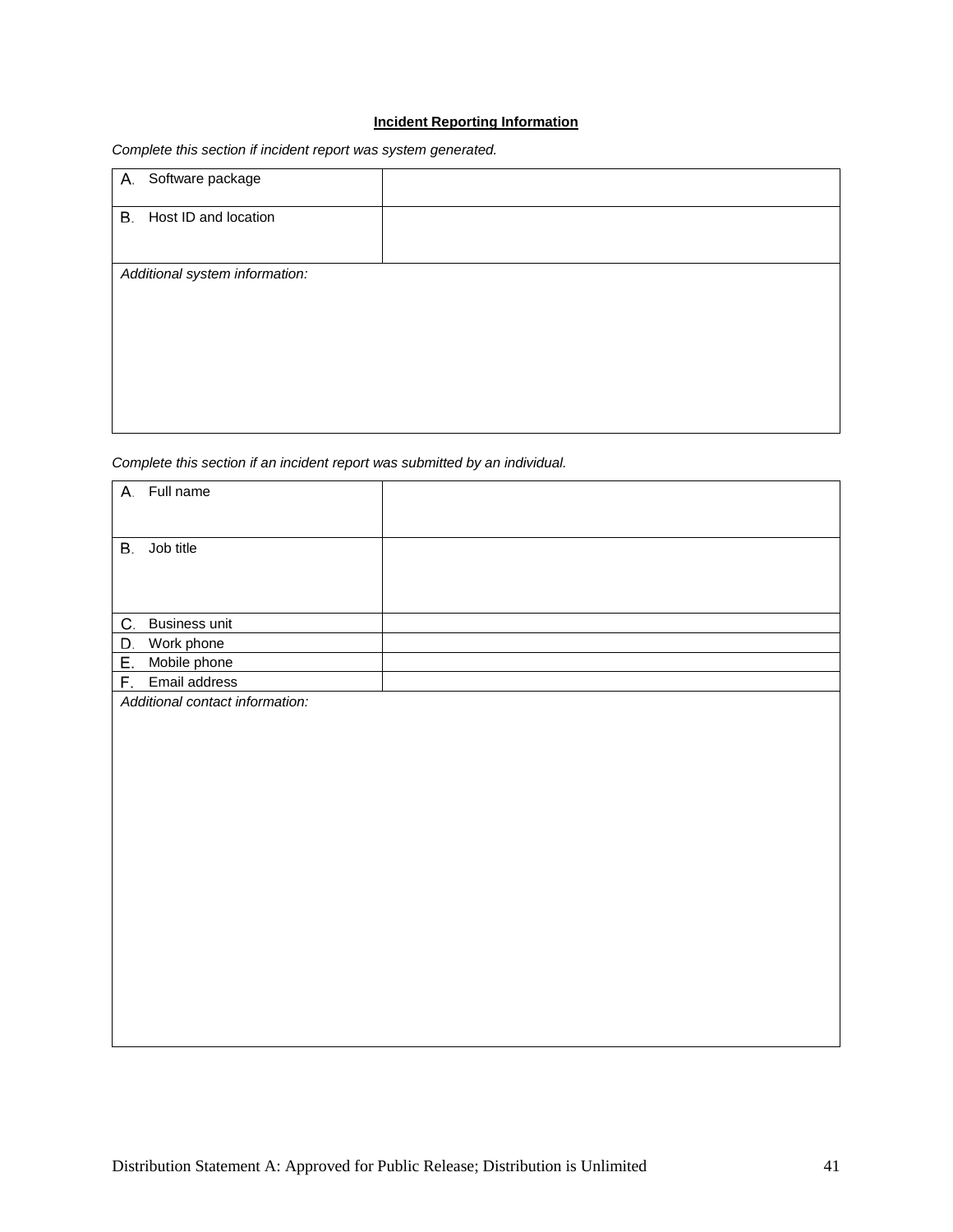#### **Incident Reporting Information**

| A. Software package            |  |
|--------------------------------|--|
| B. Host ID and location        |  |
| Additional system information: |  |

*Complete this section if incident report was system generated.* 

*Complete this section if an incident report was submitted by an individual.* 

| A. Full name                    |  |
|---------------------------------|--|
| Job title<br>В.                 |  |
|                                 |  |
|                                 |  |
| C.<br>Business unit             |  |
| D.<br>Work phone                |  |
| Е.<br>Mobile phone              |  |
| F. Email address                |  |
| Additional contact information: |  |
|                                 |  |
|                                 |  |
|                                 |  |
|                                 |  |
|                                 |  |
|                                 |  |
|                                 |  |
|                                 |  |
|                                 |  |
|                                 |  |
|                                 |  |
|                                 |  |
|                                 |  |
|                                 |  |
|                                 |  |
|                                 |  |
|                                 |  |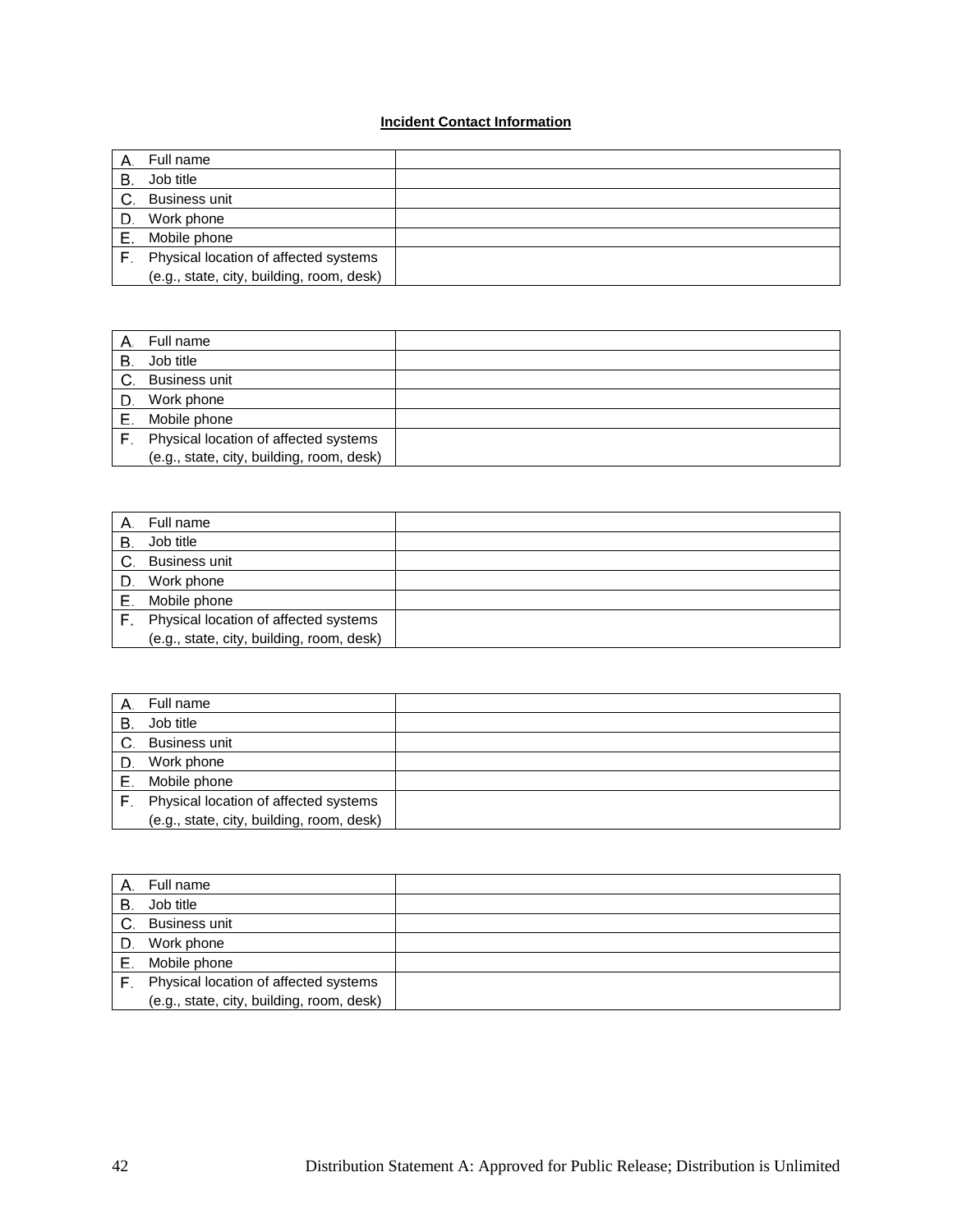#### **Incident Contact Information**

|    | Full name                                 |  |
|----|-------------------------------------------|--|
| В. | Job title                                 |  |
| C. | <b>Business unit</b>                      |  |
| D. | Work phone                                |  |
| Е. | Mobile phone                              |  |
| F. | Physical location of affected systems     |  |
|    | (e.g., state, city, building, room, desk) |  |

| Α. | Full name                                 |  |
|----|-------------------------------------------|--|
| В. | Job title                                 |  |
| C. | <b>Business unit</b>                      |  |
| D. | Work phone                                |  |
|    | Mobile phone                              |  |
| F. | Physical location of affected systems     |  |
|    | (e.g., state, city, building, room, desk) |  |

|    | Full name                                 |  |
|----|-------------------------------------------|--|
| В. | Job title                                 |  |
|    | C. Business unit                          |  |
|    | D. Work phone                             |  |
| Е. | Mobile phone                              |  |
|    | F. Physical location of affected systems  |  |
|    | (e.g., state, city, building, room, desk) |  |

|    | Full name                                 |  |
|----|-------------------------------------------|--|
| В. | Job title                                 |  |
| C. | <b>Business unit</b>                      |  |
| D. | Work phone                                |  |
| Е. | Mobile phone                              |  |
|    | Physical location of affected systems     |  |
|    | (e.g., state, city, building, room, desk) |  |

|    | Full name                                 |  |
|----|-------------------------------------------|--|
| В. | Job title                                 |  |
| C. | <b>Business unit</b>                      |  |
| D. | Work phone                                |  |
| Е. | Mobile phone                              |  |
| F. | Physical location of affected systems     |  |
|    | (e.g., state, city, building, room, desk) |  |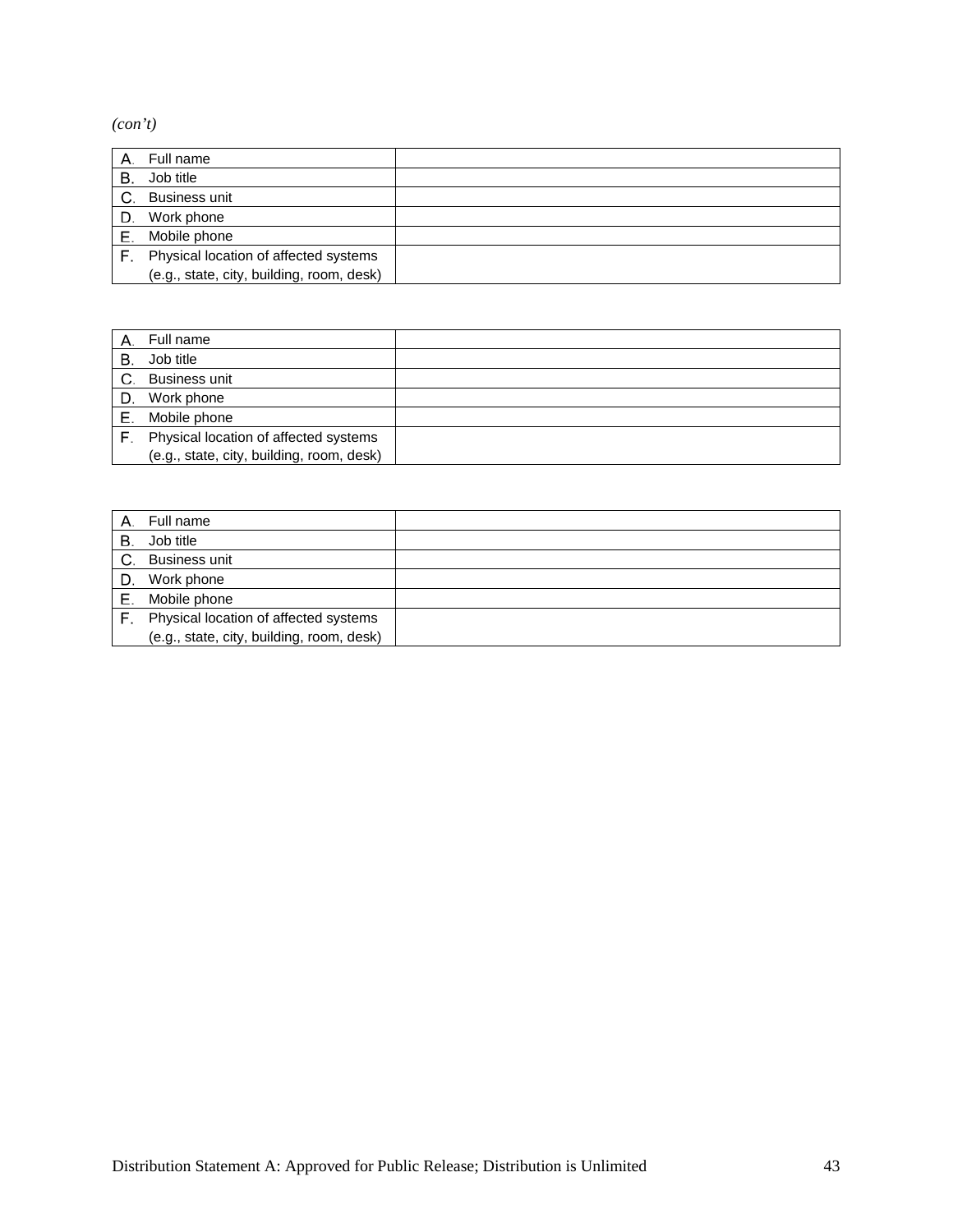*(con't)*

|    | Full name                                 |  |
|----|-------------------------------------------|--|
| В. | Job title                                 |  |
| C. | <b>Business unit</b>                      |  |
| D. | Work phone                                |  |
|    | Mobile phone                              |  |
| F. | Physical location of affected systems     |  |
|    | (e.g., state, city, building, room, desk) |  |

|    | Full name                                 |  |
|----|-------------------------------------------|--|
| B  | Job title                                 |  |
| C. | <b>Business unit</b>                      |  |
| D. | Work phone                                |  |
| Е. | Mobile phone                              |  |
|    | Physical location of affected systems     |  |
|    | (e.g., state, city, building, room, desk) |  |

|    | Full name                                 |  |
|----|-------------------------------------------|--|
| В. | Job title                                 |  |
| C. | <b>Business unit</b>                      |  |
| D. | Work phone                                |  |
| Е. | Mobile phone                              |  |
|    | Physical location of affected systems     |  |
|    | (e.g., state, city, building, room, desk) |  |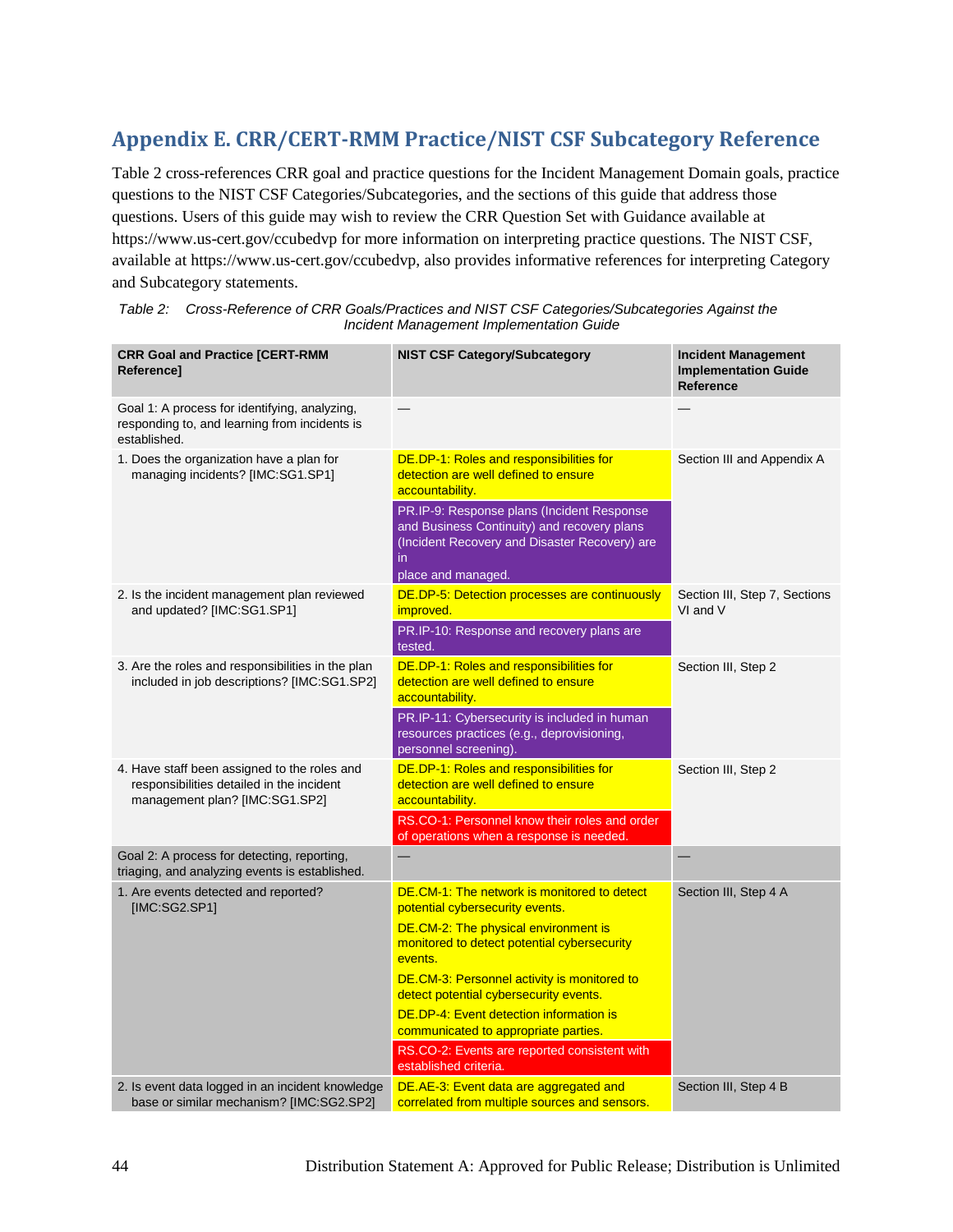## <span id="page-47-0"></span>**Appendix E. CRR/CERT-RMM Practice/NIST CSF Subcategory Reference**

[Table 2](#page-47-1) cross-references CRR goal and practice questions for the Incident Management Domain goals, practice questions to the NIST CSF Categories/Subcategories, and the sections of this guide that address those questions. Users of this guide may wish to review the CRR Question Set with Guidance available at https://www.us-cert.gov/ccubedvp for more information on interpreting practice questions. The NIST CSF, available at https://www.us-cert.gov/ccubedvp, also provides informative references for interpreting Category and Subcategory statements.

| <b>CRR Goal and Practice [CERT-RMM</b><br>Reference]                                                                        | <b>NIST CSF Category/Subcategory</b>                                                                                                                                                                                                                                                                                                                                                                                                         | <b>Incident Management</b><br><b>Implementation Guide</b><br><b>Reference</b> |
|-----------------------------------------------------------------------------------------------------------------------------|----------------------------------------------------------------------------------------------------------------------------------------------------------------------------------------------------------------------------------------------------------------------------------------------------------------------------------------------------------------------------------------------------------------------------------------------|-------------------------------------------------------------------------------|
| Goal 1: A process for identifying, analyzing,<br>responding to, and learning from incidents is<br>established.              |                                                                                                                                                                                                                                                                                                                                                                                                                                              |                                                                               |
| 1. Does the organization have a plan for<br>managing incidents? [IMC:SG1.SP1]                                               | <b>DE.DP-1: Roles and responsibilities for</b><br>detection are well defined to ensure<br>accountability.<br>PR.IP-9: Response plans (Incident Response<br>and Business Continuity) and recovery plans<br>(Incident Recovery and Disaster Recovery) are<br>in.<br>place and managed.                                                                                                                                                         | Section III and Appendix A                                                    |
| 2. Is the incident management plan reviewed<br>and updated? [IMC:SG1.SP1]                                                   | <b>DE.DP-5: Detection processes are continuously</b><br><i>improved.</i><br>PR.IP-10: Response and recovery plans are<br>tested.                                                                                                                                                                                                                                                                                                             | Section III, Step 7, Sections<br>VI and V                                     |
| 3. Are the roles and responsibilities in the plan<br>included in job descriptions? [IMC:SG1.SP2]                            | DE.DP-1: Roles and responsibilities for<br>detection are well defined to ensure<br>accountability.<br>PR.IP-11: Cybersecurity is included in human<br>resources practices (e.g., deprovisioning,<br>personnel screening).                                                                                                                                                                                                                    | Section III, Step 2                                                           |
| 4. Have staff been assigned to the roles and<br>responsibilities detailed in the incident<br>management plan? [IMC:SG1.SP2] | <b>DE.DP-1: Roles and responsibilities for</b><br>detection are well defined to ensure<br>accountability.<br>RS.CO-1: Personnel know their roles and order<br>of operations when a response is needed.                                                                                                                                                                                                                                       | Section III, Step 2                                                           |
| Goal 2: A process for detecting, reporting,<br>triaging, and analyzing events is established.                               |                                                                                                                                                                                                                                                                                                                                                                                                                                              |                                                                               |
| 1. Are events detected and reported?<br>[IMC:SG2.SP1]                                                                       | DE.CM-1: The network is monitored to detect<br>potential cybersecurity events.<br>DE.CM-2: The physical environment is<br>monitored to detect potential cybersecurity<br>events.<br>DE.CM-3: Personnel activity is monitored to<br>detect potential cybersecurity events.<br><b>DE.DP-4: Event detection information is</b><br>communicated to appropriate parties.<br>RS.CO-2: Events are reported consistent with<br>established criteria. | Section III, Step 4 A                                                         |
| 2. Is event data logged in an incident knowledge                                                                            | DE.AE-3: Event data are aggregated and                                                                                                                                                                                                                                                                                                                                                                                                       | Section III, Step 4 B                                                         |

<span id="page-47-1"></span>

| Table 2: Cross-Reference of CRR Goals/Practices and NIST CSF Categories/Subcategories Against the |
|---------------------------------------------------------------------------------------------------|
| Incident Management Implementation Guide                                                          |

correlated from multiple sources and sensors.

base or similar mechanism? [IMC:SG2.SP2]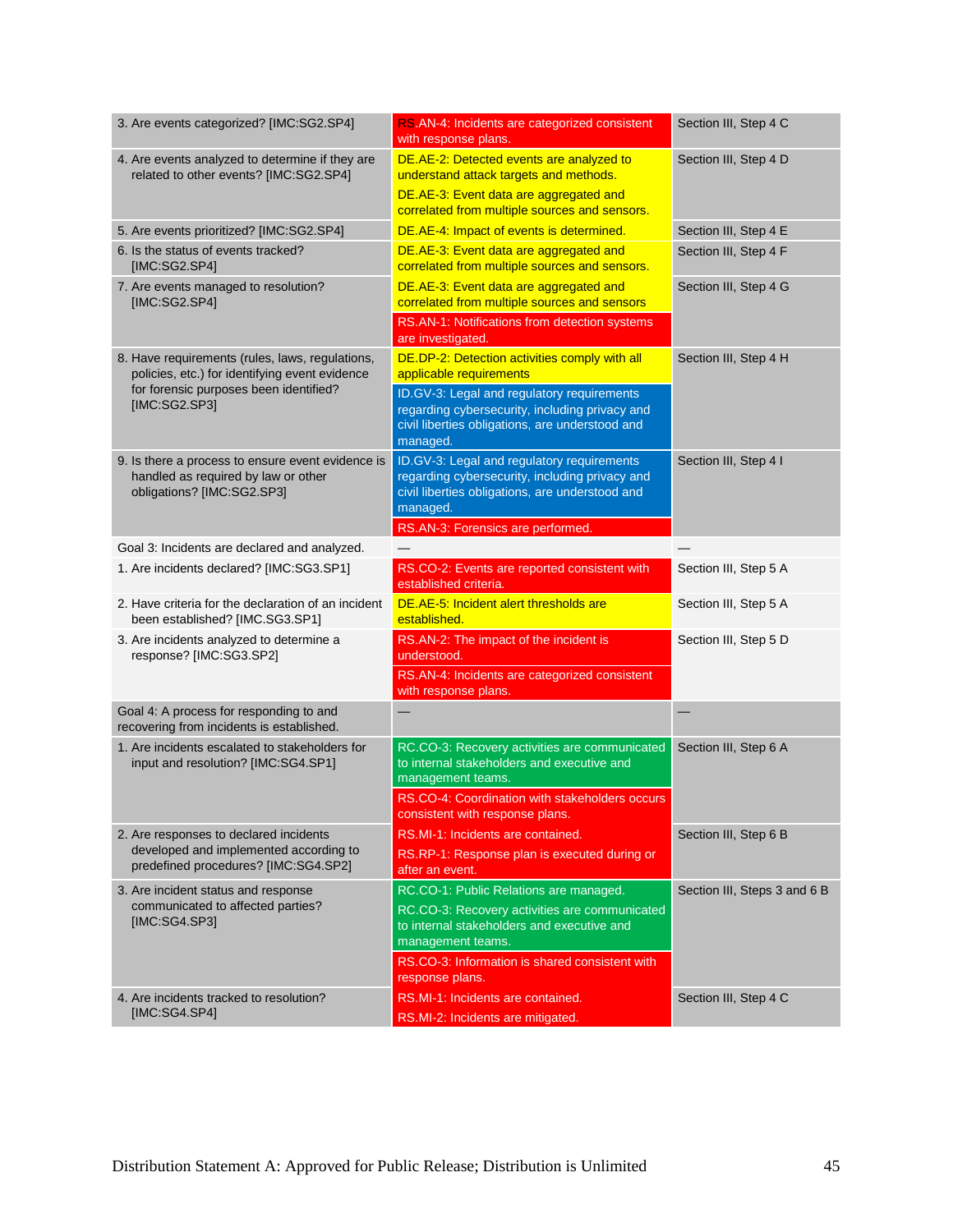| 3. Are events categorized? [IMC:SG2.SP4]                                                                               | RS.AN-4: Incidents are categorized consistent<br>with response plans.                                                                                       | Section III, Step 4 C        |
|------------------------------------------------------------------------------------------------------------------------|-------------------------------------------------------------------------------------------------------------------------------------------------------------|------------------------------|
| 4. Are events analyzed to determine if they are<br>related to other events? [IMC:SG2.SP4]                              | DE.AE-2: Detected events are analyzed to<br>understand attack targets and methods.<br>DE.AE-3: Event data are aggregated and                                | Section III, Step 4 D        |
|                                                                                                                        | correlated from multiple sources and sensors.                                                                                                               |                              |
| 5. Are events prioritized? [IMC:SG2.SP4]<br>6. Is the status of events tracked?                                        | DE.AE-4: Impact of events is determined.                                                                                                                    | Section III, Step 4 E        |
| [IMC:SG2.SP4]                                                                                                          | DE.AE-3: Event data are aggregated and<br>correlated from multiple sources and sensors.                                                                     | Section III, Step 4 F        |
| 7. Are events managed to resolution?<br>[IMC:SG2.SP4]                                                                  | DE.AE-3: Event data are aggregated and<br>correlated from multiple sources and sensors                                                                      | Section III, Step 4 G        |
|                                                                                                                        | RS.AN-1: Notifications from detection systems<br>are investigated.                                                                                          |                              |
| 8. Have requirements (rules, laws, regulations,<br>policies, etc.) for identifying event evidence                      | DE.DP-2: Detection activities comply with all<br>applicable requirements                                                                                    | Section III, Step 4 H        |
| for forensic purposes been identified?<br>[IMC:SG2.SP3]                                                                | ID.GV-3: Legal and regulatory requirements<br>regarding cybersecurity, including privacy and<br>civil liberties obligations, are understood and<br>managed. |                              |
| 9. Is there a process to ensure event evidence is<br>handled as required by law or other<br>obligations? [IMC:SG2.SP3] | ID.GV-3: Legal and regulatory requirements<br>regarding cybersecurity, including privacy and<br>civil liberties obligations, are understood and<br>managed. | Section III, Step 4 I        |
|                                                                                                                        | RS.AN-3: Forensics are performed.                                                                                                                           |                              |
| Goal 3: Incidents are declared and analyzed.<br>1. Are incidents declared? [IMC:SG3.SP1]                               | RS.CO-2: Events are reported consistent with                                                                                                                | Section III, Step 5 A        |
|                                                                                                                        | established criteria.                                                                                                                                       |                              |
| 2. Have criteria for the declaration of an incident<br>been established? [IMC.SG3.SP1]                                 | DE.AE-5: Incident alert thresholds are<br>established.                                                                                                      | Section III, Step 5 A        |
| 3. Are incidents analyzed to determine a<br>response? [IMC:SG3.SP2]                                                    | RS.AN-2: The impact of the incident is<br>understood.<br>RS.AN-4: Incidents are categorized consistent                                                      | Section III, Step 5 D        |
| Goal 4: A process for responding to and                                                                                | with response plans.<br>$\equiv$                                                                                                                            |                              |
| recovering from incidents is established.                                                                              |                                                                                                                                                             |                              |
| 1. Are incidents escalated to stakeholders for<br>input and resolution? [IMC:SG4.SP1]                                  | RC.CO-3: Recovery activities are communicated<br>to internal stakeholders and executive and<br>management teams.                                            | Section III, Step 6 A        |
|                                                                                                                        | RS.CO-4: Coordination with stakeholders occurs<br>consistent with response plans.                                                                           |                              |
| 2. Are responses to declared incidents                                                                                 | RS.MI-1: Incidents are contained.                                                                                                                           | Section III, Step 6 B        |
| developed and implemented according to<br>predefined procedures? [IMC:SG4.SP2]                                         | RS.RP-1: Response plan is executed during or<br>after an event.                                                                                             |                              |
| 3. Are incident status and response                                                                                    | RC.CO-1: Public Relations are managed.                                                                                                                      | Section III, Steps 3 and 6 B |
| communicated to affected parties?<br>[IMC:SG4.SP3]                                                                     | RC.CO-3: Recovery activities are communicated<br>to internal stakeholders and executive and<br>management teams.                                            |                              |
|                                                                                                                        | RS.CO-3: Information is shared consistent with<br>response plans.                                                                                           |                              |
| 4. Are incidents tracked to resolution?                                                                                | RS.MI-1: Incidents are contained.                                                                                                                           | Section III, Step 4 C        |
| [IMC:SG4.SP4]                                                                                                          | RS.MI-2: Incidents are mitigated.                                                                                                                           |                              |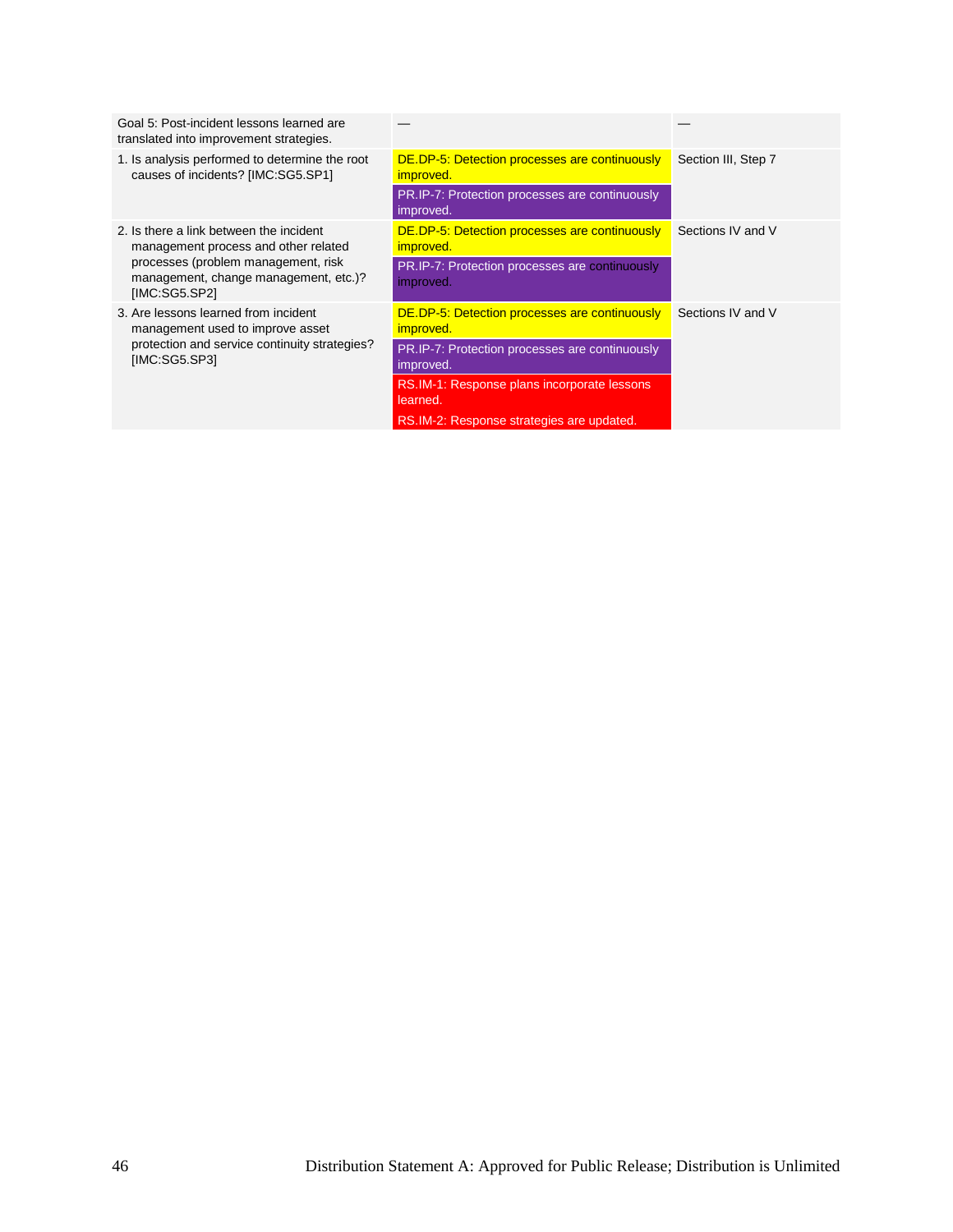<span id="page-49-0"></span>

| Goal 5: Post-incident lessons learned are<br>translated into improvement strategies.          |                                                                          |                     |
|-----------------------------------------------------------------------------------------------|--------------------------------------------------------------------------|---------------------|
| 1. Is analysis performed to determine the root<br>causes of incidents? [IMC:SG5.SP1]          | DE.DP-5: Detection processes are continuously<br><i>improved.</i>        | Section III, Step 7 |
|                                                                                               | PR.IP-7: Protection processes are continuously<br>improved.              |                     |
| 2. Is there a link between the incident<br>management process and other related               | DE.DP-5: Detection processes are continuously<br>improved.               | Sections IV and V   |
| processes (problem management, risk<br>management, change management, etc.)?<br>[IMC:SG5.SP2] | PR.IP-7: Protection processes are continuously<br>improved.              |                     |
| 3. Are lessons learned from incident<br>management used to improve asset                      | <b>DE.DP-5: Detection processes are continuously</b><br><i>improved.</i> | Sections IV and V   |
| protection and service continuity strategies?<br>[IMC:SG5.SP3]                                | PR.IP-7: Protection processes are continuously<br>improved.              |                     |
|                                                                                               | RS.IM-1: Response plans incorporate lessons<br>learned.                  |                     |
|                                                                                               | RS.IM-2: Response strategies are updated.                                |                     |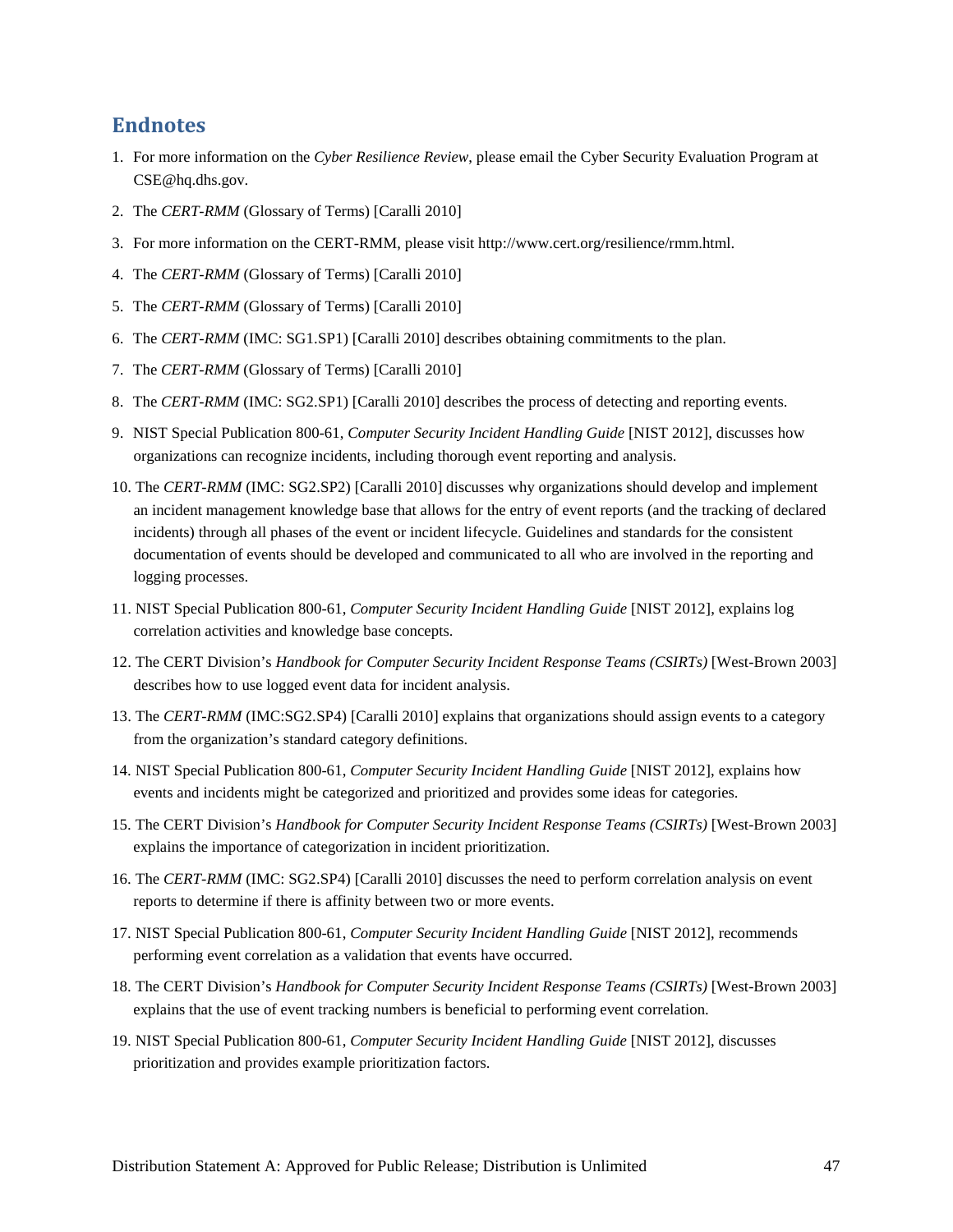## <span id="page-50-0"></span>**Endnotes**

- <span id="page-50-1"></span>1. For more information on the *Cyber Resilience Review*, please email the Cyber Security Evaluation Program at [CSE@hq.dhs.gov.](mailto:CSE@hq.dhs.gov)
- <span id="page-50-2"></span>2. The *CERT-RMM* (Glossary of Terms) [Caralli 2010]
- 3. For more information on the CERT-RMM, please visit [http://www.cert.org/resilience/rmm.html.](http://www.cert.org/resilience/rmm.html)
- 4. The *CERT-RMM* (Glossary of Terms) [Caralli 2010]
- 5. The *CERT-RMM* (Glossary of Terms) [Caralli 2010]
- 6. The *CERT-RMM* (IMC: SG1.SP1) [Caralli 2010] describes obtaining commitments to the plan.
- 7. The *CERT-RMM* (Glossary of Terms) [Caralli 2010]
- 8. The *CERT-RMM* (IMC: SG2.SP1) [Caralli 2010] describes the process of detecting and reporting events.
- 9. NIST Special Publication 800-61, *Computer Security Incident Handling Guide* [NIST 2012], discusses how organizations can recognize incidents, including thorough event reporting and analysis.
- 10. The *CERT-RMM* (IMC: SG2.SP2) [Caralli 2010] discusses why organizations should develop and implement an incident management knowledge base that allows for the entry of event reports (and the tracking of declared incidents) through all phases of the event or incident lifecycle. Guidelines and standards for the consistent documentation of events should be developed and communicated to all who are involved in the reporting and logging processes.
- 11. NIST Special Publication 800-61, *Computer Security Incident Handling Guide* [NIST 2012], explains log correlation activities and knowledge base concepts.
- 12. The CERT Division's *Handbook for Computer Security Incident Response Teams (CSIRTs)* [West-Brown 2003] describes how to use logged event data for incident analysis.
- 13. The *CERT-RMM* (IMC:SG2.SP4) [Caralli 2010] explains that organizations should assign events to a category from the organization's standard category definitions.
- 14. NIST Special Publication 800-61, *Computer Security Incident Handling Guide* [NIST 2012], explains how events and incidents might be categorized and prioritized and provides some ideas for categories.
- 15. The CERT Division's *Handbook for Computer Security Incident Response Teams (CSIRTs)* [West-Brown 2003] explains the importance of categorization in incident prioritization.
- 16. The *CERT-RMM* (IMC: SG2.SP4) [Caralli 2010] discusses the need to perform correlation analysis on event reports to determine if there is affinity between two or more events.
- 17. NIST Special Publication 800-61, *Computer Security Incident Handling Guide* [NIST 2012], recommends performing event correlation as a validation that events have occurred.
- 18. The CERT Division's *Handbook for Computer Security Incident Response Teams (CSIRTs)* [West-Brown 2003] explains that the use of event tracking numbers is beneficial to performing event correlation.
- 19. NIST Special Publication 800-61, *Computer Security Incident Handling Guide* [NIST 2012], discusses prioritization and provides example prioritization factors.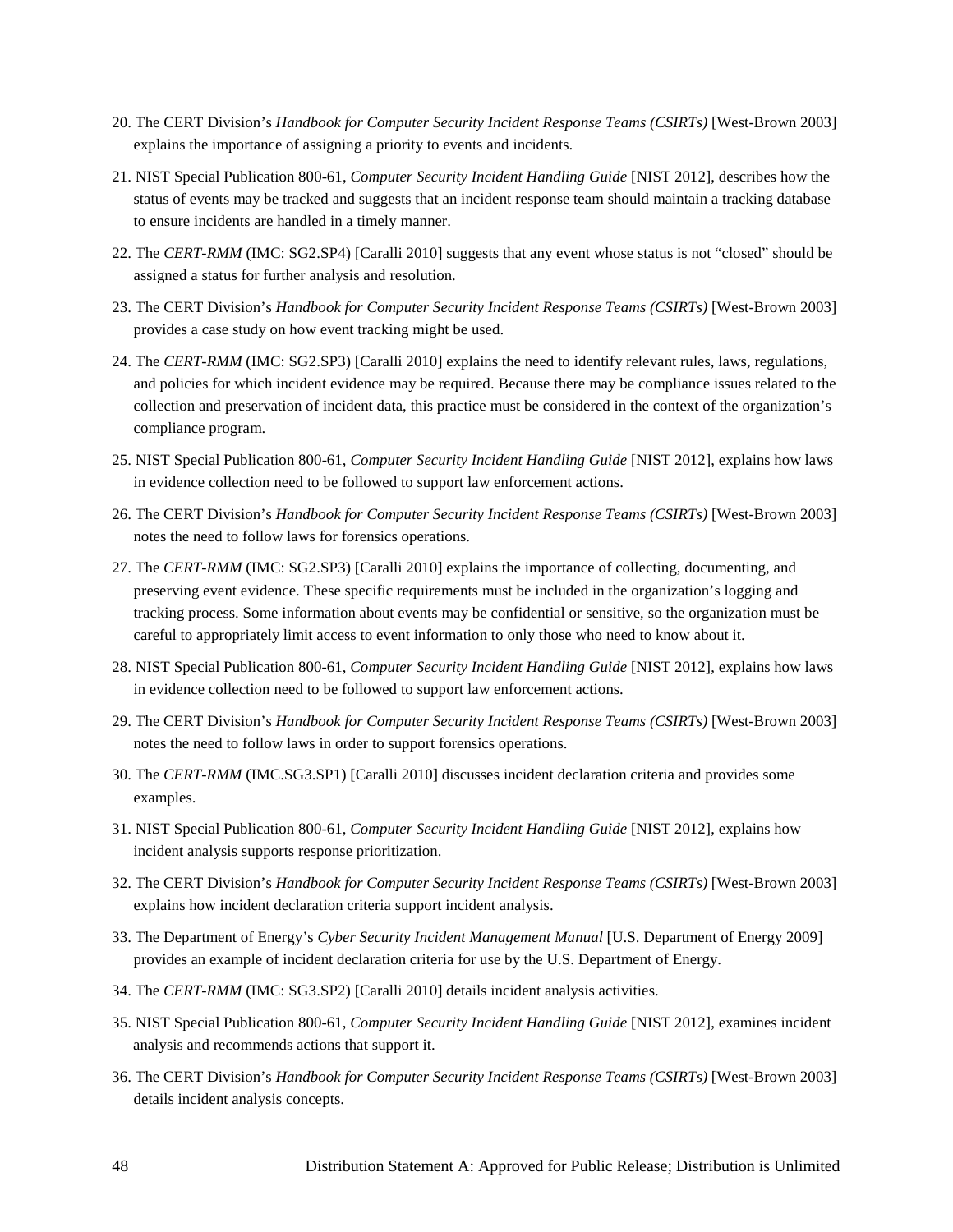- 20. The CERT Division's *Handbook for Computer Security Incident Response Teams (CSIRTs)* [West-Brown 2003] explains the importance of assigning a priority to events and incidents.
- 21. NIST Special Publication 800-61, *Computer Security Incident Handling Guide* [NIST 2012], describes how the status of events may be tracked and suggests that an incident response team should maintain a tracking database to ensure incidents are handled in a timely manner.
- <span id="page-51-1"></span><span id="page-51-0"></span>22. The *CERT-RMM* (IMC: SG2.SP4) [Caralli 2010] suggests that any event whose status is not "closed" should be assigned a status for further analysis and resolution.
- 23. The CERT Division's *Handbook for Computer Security Incident Response Teams (CSIRTs)* [West-Brown 2003] provides a case study on how event tracking might be used.
- 24. The *CERT-RMM* (IMC: SG2.SP3) [Caralli 2010] explains the need to identify relevant rules, laws, regulations, and policies for which incident evidence may be required. Because there may be compliance issues related to the collection and preservation of incident data, this practice must be considered in the context of the organization's compliance program.
- 25. NIST Special Publication 800-61, *Computer Security Incident Handling Guide* [NIST 2012], explains how laws in evidence collection need to be followed to support law enforcement actions.
- 26. The CERT Division's *Handbook for Computer Security Incident Response Teams (CSIRTs)* [West-Brown 2003] notes the need to follow laws for forensics operations.
- 27. The *CERT-RMM* (IMC: SG2.SP3) [Caralli 2010] explains the importance of collecting, documenting, and preserving event evidence. These specific requirements must be included in the organization's logging and tracking process. Some information about events may be confidential or sensitive, so the organization must be careful to appropriately limit access to event information to only those who need to know about it.
- 28. NIST Special Publication 800-61, *Computer Security Incident Handling Guide* [NIST 2012], explains how laws in evidence collection need to be followed to support law enforcement actions.
- 29. The CERT Division's *Handbook for Computer Security Incident Response Teams (CSIRTs)* [West-Brown 2003] notes the need to follow laws in order to support forensics operations.
- 30. The *CERT-RMM* (IMC.SG3.SP1) [Caralli 2010] discusses incident declaration criteria and provides some examples.
- 31. NIST Special Publication 800-61, *Computer Security Incident Handling Guide* [NIST 2012], explains how incident analysis supports response prioritization.
- 32. The CERT Division's *Handbook for Computer Security Incident Response Teams (CSIRTs)* [West-Brown 2003] explains how incident declaration criteria support incident analysis.
- 33. The Department of Energy's *Cyber Security Incident Management Manual* [U.S. Department of Energy 2009] provides an example of incident declaration criteria for use by the U.S. Department of Energy.
- 34. The *CERT-RMM* (IMC: SG3.SP2) [Caralli 2010] details incident analysis activities.
- 35. NIST Special Publication 800-61, *Computer Security Incident Handling Guide* [NIST 2012], examines incident analysis and recommends actions that support it.
- 36. The CERT Division's *Handbook for Computer Security Incident Response Teams (CSIRTs)* [West-Brown 2003] details incident analysis concepts.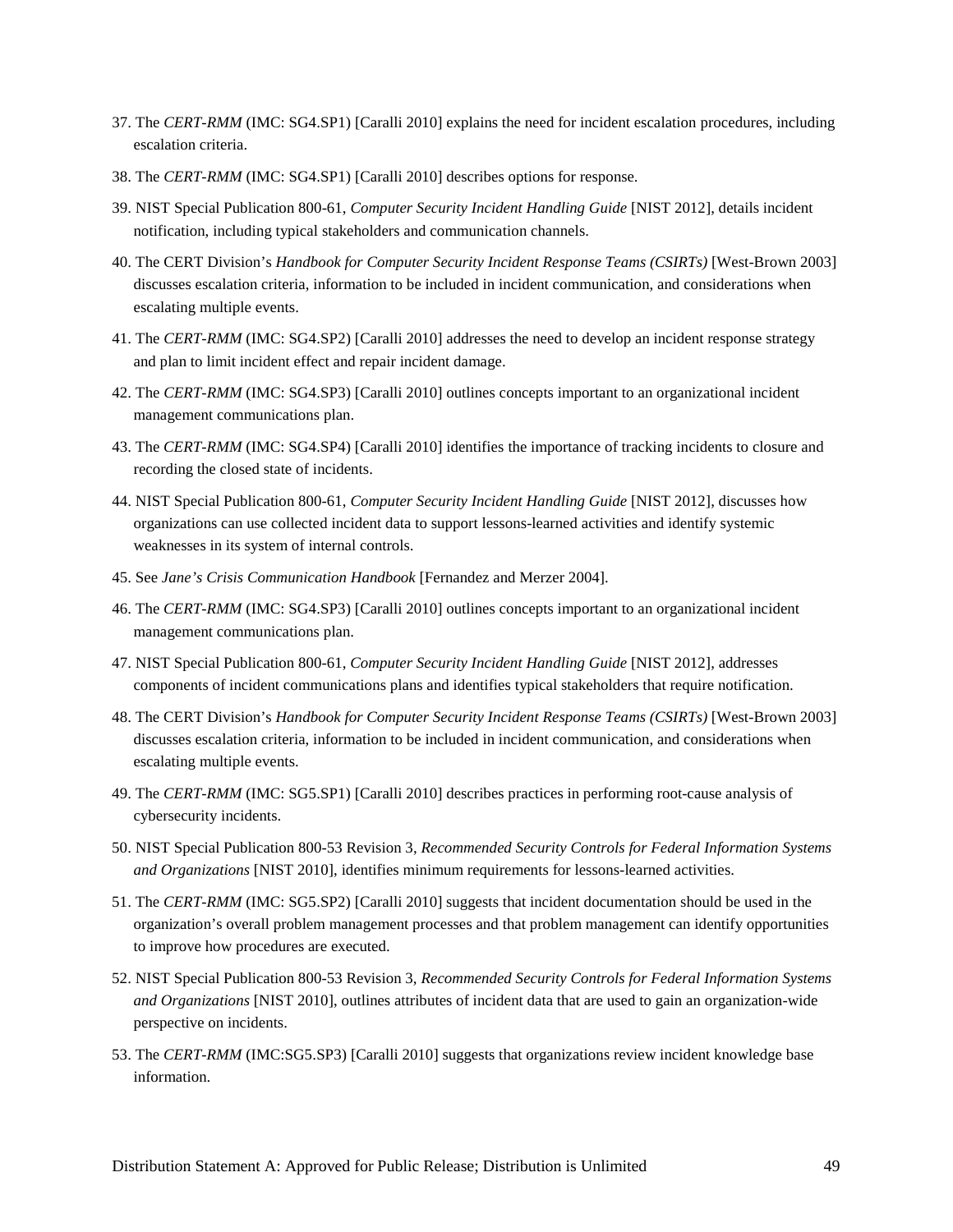- 37. The *CERT-RMM* (IMC: SG4.SP1) [Caralli 2010] explains the need for incident escalation procedures, including escalation criteria.
- 38. The *CERT-RMM* (IMC: SG4.SP1) [Caralli 2010] describes options for response.
- 39. NIST Special Publication 800-61, *Computer Security Incident Handling Guide* [NIST 2012], details incident notification, including typical stakeholders and communication channels.
- 40. The CERT Division's *Handbook for Computer Security Incident Response Teams (CSIRTs)* [West-Brown 2003] discusses escalation criteria, information to be included in incident communication, and considerations when escalating multiple events.
- <span id="page-52-0"></span>41. The *CERT-RMM* (IMC: SG4.SP2) [Caralli 2010] addresses the need to develop an incident response strategy and plan to limit incident effect and repair incident damage.
- 42. The *CERT-RMM* (IMC: SG4.SP3) [Caralli 2010] outlines concepts important to an organizational incident management communications plan.
- 43. The *CERT-RMM* (IMC: SG4.SP4) [Caralli 2010] identifies the importance of tracking incidents to closure and recording the closed state of incidents.
- 44. NIST Special Publication 800-61, *Computer Security Incident Handling Guide* [NIST 2012], discusses how organizations can use collected incident data to support lessons-learned activities and identify systemic weaknesses in its system of internal controls.
- 45. See *Jane's Crisis Communication Handbook* [Fernandez and Merzer 2004].
- 46. The *CERT-RMM* (IMC: SG4.SP3) [Caralli 2010] outlines concepts important to an organizational incident management communications plan.
- 47. NIST Special Publication 800-61, *Computer Security Incident Handling Guide* [NIST 2012], addresses components of incident communications plans and identifies typical stakeholders that require notification.
- 48. The CERT Division's *Handbook for Computer Security Incident Response Teams (CSIRTs)* [West-Brown 2003] discusses escalation criteria, information to be included in incident communication, and considerations when escalating multiple events.
- 49. The *CERT-RMM* (IMC: SG5.SP1) [Caralli 2010] describes practices in performing root-cause analysis of cybersecurity incidents.
- 50. NIST Special Publication 800-53 Revision 3, *Recommended Security Controls for Federal Information Systems and Organizations* [NIST 2010], identifies minimum requirements for lessons-learned activities.
- 51. The *CERT-RMM* (IMC: SG5.SP2) [Caralli 2010] suggests that incident documentation should be used in the organization's overall problem management processes and that problem management can identify opportunities to improve how procedures are executed.
- 52. NIST Special Publication 800-53 Revision 3, *Recommended Security Controls for Federal Information Systems and Organizations* [NIST 2010], outlines attributes of incident data that are used to gain an organization-wide perspective on incidents.
- 53. The *CERT-RMM* (IMC:SG5.SP3) [Caralli 2010] suggests that organizations review incident knowledge base information.